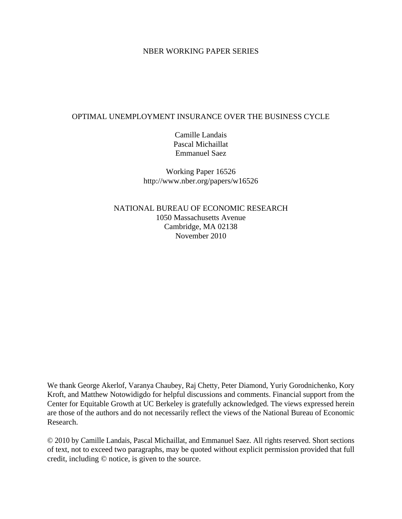## NBER WORKING PAPER SERIES

## OPTIMAL UNEMPLOYMENT INSURANCE OVER THE BUSINESS CYCLE

Camille Landais Pascal Michaillat Emmanuel Saez

Working Paper 16526 http://www.nber.org/papers/w16526

NATIONAL BUREAU OF ECONOMIC RESEARCH 1050 Massachusetts Avenue Cambridge, MA 02138 November 2010

We thank George Akerlof, Varanya Chaubey, Raj Chetty, Peter Diamond, Yuriy Gorodnichenko, Kory Kroft, and Matthew Notowidigdo for helpful discussions and comments. Financial support from the Center for Equitable Growth at UC Berkeley is gratefully acknowledged. The views expressed herein are those of the authors and do not necessarily reflect the views of the National Bureau of Economic Research.

© 2010 by Camille Landais, Pascal Michaillat, and Emmanuel Saez. All rights reserved. Short sections of text, not to exceed two paragraphs, may be quoted without explicit permission provided that full credit, including © notice, is given to the source.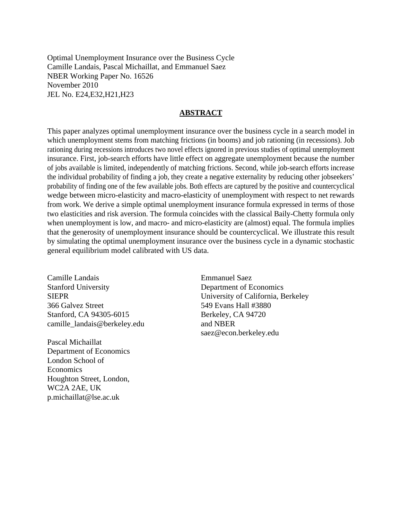Optimal Unemployment Insurance over the Business Cycle Camille Landais, Pascal Michaillat, and Emmanuel Saez NBER Working Paper No. 16526 November 2010 JEL No. E24,E32,H21,H23

## **ABSTRACT**

This paper analyzes optimal unemployment insurance over the business cycle in a search model in which unemployment stems from matching frictions (in booms) and job rationing (in recessions). Job rationing during recessions introduces two novel effects ignored in previous studies of optimal unemployment insurance. First, job-search efforts have little effect on aggregate unemployment because the number of jobs available is limited, independently of matching frictions. Second, while job-search efforts increase the individual probability of finding a job, they create a negative externality by reducing other jobseekers' probability of finding one of the few available jobs. Both effects are captured by the positive and countercyclical wedge between micro-elasticity and macro-elasticity of unemployment with respect to net rewards from work. We derive a simple optimal unemployment insurance formula expressed in terms of those two elasticities and risk aversion. The formula coincides with the classical Baily-Chetty formula only when unemployment is low, and macro- and micro-elasticity are (almost) equal. The formula implies that the generosity of unemployment insurance should be countercyclical. We illustrate this result by simulating the optimal unemployment insurance over the business cycle in a dynamic stochastic general equilibrium model calibrated with US data.

Camille Landais Stanford University SIEPR 366 Galvez Street Stanford, CA 94305-6015 camille\_landais@berkeley.edu

Pascal Michaillat Department of Economics London School of **Economics** Houghton Street, London, WC2A 2AE, UK p.michaillat@lse.ac.uk

Emmanuel Saez Department of Economics University of California, Berkeley 549 Evans Hall #3880 Berkeley, CA 94720 and NBER saez@econ.berkeley.edu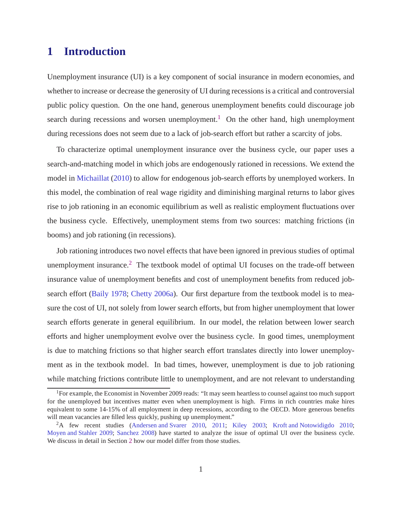# **1 Introduction**

Unemployment insurance (UI) is a key component of social insurance in modern economies, and whether to increase or decrease the generosity of UI during recessions is a critical and controversial public policy question. On the one hand, generous unemployment benefits could discourage job search during recessions and worsen unemployment.<sup>1</sup> On the other hand, high unemployment during recessions does not seem due to a lack of job-search effort but rather a scarcity of jobs.

To characterize optimal unemployment insurance over the business cycle, our paper uses a search-and-matching model in which jobs are endogenously rationed in recessions. We extend the model in [Michaillat](#page-43-0) [\(2010\)](#page-43-0) to allow for endogenous job-search efforts by unemployed workers. In this model, the combination of real wage rigidity and diminishing marginal returns to labor gives rise to job rationing in an economic equilibrium as well as realistic employment fluctuations over the business cycle. Effectively, unemployment stems from two sources: matching frictions (in booms) and job rationing (in recessions).

Job rationing introduces two novel effects that have been ignored in previous studies of optimal unemployment insurance.<sup>2</sup> The textbook model of optimal UI focuses on the trade-off between insurance value of unemployment benefits and cost of unemployment benefits from reduced jobsearch effort [\(Baily 1978;](#page-42-0) [Chetty 2006a](#page-42-0)). Our first departure from the textbook model is to measure the cost of UI, not solely from lower search efforts, but from higher unemployment that lower search efforts generate in general equilibrium. In our model, the relation between lower search efforts and higher unemployment evolve over the business cycle. In good times, unemployment is due to matching frictions so that higher search effort translates directly into lower unemployment as in the textbook model. In bad times, however, unemployment is due to job rationing while matching frictions contribute little to unemployment, and are not relevant to understanding

<sup>&</sup>lt;sup>1</sup>For example, the Economist in November 2009 reads: "It may seem heartless to counsel against too much support for the unemployed but incentives matter even when unemployment is high. Firms in rich countries make hires equivalent to some 14-15% of all employment in deep recessions, according to the OECD. More generous benefits will mean vacancies are filled less quickly, pushing up unemployment."

<sup>&</sup>lt;sup>2</sup>A few recent studies [\(Andersen and Svarer 2010](#page-42-0), [2011](#page-42-0); [Kiley 2003;](#page-43-0) [Kroft and Notowidigdo 2010](#page-43-0); [Moyen and Stahler 2009;](#page-43-0) [Sanchez 2008](#page-44-0)) have started to analyze the issue of optimal UI over the business cycle. We discuss in detail in Section [2](#page-4-0) how our model differ from those studies.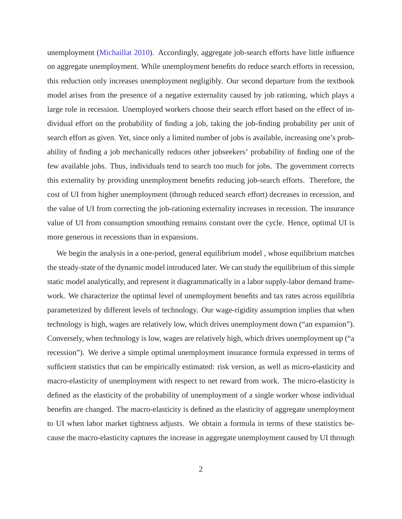unemployment [\(Michaillat 2010](#page-43-0)). Accordingly, aggregate job-search efforts have little influence on aggregate unemployment. While unemployment benefits do reduce search efforts in recession, this reduction only increases unemployment negligibly. Our second departure from the textbook model arises from the presence of a negative externality caused by job rationing, which plays a large role in recession. Unemployed workers choose their search effort based on the effect of individual effort on the probability of finding a job, taking the job-finding probability per unit of search effort as given. Yet, since only a limited number of jobs is available, increasing one's probability of finding a job mechanically reduces other jobseekers' probability of finding one of the few available jobs. Thus, individuals tend to search too much for jobs. The government corrects this externality by providing unemployment benefits reducing job-search efforts. Therefore, the cost of UI from higher unemployment (through reduced search effort) decreases in recession, and the value of UI from correcting the job-rationing externality increases in recession. The insurance value of UI from consumption smoothing remains constant over the cycle. Hence, optimal UI is more generous in recessions than in expansions.

We begin the analysis in a one-period, general equilibrium model , whose equilibrium matches the steady-state of the dynamic model introduced later. We can study the equilibrium of this simple static model analytically, and represent it diagrammatically in a labor supply-labor demand framework. We characterize the optimal level of unemployment benefits and tax rates across equilibria parameterized by different levels of technology. Our wage-rigidity assumption implies that when technology is high, wages are relatively low, which drives unemployment down ("an expansion"). Conversely, when technology is low, wages are relatively high, which drives unemployment up ("a recession"). We derive a simple optimal unemployment insurance formula expressed in terms of sufficient statistics that can be empirically estimated: risk version, as well as micro-elasticity and macro-elasticity of unemployment with respect to net reward from work. The micro-elasticity is defined as the elasticity of the probability of unemployment of a single worker whose individual benefits are changed. The macro-elasticity is defined as the elasticity of aggregate unemployment to UI when labor market tightness adjusts. We obtain a formula in terms of these statistics because the macro-elasticity captures the increase in aggregate unemployment caused by UI through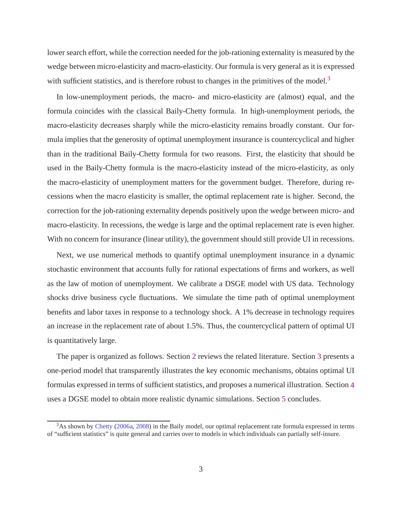<span id="page-4-0"></span>lower search effort, while the correction needed for the job-rationing externality is measured by the wedge between micro-elasticity and macro-elasticity. Our formula is very general as it is expressed with sufficient statistics, and is therefore robust to changes in the primitives of the model. $3$ 

In low-unemployment periods, the macro- and micro-elasticity are (almost) equal, and the formula coincides with the classical Baily-Chetty formula. In high-unemployment periods, the macro-elasticity decreases sharply while the micro-elasticity remains broadly constant. Our formula implies that the generosity of optimal unemployment insurance is countercyclical and higher than in the traditional Baily-Chetty formula for two reasons. First, the elasticity that should be used in the Baily-Chetty formula is the macro-elasticity instead of the micro-elasticity, as only the macro-elasticity of unemployment matters for the government budget. Therefore, during recessions when the macro elasticity is smaller, the optimal replacement rate is higher. Second, the correction for the job-rationing externality depends positively upon the wedge between micro- and macro-elasticity. In recessions, the wedge is large and the optimal replacement rate is even higher. With no concern for insurance (linear utility), the government should still provide UI in recessions.

Next, we use numerical methods to quantify optimal unemployment insurance in a dynamic stochastic environment that accounts fully for rational expectations of firms and workers, as well as the law of motion of unemployment. We calibrate a DSGE model with US data. Technology shocks drive business cycle fluctuations. We simulate the time path of optimal unemployment benefits and labor taxes in response to a technology shock. A 1% decrease in technology requires an increase in the replacement rate of about 1.5%. Thus, the countercyclical pattern of optimal UI is quantitatively large.

The paper is organized as follows. Section 2 reviews the related literature. Section [3](#page-6-0) presents a one-period model that transparently illustrates the key economic mechanisms, obtains optimal UI formulas expressed in terms of sufficient statistics, and proposes a numerical illustration. Section [4](#page-26-0) uses a DGSE model to obtain more realistic dynamic simulations. Section [5](#page-39-0) concludes.

 $3$ As shown by [Chetty](#page-42-0) [\(2006a,](#page-42-0) [2008](#page-42-0)) in the Baily model, our optimal replacement rate formula expressed in terms of "sufficient statistics" is quite general and carries over to models in which individuals can partially self-insure.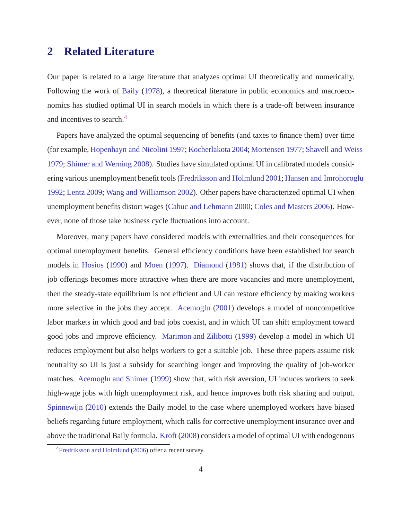# **2 Related Literature**

Our paper is related to a large literature that analyzes optimal UI theoretically and numerically. Following the work of [Baily](#page-42-0) [\(1978\)](#page-42-0), a theoretical literature in public economics and macroeconomics has studied optimal UI in search models in which there is a trade-off between insurance and incentives to search.<sup>4</sup>

Papers have analyzed the optimal sequencing of benefits (and taxes to finance them) over time (for example, [Hopenhayn and Nicolini 1997;](#page-43-0) [Kocherlakota 2004](#page-43-0); [Mortensen 1977](#page-43-0); [Shavell and Weiss](#page-44-0) [1979;](#page-44-0) [Shimer and Werning 2008\)](#page-44-0). Studies have simulated optimal UI in calibrated models considering various unemployment benefit tools [\(Fredriksson and Holmlund 2001;](#page-42-0) [Hansen and Imrohoroglu](#page-43-0) [1992;](#page-43-0) [Lentz 2009;](#page-43-0) [Wang and Williamson 2002](#page-44-0)). Other papers have characterized optimal UI when unemployment benefits distort wages [\(Cahuc and Lehmann 2000;](#page-42-0) [Coles and Masters 2006\)](#page-42-0). However, none of those take business cycle fluctuations into account.

Moreover, many papers have considered models with externalities and their consequences for optimal unemployment benefits. General efficiency conditions have been established for search models in [Hosios](#page-43-0) [\(1990](#page-43-0)) and [Moen](#page-43-0) [\(1997](#page-43-0)). [Diamond](#page-42-0) [\(1981](#page-42-0)) shows that, if the distribution of job offerings becomes more attractive when there are more vacancies and more unemployment, then the steady-state equilibrium is not efficient and UI can restore efficiency by making workers more selective in the jobs they accept. [Acemoglu](#page-42-0) [\(2001\)](#page-42-0) develops a model of noncompetitive labor markets in which good and bad jobs coexist, and in which UI can shift employment toward good jobs and improve efficiency. [Marimon and Zilibotti](#page-43-0) [\(1999](#page-43-0)) develop a model in which UI reduces employment but also helps workers to get a suitable job. These three papers assume risk neutrality so UI is just a subsidy for searching longer and improving the quality of job-worker matches. [Acemoglu and Shimer](#page-42-0) [\(1999](#page-42-0)) show that, with risk aversion, UI induces workers to seek high-wage jobs with high unemployment risk, and hence improves both risk sharing and output. [Spinnewijn](#page-44-0) [\(2010](#page-44-0)) extends the Baily model to the case where unemployed workers have biased beliefs regarding future employment, which calls for corrective unemployment insurance over and above the traditional Baily formula. [Kroft](#page-43-0) [\(2008\)](#page-43-0) considers a model of optimal UI with endogenous

<sup>4</sup>[Fredriksson and Holmlund](#page-42-0) [\(2006\)](#page-42-0) offer a recent survey.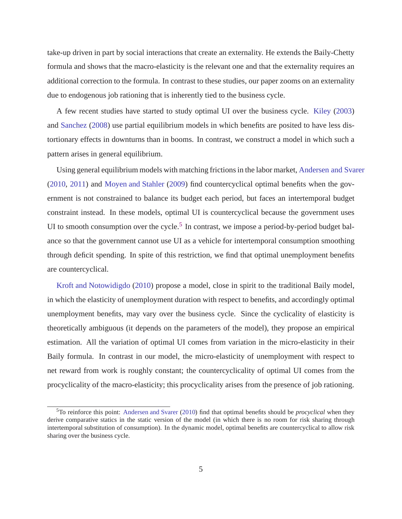<span id="page-6-0"></span>take-up driven in part by social interactions that create an externality. He extends the Baily-Chetty formula and shows that the macro-elasticity is the relevant one and that the externality requires an additional correction to the formula. In contrast to these studies, our paper zooms on an externality due to endogenous job rationing that is inherently tied to the business cycle.

A few recent studies have started to study optimal UI over the business cycle. [Kiley](#page-43-0) [\(2003](#page-43-0)) and [Sanchez](#page-44-0) [\(2008\)](#page-44-0) use partial equilibrium models in which benefits are posited to have less distortionary effects in downturns than in booms. In contrast, we construct a model in which such a pattern arises in general equilibrium.

Using general equilibrium models with matching frictions in the labor market, [Andersen and Svarer](#page-42-0) [\(2010,](#page-42-0) [2011\)](#page-42-0) and [Moyen and Stahler](#page-43-0) [\(2009](#page-43-0)) find countercyclical optimal benefits when the government is not constrained to balance its budget each period, but faces an intertemporal budget constraint instead. In these models, optimal UI is countercyclical because the government uses UI to smooth consumption over the cycle.<sup>5</sup> In contrast, we impose a period-by-period budget balance so that the government cannot use UI as a vehicle for intertemporal consumption smoothing through deficit spending. In spite of this restriction, we find that optimal unemployment benefits are countercyclical.

[Kroft and Notowidigdo](#page-43-0) [\(2010\)](#page-43-0) propose a model, close in spirit to the traditional Baily model, in which the elasticity of unemployment duration with respect to benefits, and accordingly optimal unemployment benefits, may vary over the business cycle. Since the cyclicality of elasticity is theoretically ambiguous (it depends on the parameters of the model), they propose an empirical estimation. All the variation of optimal UI comes from variation in the micro-elasticity in their Baily formula. In contrast in our model, the micro-elasticity of unemployment with respect to net reward from work is roughly constant; the countercyclicality of optimal UI comes from the procyclicality of the macro-elasticity; this procyclicality arises from the presence of job rationing.

<sup>5</sup>To reinforce this point: [Andersen and Svarer](#page-42-0) [\(2010\)](#page-42-0) find that optimal benefits should be *procyclical* when they derive comparative statics in the static version of the model (in which there is no room for risk sharing through intertemporal substitution of consumption). In the dynamic model, optimal benefits are countercyclical to allow risk sharing over the business cycle.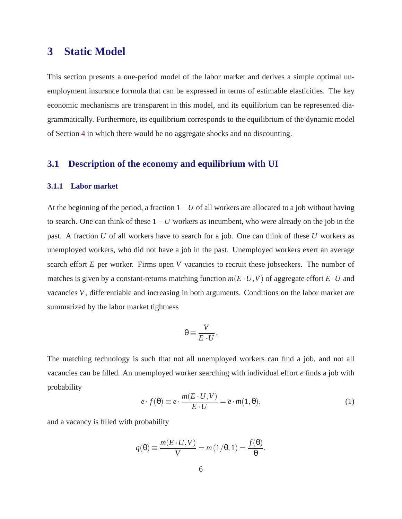# <span id="page-7-0"></span>**3 Static Model**

This section presents a one-period model of the labor market and derives a simple optimal unemployment insurance formula that can be expressed in terms of estimable elasticities. The key economic mechanisms are transparent in this model, and its equilibrium can be represented diagrammatically. Furthermore, its equilibrium corresponds to the equilibrium of the dynamic model of Section [4](#page-26-0) in which there would be no aggregate shocks and no discounting.

## **3.1 Description of the economy and equilibrium with UI**

### **3.1.1 Labor market**

At the beginning of the period, a fraction 1−*U* of all workers are allocated to a job without having to search. One can think of these 1−*U* workers as incumbent, who were already on the job in the past. A fraction *U* of all workers have to search for a job. One can think of these *U* workers as unemployed workers, who did not have a job in the past. Unemployed workers exert an average search effort *E* per worker. Firms open *V* vacancies to recruit these jobseekers. The number of matches is given by a constant-returns matching function  $m(E \cdot U, V)$  of aggregate effort  $E \cdot U$  and vacancies *V*, differentiable and increasing in both arguments. Conditions on the labor market are summarized by the labor market tightness

$$
\theta \equiv \frac{V}{E \cdot U}.
$$

The matching technology is such that not all unemployed workers can find a job, and not all vacancies can be filled. An unemployed worker searching with individual effort *e* finds a job with probability

$$
e \cdot f(\theta) \equiv e \cdot \frac{m(E \cdot U, V)}{E \cdot U} = e \cdot m(1, \theta), \tag{1}
$$

and a vacancy is filled with probability

$$
q(\theta) \equiv \frac{m(E \cdot U, V)}{V} = m(1/\theta, 1) = \frac{f(\theta)}{\theta}.
$$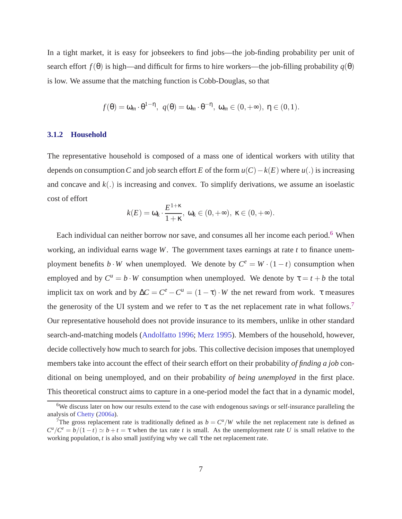In a tight market, it is easy for jobseekers to find jobs—the job-finding probability per unit of search effort  $f(\theta)$  is high—and difficult for firms to hire workers—the job-filling probability  $q(\theta)$ is low. We assume that the matching function is Cobb-Douglas, so that

$$
f(\theta) = \omega_m \cdot \theta^{1-\eta}, \ q(\theta) = \omega_m \cdot \theta^{-\eta}, \ \omega_m \in (0, +\infty), \ \eta \in (0, 1).
$$

### **3.1.2 Household**

The representative household is composed of a mass one of identical workers with utility that depends on consumption*C* and job search effort *E* of the form *u*(*C*)−*k*(*E*) where *u*(.) is increasing and concave and  $k(.)$  is increasing and convex. To simplify derivations, we assume an isoelastic cost of effort

$$
k(E) = \omega_k \cdot \frac{E^{1+\kappa}}{1+\kappa}, \ \omega_k \in (0,+\infty), \ \kappa \in (0,+\infty).
$$

Each individual can neither borrow nor save, and consumes all her income each period.<sup>6</sup> When working, an individual earns wage *W*. The government taxes earnings at rate *t* to finance unemployment benefits  $b \cdot W$  when unemployed. We denote by  $C^e = W \cdot (1 - t)$  consumption when employed and by  $C^u = b \cdot W$  consumption when unemployed. We denote by  $\tau = t + b$  the total implicit tax on work and by  $\Delta C = C^e - C^u = (1 - \tau) \cdot W$  the net reward from work.  $\tau$  measures the generosity of the UI system and we refer to  $\tau$  as the net replacement rate in what follows.<sup>7</sup> Our representative household does not provide insurance to its members, unlike in other standard search-and-matching models [\(Andolfatto 1996;](#page-42-0) [Merz 1995](#page-43-0)). Members of the household, however, decide collectively how much to search for jobs. This collective decision imposes that unemployed members take into account the effect of their search effort on their probability *of finding a job* conditional on being unemployed, and on their probability *of being unemployed* in the first place. This theoretical construct aims to capture in a one-period model the fact that in a dynamic model,

<sup>&</sup>lt;sup>6</sup>We discuss later on how our results extend to the case with endogenous savings or self-insurance paralleling the analysis of [Chetty](#page-42-0) [\(2006a](#page-42-0)).

<sup>&</sup>lt;sup>7</sup>The gross replacement rate is traditionally defined as  $b = C^u/W$  while the net replacement rate is defined as  $C^u/C^e = b/(1-t) \simeq b+t = \tau$  when the tax rate *t* is small. As the unemployment rate *U* is small relative to the working population,  $t$  is also small justifying why we call  $\tau$  the net replacement rate.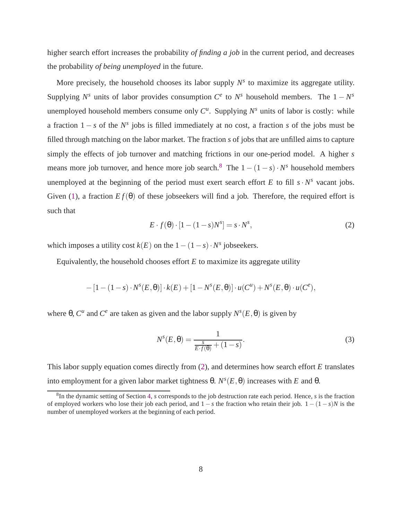<span id="page-9-0"></span>higher search effort increases the probability *of finding a job* in the current period, and decreases the probability *of being unemployed* in the future.

More precisely, the household chooses its labor supply  $N<sup>s</sup>$  to maximize its aggregate utility. Supplying  $N^s$  units of labor provides consumption  $C^e$  to  $N^s$  household members. The  $1 - N^s$ unemployed household members consume only  $C^u$ . Supplying  $N^s$  units of labor is costly: while a fraction 1 − *s* of the *N s* jobs is filled immediately at no cost, a fraction *s* of the jobs must be filled through matching on the labor market. The fraction *s* of jobs that are unfilled aims to capture simply the effects of job turnover and matching frictions in our one-period model. A higher *s* means more job turnover, and hence more job search.<sup>8</sup> The  $1 - (1 - s) \cdot N^s$  household members unemployed at the beginning of the period must exert search effort  $E$  to fill  $s \cdot N^s$  vacant jobs. Given [\(1\)](#page-7-0), a fraction  $Ef(\theta)$  of these jobseekers will find a job. Therefore, the required effort is such that

$$
E \cdot f(\theta) \cdot [1 - (1 - s)N^s] = s \cdot N^s,
$$
\n(2)

which imposes a utility cost  $k(E)$  on the  $1-(1-s) \cdot N^s$  jobseekers.

Equivalently, the household chooses effort *E* to maximize its aggregate utility

$$
-[1-(1-s)\cdot N^s(E,\theta)]\cdot k(E)+[1-N^s(E,\theta)]\cdot u(C^u)+N^s(E,\theta)\cdot u(C^e),
$$

where  $\theta$ ,  $C^u$  and  $C^e$  are taken as given and the labor supply  $N^s(E, \theta)$  is given by

$$
N^{s}(E,\theta) = \frac{1}{\frac{s}{E \cdot f(\theta)} + (1-s)}.
$$
\n(3)

This labor supply equation comes directly from (2), and determines how search effort *E* translates into employment for a given labor market tightness  $\theta$ . *N<sup>s</sup>*(*E*,  $\theta$ ) increases with *E* and  $\theta$ .

<sup>8</sup> In the dynamic setting of Section [4,](#page-26-0) *s* corresponds to the job destruction rate each period. Hence, *s* is the fraction of employed workers who lose their job each period, and 1 − *s* the fraction who retain their job. 1 − (1 − *s*)*N* is the number of unemployed workers at the beginning of each period.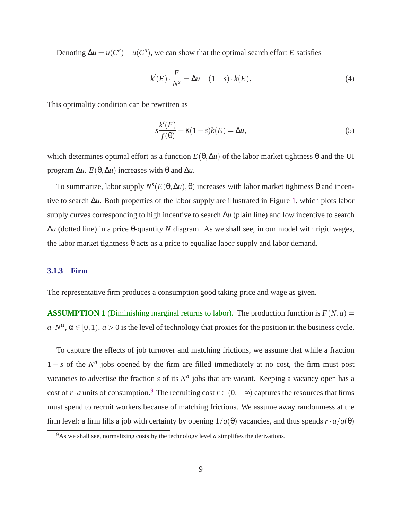<span id="page-10-0"></span>Denoting  $\Delta u = u(C^e) - u(C^u)$ , we can show that the optimal search effort *E* satisfies

$$
k'(E) \cdot \frac{E}{N^s} = \Delta u + (1 - s) \cdot k(E),\tag{4}
$$

This optimality condition can be rewritten as

$$
s\frac{k'(E)}{f(\theta)} + \kappa(1-s)k(E) = \Delta u,\tag{5}
$$

which determines optimal effort as a function  $E(\theta, \Delta u)$  of the labor market tightness  $\theta$  and the UI program ∆*u*. *E*(θ,∆*u*) increases with θ and ∆*u*.

To summarize, labor supply  $N^{s}(E(\theta, \Delta u), \theta)$  increases with labor market tightness  $\theta$  and incentive to search ∆*u*. Both properties of the labor supply are illustrated in Figure [1,](#page-61-0) which plots labor supply curves corresponding to high incentive to search ∆*u* (plain line) and low incentive to search ∆*u* (dotted line) in a price θ-quantity *N* diagram. As we shall see, in our model with rigid wages, the labor market tightness  $\theta$  acts as a price to equalize labor supply and labor demand.

## **3.1.3 Firm**

The representative firm produces a consumption good taking price and wage as given.

**ASSUMPTION 1** (Diminishing marginal returns to labor). The production function is  $F(N, a)$  =  $a \cdot N^{\alpha}$ ,  $\alpha \in [0,1)$ .  $a > 0$  is the level of technology that proxies for the position in the business cycle.

To capture the effects of job turnover and matching frictions, we assume that while a fraction  $1 - s$  of the  $N<sup>d</sup>$  jobs opened by the firm are filled immediately at no cost, the firm must post vacancies to advertise the fraction *s* of its  $N<sup>d</sup>$  jobs that are vacant. Keeping a vacancy open has a cost of *r*·*a* units of consumption.<sup>9</sup> The recruiting cost  $r \in (0, +\infty)$  captures the resources that firms must spend to recruit workers because of matching frictions. We assume away randomness at the firm level: a firm fills a job with certainty by opening  $1/q(\theta)$  vacancies, and thus spends  $r \cdot a/q(\theta)$ 

 $9As$  we shall see, normalizing costs by the technology level *a* simplifies the derivations.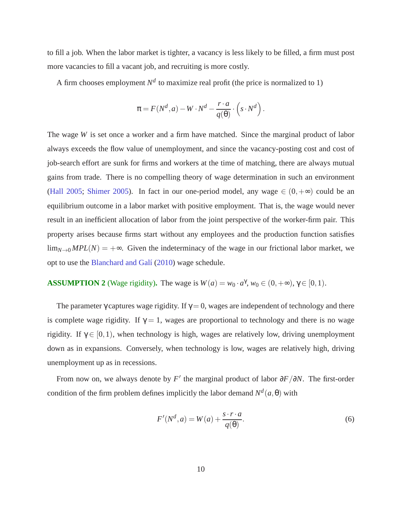<span id="page-11-0"></span>to fill a job. When the labor market is tighter, a vacancy is less likely to be filled, a firm must post more vacancies to fill a vacant job, and recruiting is more costly.

A firm chooses employment  $N<sup>d</sup>$  to maximize real profit (the price is normalized to 1)

$$
\pi = F(N^d, a) - W \cdot N^d - \frac{r \cdot a}{q(\theta)} \cdot (s \cdot N^d).
$$

The wage *W* is set once a worker and a firm have matched. Since the marginal product of labor always exceeds the flow value of unemployment, and since the vacancy-posting cost and cost of job-search effort are sunk for firms and workers at the time of matching, there are always mutual gains from trade. There is no compelling theory of wage determination in such an environment [\(Hall 2005](#page-43-0); [Shimer 2005\)](#page-44-0). In fact in our one-period model, any wage  $\in (0, +\infty)$  could be an equilibrium outcome in a labor market with positive employment. That is, the wage would never result in an inefficient allocation of labor from the joint perspective of the worker-firm pair. This property arises because firms start without any employees and the production function satisfies  $\lim_{N\to 0} MPL(N) = +\infty$ . Given the indeterminacy of the wage in our frictional labor market, we opt to use the Blanchard and Galí [\(2010\)](#page-42-0) wage schedule.

**ASSUMPTION 2** (Wage rigidity). The wage is  $W(a) = w_0 \cdot a^{\gamma}, w_0 \in (0, +\infty), \gamma \in [0, 1)$ .

The parameter  $\gamma$  captures wage rigidity. If  $\gamma = 0$ , wages are independent of technology and there is complete wage rigidity. If  $\gamma = 1$ , wages are proportional to technology and there is no wage rigidity. If  $\gamma \in [0,1)$ , when technology is high, wages are relatively low, driving unemployment down as in expansions. Conversely, when technology is low, wages are relatively high, driving unemployment up as in recessions.

From now on, we always denote by *F* ′ the marginal product of labor ∂*F*/∂*N*. The first-order condition of the firm problem defines implicitly the labor demand  $N^d$   $(a, \theta)$  with

$$
F'(N^d, a) = W(a) + \frac{s \cdot r \cdot a}{q(\theta)}.
$$
\n<sup>(6)</sup>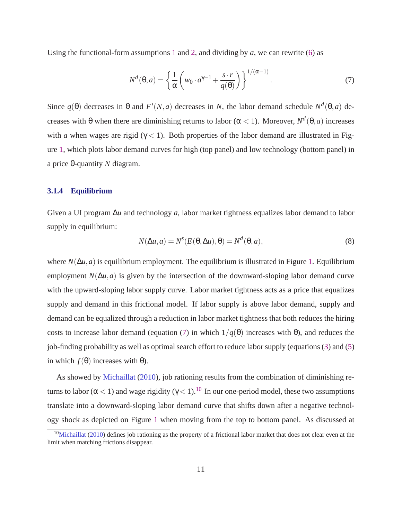<span id="page-12-0"></span>Using the functional-form assumptions [1](#page-10-0) and [2,](#page-11-0) and dividing by *a*, we can rewrite [\(6\)](#page-11-0) as

$$
N^{d}(\theta, a) = \left\{ \frac{1}{\alpha} \left( w_0 \cdot a^{\gamma - 1} + \frac{s \cdot r}{q(\theta)} \right) \right\}^{1/(\alpha - 1)}.
$$
 (7)

Since  $q(\theta)$  decreases in  $\theta$  and  $F'(N,a)$  decreases in *N*, the labor demand schedule  $N^d(\theta,a)$  decreases with θ when there are diminishing returns to labor ( $\alpha$  < 1). Moreover,  $N^d$ (θ, *a*) increases with *a* when wages are rigid ( $\gamma$  < 1). Both properties of the labor demand are illustrated in Figure [1,](#page-61-0) which plots labor demand curves for high (top panel) and low technology (bottom panel) in a price θ-quantity *N* diagram.

## **3.1.4 Equilibrium**

Given a UI program ∆*u* and technology *a*, labor market tightness equalizes labor demand to labor supply in equilibrium:

$$
N(\Delta u, a) = N^{s}(E(\theta, \Delta u), \theta) = N^{d}(\theta, a),
$$
\n(8)

where  $N(\Delta u, a)$  is equilibrium employment. The equilibrium is illustrated in Figure [1.](#page-61-0) Equilibrium employment  $N(\Delta u, a)$  is given by the intersection of the downward-sloping labor demand curve with the upward-sloping labor supply curve. Labor market tightness acts as a price that equalizes supply and demand in this frictional model. If labor supply is above labor demand, supply and demand can be equalized through a reduction in labor market tightness that both reduces the hiring costs to increase labor demand (equation (7) in which  $1/q(\theta)$  increases with  $\theta$ ), and reduces the job-finding probability as well as optimal search effort to reduce labor supply (equations [\(3\)](#page-9-0) and [\(5\)](#page-10-0) in which  $f(θ)$  increases with  $θ$ ).

As showed by [Michaillat](#page-43-0) [\(2010](#page-43-0)), job rationing results from the combination of diminishing returns to labor ( $\alpha$  < 1) and wage rigidity ( $\gamma$  < 1).<sup>10</sup> In our one-period model, these two assumptions translate into a downward-sloping labor demand curve that shifts down after a negative technology shock as depicted on Figure [1](#page-61-0) when moving from the top to bottom panel. As discussed at

<sup>&</sup>lt;sup>10</sup>[Michaillat](#page-43-0) [\(2010\)](#page-43-0) defines job rationing as the property of a frictional labor market that does not clear even at the limit when matching frictions disappear.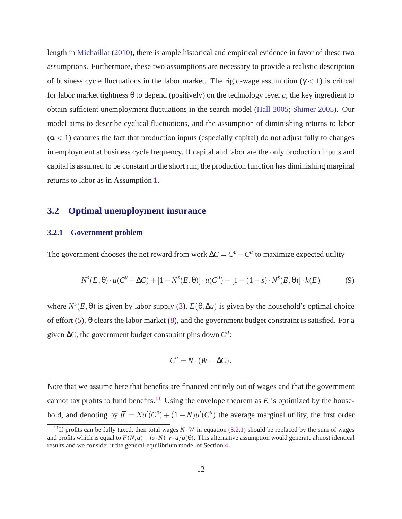length in [Michaillat](#page-43-0) [\(2010\)](#page-43-0), there is ample historical and empirical evidence in favor of these two assumptions. Furthermore, these two assumptions are necessary to provide a realistic description of business cycle fluctuations in the labor market. The rigid-wage assumption ( $\gamma$  < 1) is critical for labor market tightness  $\theta$  to depend (positively) on the technology level *a*, the key ingredient to obtain sufficient unemployment fluctuations in the search model [\(Hall 2005;](#page-43-0) [Shimer 2005\)](#page-44-0). Our model aims to describe cyclical fluctuations, and the assumption of diminishing returns to labor  $(\alpha < 1)$  captures the fact that production inputs (especially capital) do not adjust fully to changes in employment at business cycle frequency. If capital and labor are the only production inputs and capital is assumed to be constant in the short run, the production function has diminishing marginal returns to labor as in Assumption [1.](#page-10-0)

## **3.2 Optimal unemployment insurance**

## **3.2.1 Government problem**

The government chooses the net reward from work  $\Delta C = C^e - C^u$  to maximize expected utility

$$
N^{s}(E,\theta) \cdot u(C^{u} + \Delta C) + [1 - N^{s}(E,\theta)] \cdot u(C^{u}) - [1 - (1 - s) \cdot N^{s}(E,\theta)] \cdot k(E)
$$
 (9)

where  $N^{s}(E, \theta)$  is given by labor supply [\(3\)](#page-9-0),  $E(\theta, \Delta u)$  is given by the household's optimal choice of effort [\(5\)](#page-10-0), θ clears the labor market [\(8\)](#page-12-0), and the government budget constraint is satisfied. For a given  $\Delta C$ , the government budget constraint pins down  $C^u$ :

$$
C^u = N \cdot (W - \Delta C).
$$

Note that we assume here that benefits are financed entirely out of wages and that the government cannot tax profits to fund benefits.<sup>11</sup> Using the envelope theorem as  $E$  is optimized by the household, and denoting by  $\bar{u}' = Nu'(C^e) + (1 - N)u'(C^u)$  the average marginal utility, the first order

<sup>&</sup>lt;sup>11</sup>If profits can be fully taxed, then total wages  $N \cdot W$  in equation (3.2.1) should be replaced by the sum of wages and profits which is equal to  $F(N,a)-(s\cdot N)\cdot r\cdot a/q(\theta)$ . This alternative assumption would generate almost identical results and we consider it the general-equilibrium model of Section [4.](#page-26-0)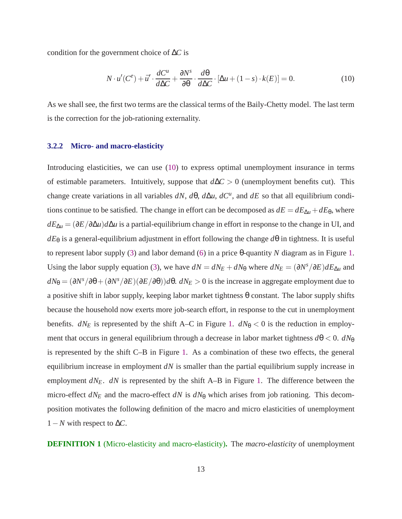<span id="page-14-0"></span>condition for the government choice of ∆*C* is

$$
N \cdot u'(C^e) + \bar{u}' \cdot \frac{dC^u}{d\Delta C} + \frac{\partial N^s}{\partial \theta} \cdot \frac{d\theta}{d\Delta C} \cdot [\Delta u + (1 - s) \cdot k(E)] = 0.
$$
 (10)

As we shall see, the first two terms are the classical terms of the Baily-Chetty model. The last term is the correction for the job-rationing externality.

#### **3.2.2 Micro- and macro-elasticity**

Introducing elasticities, we can use (10) to express optimal unemployment insurance in terms of estimable parameters. Intuitively, suppose that *d*∆*C* > 0 (unemployment benefits cut). This change create variations in all variables  $dN$ ,  $d\theta$ ,  $d\Delta u$ ,  $dC^u$ , and  $dE$  so that all equilibrium conditions continue to be satisfied. The change in effort can be decomposed as  $dE = dE_{\Delta u} + dE_{\theta}$ , where *dE*∆*<sup>u</sup>* = (∂*E*/∂∆*u*)*d*∆*u* is a partial-equilibrium change in effort in response to the change in UI, and *dE*<sup>θ</sup> is a general-equilibrium adjustment in effort following the change *d*θ in tightness. It is useful to represent labor supply [\(3\)](#page-9-0) and labor demand [\(6\)](#page-11-0) in a price θ-quantity *N* diagram as in Figure [1.](#page-61-0) Using the labor supply equation [\(3\)](#page-9-0), we have  $dN = dN_E + dN_\theta$  where  $dN_E = (\partial N^s / \partial E) dE_{\Delta u}$  and  $dN_{\theta} = (\partial N^s / \partial \theta + (\partial N^s / \partial E)(\partial E / \partial \theta))d\theta$ .  $dN_E > 0$  is the increase in aggregate employment due to a positive shift in labor supply, keeping labor market tightness  $\theta$  constant. The labor supply shifts because the household now exerts more job-search effort, in response to the cut in unemployment benefits.  $dN_E$  is represented by the shift A–C in Figure [1.](#page-61-0)  $dN_\theta < 0$  is the reduction in employment that occurs in general equilibrium through a decrease in labor market tightness  $d\theta < 0$ .  $dN_{\theta}$ is represented by the shift C–B in Figure [1.](#page-61-0) As a combination of these two effects, the general equilibrium increase in employment *dN* is smaller than the partial equilibrium supply increase in employment *dNE*. *dN* is represented by the shift A–B in Figure [1.](#page-61-0) The difference between the micro-effect  $dN<sub>E</sub>$  and the macro-effect  $dN$  is  $dN<sub>\theta</sub>$  which arises from job rationing. This decomposition motivates the following definition of the macro and micro elasticities of unemployment 1−*N* with respect to ∆*C*.

**DEFINITION 1** (Micro-elasticity and macro-elasticity)**.** The *macro-elasticity* of unemployment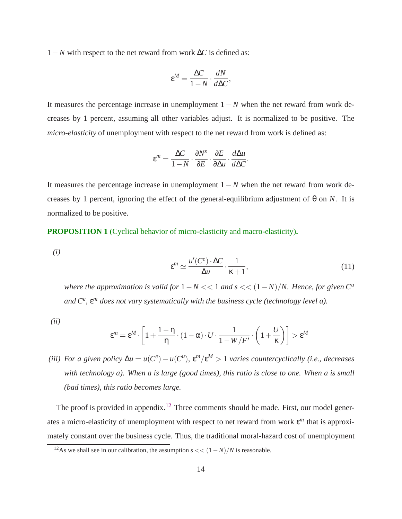<span id="page-15-0"></span>1−*N* with respect to the net reward from work ∆*C* is defined as:

$$
\varepsilon^M = \frac{\Delta C}{1 - N} \cdot \frac{dN}{d\Delta C},
$$

It measures the percentage increase in unemployment  $1 - N$  when the net reward from work decreases by 1 percent, assuming all other variables adjust. It is normalized to be positive. The *micro-elasticity* of unemployment with respect to the net reward from work is defined as:

$$
\epsilon^m = \frac{\Delta C}{1-N} \cdot \frac{\partial N^s}{\partial E} \cdot \frac{\partial E}{\partial \Delta u} \cdot \frac{d \Delta u}{d \Delta C}.
$$

It measures the percentage increase in unemployment  $1 - N$  when the net reward from work decreases by 1 percent, ignoring the effect of the general-equilibrium adjustment of θ on *N*. It is normalized to be positive.

**PROPOSITION 1** (Cyclical behavior of micro-elasticity and macro-elasticity)**.**

*(i)*

$$
\varepsilon^{m} \simeq \frac{u'(C^{e}) \cdot \Delta C}{\Delta u} \cdot \frac{1}{\kappa + 1},\tag{11}
$$

*where the approximation is valid for*  $1 - N \ll 1$  *and s*  $\ll (1 - N)/N$ *. Hence, for given*  $C^u$ *and C<sup>e</sup> ,* ε *<sup>m</sup> does not vary systematically with the business cycle (technology level a).*

*(ii)*

$$
\varepsilon^{m} = \varepsilon^{M} \cdot \left[ 1 + \frac{1 - \eta}{\eta} \cdot (1 - \alpha) \cdot U \cdot \frac{1}{1 - W/F'} \cdot \left( 1 + \frac{U}{\kappa} \right) \right] > \varepsilon^{M}
$$

*(iii)* For a given policy  $\Delta u = u(C^e) - u(C^u)$ ,  $\varepsilon^m/\varepsilon^M > 1$  varies countercyclically (i.e., decreases *with technology a). When a is large (good times), this ratio is close to one. When a is small (bad times), this ratio becomes large.*

The proof is provided in appendix.<sup>12</sup> Three comments should be made. First, our model generates a micro-elasticity of unemployment with respect to net reward from work ε *<sup>m</sup>* that is approximately constant over the business cycle. Thus, the traditional moral-hazard cost of unemployment

<sup>&</sup>lt;sup>12</sup>As we shall see in our calibration, the assumption  $s \ll (1-N)/N$  is reasonable.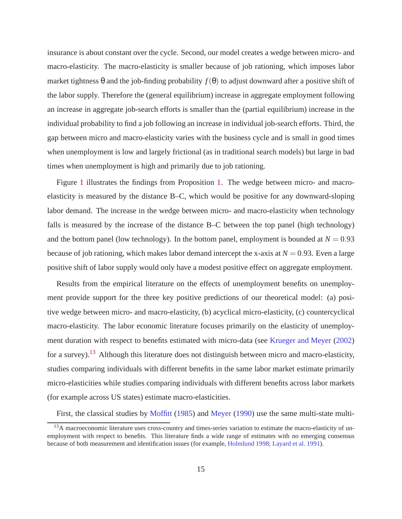insurance is about constant over the cycle. Second, our model creates a wedge between micro- and macro-elasticity. The macro-elasticity is smaller because of job rationing, which imposes labor market tightness  $\theta$  and the job-finding probability  $f(\theta)$  to adjust downward after a positive shift of the labor supply. Therefore the (general equilibrium) increase in aggregate employment following an increase in aggregate job-search efforts is smaller than the (partial equilibrium) increase in the individual probability to find a job following an increase in individual job-search efforts. Third, the gap between micro and macro-elasticity varies with the business cycle and is small in good times when unemployment is low and largely frictional (as in traditional search models) but large in bad times when unemployment is high and primarily due to job rationing.

Figure [1](#page-61-0) illustrates the findings from Proposition [1.](#page-52-0) The wedge between micro- and macroelasticity is measured by the distance B–C, which would be positive for any downward-sloping labor demand. The increase in the wedge between micro- and macro-elasticity when technology falls is measured by the increase of the distance B–C between the top panel (high technology) and the bottom panel (low technology). In the bottom panel, employment is bounded at  $N = 0.93$ because of job rationing, which makes labor demand intercept the x-axis at  $N = 0.93$ . Even a large positive shift of labor supply would only have a modest positive effect on aggregate employment.

Results from the empirical literature on the effects of unemployment benefits on unemployment provide support for the three key positive predictions of our theoretical model: (a) positive wedge between micro- and macro-elasticity, (b) acyclical micro-elasticity, (c) countercyclical macro-elasticity. The labor economic literature focuses primarily on the elasticity of unemployment duration with respect to benefits estimated with micro-data (see [Krueger and Meyer](#page-43-0) [\(2002](#page-43-0)) for a survey).<sup>13</sup> Although this literature does not distinguish between micro and macro-elasticity, studies comparing individuals with different benefits in the same labor market estimate primarily micro-elasticities while studies comparing individuals with different benefits across labor markets (for example across US states) estimate macro-elasticities.

First, the classical studies by [Moffitt](#page-43-0) [\(1985](#page-43-0)) and [Meyer](#page-43-0) [\(1990\)](#page-43-0) use the same multi-state multi-

<sup>&</sup>lt;sup>13</sup>A macroeconomic literature uses cross-country and times-series variation to estimate the macro-elasticity of unemployment with respect to benefits. This literature finds a wide range of estimates with no emerging consensus because of both measurement and identification issues (for example, [Holmlund 1998;](#page-43-0) [Layard et al. 1991\)](#page-43-0).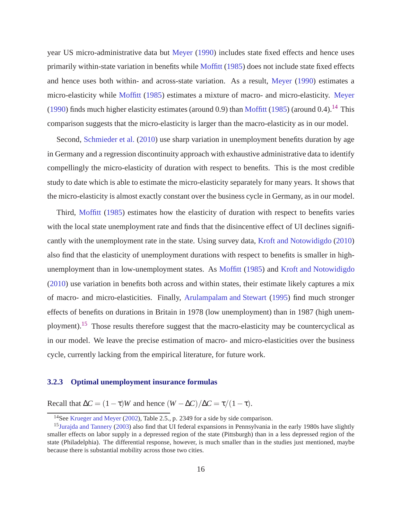year US micro-administrative data but [Meyer](#page-43-0) [\(1990](#page-43-0)) includes state fixed effects and hence uses primarily within-state variation in benefits while [Moffitt](#page-43-0) [\(1985](#page-43-0)) does not include state fixed effects and hence uses both within- and across-state variation. As a result, [Meyer](#page-43-0) [\(1990](#page-43-0)) estimates a micro-elasticity while [Moffitt](#page-43-0) [\(1985\)](#page-43-0) estimates a mixture of macro- and micro-elasticity. [Meyer](#page-43-0) [\(1990\)](#page-43-0) finds much higher elasticity estimates (around 0.9) than [Moffitt](#page-43-0) [\(1985](#page-43-0)) (around 0.4).<sup>14</sup> This comparison suggests that the micro-elasticity is larger than the macro-elasticity as in our model.

Second, [Schmieder et al.](#page-44-0) [\(2010](#page-44-0)) use sharp variation in unemployment benefits duration by age in Germany and a regression discontinuity approach with exhaustive administrative data to identify compellingly the micro-elasticity of duration with respect to benefits. This is the most credible study to date which is able to estimate the micro-elasticity separately for many years. It shows that the micro-elasticity is almost exactly constant over the business cycle in Germany, as in our model.

Third, [Moffitt](#page-43-0) [\(1985](#page-43-0)) estimates how the elasticity of duration with respect to benefits varies with the local state unemployment rate and finds that the disincentive effect of UI declines significantly with the unemployment rate in the state. Using survey data, [Kroft and Notowidigdo](#page-43-0) [\(2010](#page-43-0)) also find that the elasticity of unemployment durations with respect to benefits is smaller in highunemployment than in low-unemployment states. As [Moffitt](#page-43-0) [\(1985](#page-43-0)) and [Kroft and Notowidigdo](#page-43-0) [\(2010\)](#page-43-0) use variation in benefits both across and within states, their estimate likely captures a mix of macro- and micro-elasticities. Finally, [Arulampalam and Stewart](#page-42-0) [\(1995](#page-42-0)) find much stronger effects of benefits on durations in Britain in 1978 (low unemployment) than in 1987 (high unemployment).<sup>15</sup> Those results therefore suggest that the macro-elasticity may be countercyclical as in our model. We leave the precise estimation of macro- and micro-elasticities over the business cycle, currently lacking from the empirical literature, for future work.

## **3.2.3 Optimal unemployment insurance formulas**

Recall that  $\Delta C = (1 - \tau)W$  and hence  $(W - \Delta C)/\Delta C = \tau/(1 - \tau)$ .

<sup>&</sup>lt;sup>14</sup>See [Krueger and Meyer](#page-43-0) [\(2002](#page-43-0)), Table 2.5., p. 2349 for a side by side comparison.

<sup>&</sup>lt;sup>15</sup>[Jurajda and Tannery](#page-43-0) [\(2003\)](#page-43-0) also find that UI federal expansions in Pennsylvania in the early 1980s have slightly smaller effects on labor supply in a depressed region of the state (Pittsburgh) than in a less depressed region of the state (Philadelphia). The differential response, however, is much smaller than in the studies just mentioned, maybe because there is substantial mobility across those two cities.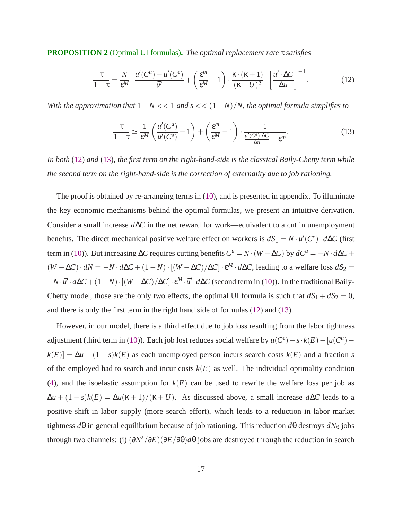<span id="page-18-0"></span>**PROPOSITION 2** (Optimal UI formulas)**.** *The optimal replacement rate* τ *satisfies*

$$
\frac{\tau}{1-\tau} = \frac{N}{\epsilon^M} \cdot \frac{u'(C^u) - u'(C^e)}{\bar{u}'} + \left(\frac{\epsilon^m}{\epsilon^M} - 1\right) \cdot \frac{\kappa \cdot (\kappa + 1)}{(\kappa + U)^2} \cdot \left[\frac{\bar{u}' \cdot \Delta C}{\Delta u}\right]^{-1}.
$$
 (12)

*With the approximation that* 1−*N* << 1 *and s* << (1−*N*)/*N, the optimal formula simplifies to*

$$
\frac{\tau}{1-\tau} \simeq \frac{1}{\epsilon^M} \left( \frac{u'(C^u)}{u'(C^e)} - 1 \right) + \left( \frac{\epsilon^m}{\epsilon^M} - 1 \right) \cdot \frac{1}{\frac{u'(C^e) \cdot \Delta C}{\Delta u} - \epsilon^m}.
$$
\n(13)

*In both* (12) *and* (13)*, the first term on the right-hand-side is the classical Baily-Chetty term while the second term on the right-hand-side is the correction of externality due to job rationing.*

The proof is obtained by re-arranging terms in [\(10\)](#page-14-0), and is presented in appendix. To illuminate the key economic mechanisms behind the optimal formulas, we present an intuitive derivation. Consider a small increase *d*∆*C* in the net reward for work—equivalent to a cut in unemployment benefits. The direct mechanical positive welfare effect on workers is  $dS_1 = N \cdot u'(C^e) \cdot d\Delta C$  (first term in [\(10\)](#page-14-0)). But increasing  $\Delta C$  requires cutting benefits  $C^u = N \cdot (W - \Delta C)$  by  $dC^u = -N \cdot d\Delta C +$  $(W - \Delta C) \cdot dN = -N \cdot d\Delta C + (1 - N) \cdot [(W - \Delta C)/\Delta C] \cdot \varepsilon^M \cdot d\Delta C$ , leading to a welfare loss  $dS_2 =$  $-N \cdot \bar{u}' \cdot d\Delta C + (1-N) \cdot [(W - \Delta C)/\Delta C] \cdot \epsilon^M \cdot \bar{u}' \cdot d\Delta C$  (second term in [\(10\)](#page-14-0)). In the traditional Baily-Chetty model, those are the only two effects, the optimal UI formula is such that  $dS_1 + dS_2 = 0$ , and there is only the first term in the right hand side of formulas (12) and (13).

However, in our model, there is a third effect due to job loss resulting from the labor tightness adjustment (third term in [\(10\)](#page-14-0)). Each job lost reduces social welfare by  $u(C^e) - s \cdot k(E) - [u(C^u)$  $k(E)$ ] =  $\Delta u + (1 - s)k(E)$  as each unemployed person incurs search costs  $k(E)$  and a fraction *s* of the employed had to search and incur costs  $k(E)$  as well. The individual optimality condition [\(4\)](#page-10-0), and the isoelastic assumption for  $k(E)$  can be used to rewrite the welfare loss per job as  $\Delta u + (1 - s)k(E) = \Delta u(\kappa + 1)/(\kappa + U)$ . As discussed above, a small increase  $d\Delta C$  leads to a positive shift in labor supply (more search effort), which leads to a reduction in labor market tightness *d*θ in general equilibrium because of job rationing. This reduction *d*θ destroys *dN*<sup>θ</sup> jobs through two channels: (i) (∂*N <sup>s</sup>*/∂*E*)(∂*E*/∂θ)*d*θ jobs are destroyed through the reduction in search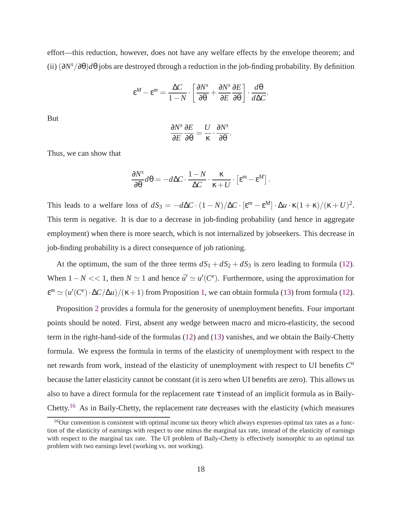effort—this reduction, however, does not have any welfare effects by the envelope theorem; and (ii) (∂*N <sup>s</sup>*/∂θ)*d*θ jobs are destroyed through a reduction in the job-finding probability. By definition

$$
\varepsilon^M - \varepsilon^m = \frac{\Delta C}{1 - N} \cdot \left[ \frac{\partial N^s}{\partial \theta} + \frac{\partial N^s}{\partial E} \frac{\partial E}{\partial \theta} \right] \cdot \frac{d\theta}{d\Delta C}
$$

.

But

$$
\frac{\partial N^s}{\partial E} \frac{\partial E}{\partial \theta} = \frac{U}{\kappa} \cdot \frac{\partial N^s}{\partial \theta}.
$$

Thus, we can show that

$$
\frac{\partial N^s}{\partial \theta} d\theta = -d\Delta C \cdot \frac{1-N}{\Delta C} \cdot \frac{\kappa}{\kappa+U} \cdot \left[ \epsilon^m - \epsilon^M \right].
$$

This leads to a welfare loss of  $dS_3 = -d\Delta C \cdot (1 - N)/\Delta C \cdot [\varepsilon^m - \varepsilon^M] \cdot \Delta u \cdot \kappa (1 + \kappa)/(\kappa + U)^2$ . This term is negative. It is due to a decrease in job-finding probability (and hence in aggregate employment) when there is more search, which is not internalized by jobseekers. This decrease in job-finding probability is a direct consequence of job rationing.

At the optimum, the sum of the three terms  $dS_1 + dS_2 + dS_3$  is zero leading to formula [\(12\)](#page-18-0). When  $1 - N \lt \lt 1$ , then  $N \simeq 1$  and hence  $\bar{u}' \simeq u'(C^e)$ . Furthermore, using the approximation for  $\varepsilon^m \simeq (u'(C^e) \cdot \Delta C/\Delta u)/(\kappa+1)$  from Proposition [1,](#page-52-0) we can obtain formula [\(13\)](#page-18-0) from formula [\(12\)](#page-18-0).

Proposition [2](#page-18-0) provides a formula for the generosity of unemployment benefits. Four important points should be noted. First, absent any wedge between macro and micro-elasticity, the second term in the right-hand-side of the formulas [\(12\)](#page-18-0) and [\(13\)](#page-18-0) vanishes, and we obtain the Baily-Chetty formula. We express the formula in terms of the elasticity of unemployment with respect to the net rewards from work, instead of the elasticity of unemployment with respect to UI benefits *C u* because the latter elasticity cannot be constant (it is zero when UI benefits are zero). This allows us also to have a direct formula for the replacement rate  $\tau$  instead of an implicit formula as in Baily-Chetty.<sup>16</sup> As in Baily-Chetty, the replacement rate decreases with the elasticity (which measures

 $16$ Our convention is consistent with optimal income tax theory which always expresses optimal tax rates as a function of the elasticity of earnings with respect to one minus the marginal tax rate, instead of the elasticity of earnings with respect to the marginal tax rate. The UI problem of Baily-Chetty is effectively isomorphic to an optimal tax problem with two earnings level (working vs. not working).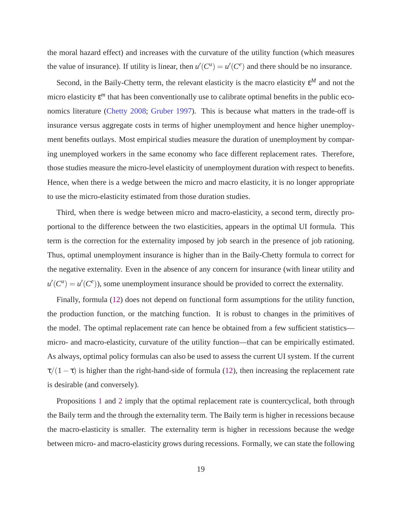the moral hazard effect) and increases with the curvature of the utility function (which measures the value of insurance). If utility is linear, then  $u'(C^u) = u'(C^e)$  and there should be no insurance.

Second, in the Baily-Chetty term, the relevant elasticity is the macro elasticity  $\varepsilon^M$  and not the micro elasticity  $\varepsilon^m$  that has been conventionally use to calibrate optimal benefits in the public economics literature [\(Chetty 2008](#page-42-0); [Gruber 1997](#page-42-0)). This is because what matters in the trade-off is insurance versus aggregate costs in terms of higher unemployment and hence higher unemployment benefits outlays. Most empirical studies measure the duration of unemployment by comparing unemployed workers in the same economy who face different replacement rates. Therefore, those studies measure the micro-level elasticity of unemployment duration with respect to benefits. Hence, when there is a wedge between the micro and macro elasticity, it is no longer appropriate to use the micro-elasticity estimated from those duration studies.

Third, when there is wedge between micro and macro-elasticity, a second term, directly proportional to the difference between the two elasticities, appears in the optimal UI formula. This term is the correction for the externality imposed by job search in the presence of job rationing. Thus, optimal unemployment insurance is higher than in the Baily-Chetty formula to correct for the negative externality. Even in the absence of any concern for insurance (with linear utility and  $u'(C^u) = u'(C^e)$ , some unemployment insurance should be provided to correct the externality.

Finally, formula [\(12\)](#page-18-0) does not depend on functional form assumptions for the utility function, the production function, or the matching function. It is robust to changes in the primitives of the model. The optimal replacement rate can hence be obtained from a few sufficient statistics micro- and macro-elasticity, curvature of the utility function—that can be empirically estimated. As always, optimal policy formulas can also be used to assess the current UI system. If the current  $\tau/(1-\tau)$  is higher than the right-hand-side of formula [\(12\)](#page-18-0), then increasing the replacement rate is desirable (and conversely).

Propositions [1](#page-52-0) and [2](#page-18-0) imply that the optimal replacement rate is countercyclical, both through the Baily term and the through the externality term. The Baily term is higher in recessions because the macro-elasticity is smaller. The externality term is higher in recessions because the wedge between micro- and macro-elasticity grows during recessions. Formally, we can state the following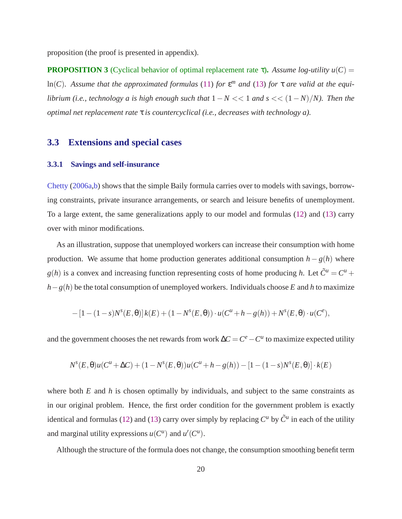<span id="page-21-0"></span>proposition (the proof is presented in appendix).

**PROPOSITION 3** (Cyclical behavior of optimal replacement rate  $\tau$ ). Assume log-utility  $u(C)$  = ln(*C*). Assume that the approximated formulas [\(11\)](#page-15-0) for  $\varepsilon^m$  and [\(13\)](#page-18-0) for  $\tau$  are valid at the equi*librium (i.e., technology a is high enough such that*  $1 - N \lt 1$  *and*  $s \lt (1 - N) / N$ *). Then the optimal net replacement rate* τ *is countercyclical (i.e., decreases with technology a).*

## **3.3 Extensions and special cases**

#### **3.3.1 Savings and self-insurance**

[Chetty](#page-42-0) [\(2006a,b\)](#page-42-0) shows that the simple Baily formula carries over to models with savings, borrowing constraints, private insurance arrangements, or search and leisure benefits of unemployment. To a large extent, the same generalizations apply to our model and formulas [\(12\)](#page-18-0) and [\(13\)](#page-18-0) carry over with minor modifications.

As an illustration, suppose that unemployed workers can increase their consumption with home production. We assume that home production generates additional consumption  $h - g(h)$  where  $g(h)$  is a convex and increasing function representing costs of home producing *h*. Let  $\tilde{C}^u = C^u + C^u$  $h-g(h)$  be the total consumption of unemployed workers. Individuals choose *E* and *h* to maximize

$$
-[1-(1-s)N^{s}(E,\theta)]k(E) + (1-N^{s}(E,\theta)) \cdot u(C^{u}+h-g(h)) + N^{s}(E,\theta) \cdot u(C^{e}),
$$

and the government chooses the net rewards from work  $\Delta C = C^e - C^u$  to maximize expected utility

$$
N^{s}(E,\theta)u(C^{u} + \Delta C) + (1 - N^{s}(E,\theta))u(C^{u} + h - g(h)) - [1 - (1 - s)N^{s}(E,\theta)] \cdot k(E)
$$

where both  $E$  and  $h$  is chosen optimally by individuals, and subject to the same constraints as in our original problem. Hence, the first order condition for the government problem is exactly identical and formulas [\(12\)](#page-18-0) and [\(13\)](#page-18-0) carry over simply by replacing  $C^u$  by  $\tilde{C}^u$  in each of the utility and marginal utility expressions  $u(C^u)$  and  $u'(C^u)$ .

Although the structure of the formula does not change, the consumption smoothing benefit term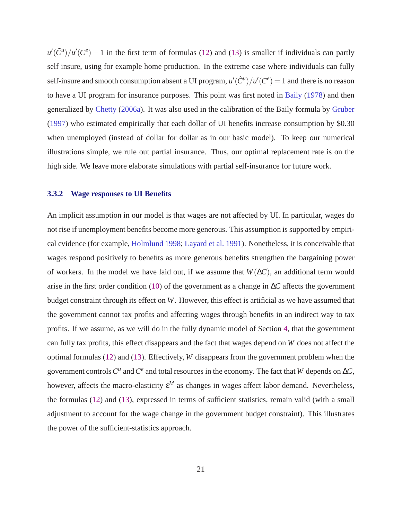$u'(\tilde{C}^u)/u'(C^e) - 1$  in the first term of formulas [\(12\)](#page-18-0) and [\(13\)](#page-18-0) is smaller if individuals can partly self insure, using for example home production. In the extreme case where individuals can fully self-insure and smooth consumption absent a UI program,  $u'(\tilde{C}^u)/u'(C^e) = 1$  and there is no reason to have a UI program for insurance purposes. This point was first noted in [Baily](#page-42-0) [\(1978\)](#page-42-0) and then generalized by [Chetty](#page-42-0) [\(2006a\)](#page-42-0). It was also used in the calibration of the Baily formula by [Gruber](#page-42-0) [\(1997\)](#page-42-0) who estimated empirically that each dollar of UI benefits increase consumption by \$0.30 when unemployed (instead of dollar for dollar as in our basic model). To keep our numerical illustrations simple, we rule out partial insurance. Thus, our optimal replacement rate is on the high side. We leave more elaborate simulations with partial self-insurance for future work.

#### **3.3.2 Wage responses to UI Benefits**

An implicit assumption in our model is that wages are not affected by UI. In particular, wages do not rise if unemployment benefits become more generous. This assumption is supported by empirical evidence (for example, [Holmlund 1998](#page-43-0); [Layard et al. 1991](#page-43-0)). Nonetheless, it is conceivable that wages respond positively to benefits as more generous benefits strengthen the bargaining power of workers. In the model we have laid out, if we assume that  $W(\Delta C)$ , an additional term would arise in the first order condition [\(10\)](#page-14-0) of the government as a change in ∆*C* affects the government budget constraint through its effect on *W*. However, this effect is artificial as we have assumed that the government cannot tax profits and affecting wages through benefits in an indirect way to tax profits. If we assume, as we will do in the fully dynamic model of Section [4,](#page-26-0) that the government can fully tax profits, this effect disappears and the fact that wages depend on *W* does not affect the optimal formulas [\(12\)](#page-18-0) and [\(13\)](#page-18-0). Effectively, *W* disappears from the government problem when the government controls  $C^u$  and  $C^e$  and total resources in the economy. The fact that *W* depends on  $\Delta C$ , however, affects the macro-elasticity  $\varepsilon^M$  as changes in wages affect labor demand. Nevertheless, the formulas [\(12\)](#page-18-0) and [\(13\)](#page-18-0), expressed in terms of sufficient statistics, remain valid (with a small adjustment to account for the wage change in the government budget constraint). This illustrates the power of the sufficient-statistics approach.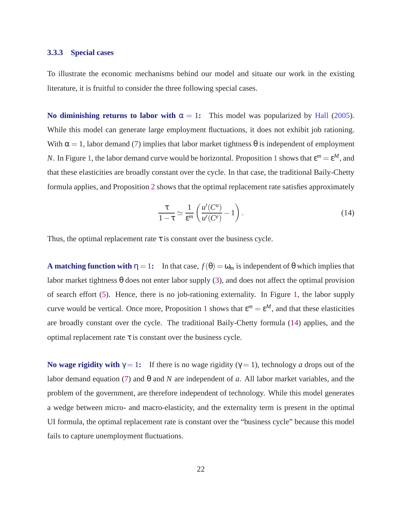## **3.3.3 Special cases**

To illustrate the economic mechanisms behind our model and situate our work in the existing literature, it is fruitful to consider the three following special cases.

**No diminishing returns to labor with**  $\alpha = 1$ **:** This model was popularized by [Hall](#page-43-0) [\(2005](#page-43-0)). While this model can generate large employment fluctuations, it does not exhibit job rationing. With  $\alpha = 1$ , labor demand [\(7\)](#page-12-0) implies that labor market tightness  $\theta$  is independent of employment *N*. In Figure [1,](#page-61-0) the labor demand curve would be horizontal. Proposition [1](#page-52-0) shows that  $\varepsilon^m = \varepsilon^M$ , and that these elasticities are broadly constant over the cycle. In that case, the traditional Baily-Chetty formula applies, and Proposition [2](#page-18-0) shows that the optimal replacement rate satisfies approximately

$$
\frac{\tau}{1-\tau} \simeq \frac{1}{\varepsilon^m} \left( \frac{u'(C^u)}{u'(C^e)} - 1 \right). \tag{14}
$$

Thus, the optimal replacement rate  $\tau$  is constant over the business cycle.

**A matching function with**  $\eta = 1$ : In that case,  $f(\theta) = \omega_m$  is independent of  $\theta$  which implies that labor market tightness  $\theta$  does not enter labor supply [\(3\)](#page-9-0), and does not affect the optimal provision of search effort [\(5\)](#page-10-0). Hence, there is no job-rationing externality. In Figure [1,](#page-61-0) the labor supply curve would be vertical. Once more, Proposition [1](#page-52-0) shows that  $\varepsilon^{m} = \varepsilon^{M}$ , and that these elasticities are broadly constant over the cycle. The traditional Baily-Chetty formula (14) applies, and the optimal replacement rate  $\tau$  is constant over the business cycle.

**No wage rigidity with**  $\gamma = 1$ : If there is no wage rigidity ( $\gamma = 1$ ), technology *a* drops out of the labor demand equation [\(7\)](#page-12-0) and θ and *N* are independent of *a*. All labor market variables, and the problem of the government, are therefore independent of technology. While this model generates a wedge between micro- and macro-elasticity, and the externality term is present in the optimal UI formula, the optimal replacement rate is constant over the "business cycle" because this model fails to capture unemployment fluctuations.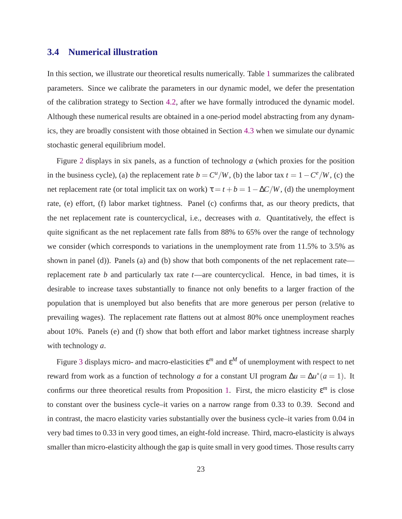## **3.4 Numerical illustration**

In this section, we illustrate our theoretical results numerically. Table [1](#page-59-0) summarizes the calibrated parameters. Since we calibrate the parameters in our dynamic model, we defer the presentation of the calibration strategy to Section [4.2,](#page-31-0) after we have formally introduced the dynamic model. Although these numerical results are obtained in a one-period model abstracting from any dynamics, they are broadly consistent with those obtained in Section [4.3](#page-33-0) when we simulate our dynamic stochastic general equilibrium model.

Figure [2](#page-62-0) displays in six panels, as a function of technology *a* (which proxies for the position in the business cycle), (a) the replacement rate  $b = C^u/W$ , (b) the labor tax  $t = 1 - C^e/W$ , (c) the net replacement rate (or total implicit tax on work)  $\tau = t + b = 1 - \Delta C/W$ , (d) the unemployment rate, (e) effort, (f) labor market tightness. Panel (c) confirms that, as our theory predicts, that the net replacement rate is countercyclical, i.e., decreases with *a*. Quantitatively, the effect is quite significant as the net replacement rate falls from 88% to 65% over the range of technology we consider (which corresponds to variations in the unemployment rate from 11.5% to 3.5% as shown in panel (d)). Panels (a) and (b) show that both components of the net replacement rate replacement rate *b* and particularly tax rate *t*—are countercyclical. Hence, in bad times, it is desirable to increase taxes substantially to finance not only benefits to a larger fraction of the population that is unemployed but also benefits that are more generous per person (relative to prevailing wages). The replacement rate flattens out at almost 80% once unemployment reaches about 10%. Panels (e) and (f) show that both effort and labor market tightness increase sharply with technology *a*.

Figure [3](#page-63-0) displays micro- and macro-elasticities  $\varepsilon^m$  and  $\varepsilon^M$  of unemployment with respect to net reward from work as a function of technology *a* for a constant UI program  $\Delta u = \Delta u^*(a = 1)$ . It confirms our three theoretical results from Proposition [1.](#page-52-0) First, the micro elasticity ε *<sup>m</sup>* is close to constant over the business cycle–it varies on a narrow range from 0.33 to 0.39. Second and in contrast, the macro elasticity varies substantially over the business cycle–it varies from 0.04 in very bad times to 0.33 in very good times, an eight-fold increase. Third, macro-elasticity is always smaller than micro-elasticity although the gap is quite small in very good times. Those results carry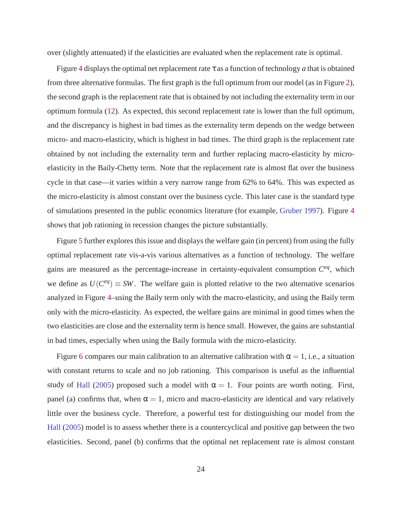over (slightly attenuated) if the elasticities are evaluated when the replacement rate is optimal.

Figure [4](#page-64-0) displays the optimal net replacement rate  $\tau$  as a function of technology *a* that is obtained from three alternative formulas. The first graph is the full optimum from our model (as in Figure [2\)](#page-62-0), the second graph is the replacement rate that is obtained by not including the externality term in our optimum formula [\(12\)](#page-18-0). As expected, this second replacement rate is lower than the full optimum, and the discrepancy is highest in bad times as the externality term depends on the wedge between micro- and macro-elasticity, which is highest in bad times. The third graph is the replacement rate obtained by not including the externality term and further replacing macro-elasticity by microelasticity in the Baily-Chetty term. Note that the replacement rate is almost flat over the business cycle in that case—it varies within a very narrow range from 62% to 64%. This was expected as the micro-elasticity is almost constant over the business cycle. This later case is the standard type of simulations presented in the public economics literature (for example, [Gruber 1997\)](#page-42-0). Figure [4](#page-64-0) shows that job rationing in recession changes the picture substantially.

Figure [5](#page-65-0) further explores this issue and displays the welfare gain (in percent) from using the fully optimal replacement rate vis-a-vis various alternatives as a function of technology. The welfare gains are measured as the percentage-increase in certainty-equivalent consumption  $C^{eq}$ , which we define as  $U(C^{eq}) \equiv SW$ . The welfare gain is plotted relative to the two alternative scenarios analyzed in Figure [4–](#page-64-0)using the Baily term only with the macro-elasticity, and using the Baily term only with the micro-elasticity. As expected, the welfare gains are minimal in good times when the two elasticities are close and the externality term is hence small. However, the gains are substantial in bad times, especially when using the Baily formula with the micro-elasticity.

Figure [6](#page-66-0) compares our main calibration to an alternative calibration with  $\alpha = 1$ , i.e., a situation with constant returns to scale and no job rationing. This comparison is useful as the influential study of [Hall](#page-43-0) [\(2005\)](#page-43-0) proposed such a model with  $\alpha = 1$ . Four points are worth noting. First, panel (a) confirms that, when  $\alpha = 1$ , micro and macro-elasticity are identical and vary relatively little over the business cycle. Therefore, a powerful test for distinguishing our model from the [Hall](#page-43-0) [\(2005](#page-43-0)) model is to assess whether there is a countercyclical and positive gap between the two elasticities. Second, panel (b) confirms that the optimal net replacement rate is almost constant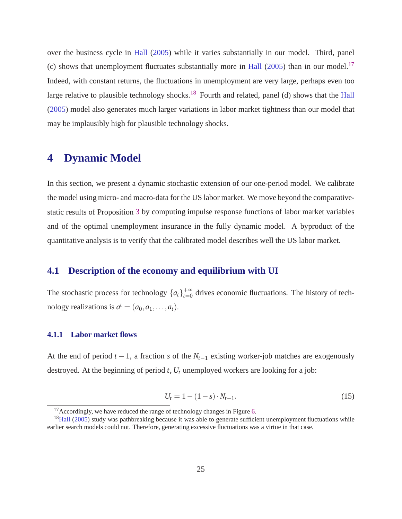<span id="page-26-0"></span>over the business cycle in [Hall](#page-43-0) [\(2005](#page-43-0)) while it varies substantially in our model. Third, panel (c) shows that unemployment fluctuates substantially more in [Hall](#page-43-0) [\(2005](#page-43-0)) than in our model.<sup>17</sup> Indeed, with constant returns, the fluctuations in unemployment are very large, perhaps even too large relative to plausible technology shocks.<sup>18</sup> Fourth and related, panel (d) shows that the [Hall](#page-43-0) [\(2005\)](#page-43-0) model also generates much larger variations in labor market tightness than our model that may be implausibly high for plausible technology shocks.

# **4 Dynamic Model**

In this section, we present a dynamic stochastic extension of our one-period model. We calibrate the model using micro- and macro-data for the US labor market. We move beyond the comparativestatic results of Proposition [3](#page-21-0) by computing impulse response functions of labor market variables and of the optimal unemployment insurance in the fully dynamic model. A byproduct of the quantitative analysis is to verify that the calibrated model describes well the US labor market.

## **4.1 Description of the economy and equilibrium with UI**

The stochastic process for technology  $\{a_t\}_{t=0}^{+\infty}$  $t_{t=0}^{+\infty}$  drives economic fluctuations. The history of technology realizations is  $a^t = (a_0, a_1, \ldots, a_t)$ .

## **4.1.1 Labor market flows**

At the end of period *t* − 1, a fraction *s* of the *Nt*−<sup>1</sup> existing worker-job matches are exogenously destroyed. At the beginning of period *t*, *U<sup>t</sup>* unemployed workers are looking for a job:

$$
U_t = 1 - (1 - s) \cdot N_{t-1}.
$$
\n(15)

 $17$ Accordingly, we have reduced the range of technology changes in Figure [6.](#page-66-0)

<sup>&</sup>lt;sup>18</sup>[Hall](#page-43-0) [\(2005\)](#page-43-0) study was pathbreaking because it was able to generate sufficient unemployment fluctuations while earlier search models could not. Therefore, generating excessive fluctuations was a virtue in that case.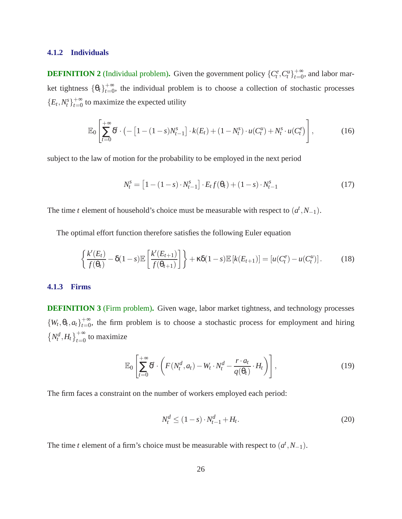## <span id="page-27-0"></span>**4.1.2 Individuals**

**DEFINITION 2** (Individual problem). Given the government policy  $\{C_t^e, C_t^u\}_{t=0}^{+\infty}$  $_{t=0}^{+\infty}$ , and labor market tightness  $\{\theta_t\}_{t=0}^{+\infty}$  $t_{t=0}^{+\infty}$ , the individual problem is to choose a collection of stochastic processes  ${E_t, N_t^s}_{t=0}^{+\infty}$  $t_{t=0}^{+\infty}$  to maximize the expected utility

$$
\mathbb{E}_0 \left[ \sum_{t=0}^{+\infty} \delta^t \cdot \left( -\left[ 1 - (1-s)N_{t-1}^s \right] \cdot k(E_t) + (1-N_t^s) \cdot u(C_t^u) + N_t^s \cdot u(C_t^e) \right],\right. (16)
$$

subject to the law of motion for the probability to be employed in the next period

$$
N_t^s = [1 - (1 - s) \cdot N_{t-1}^s] \cdot E_t f(\theta_t) + (1 - s) \cdot N_{t-1}^s \tag{17}
$$

The time *t* element of household's choice must be measurable with respect to  $(a<sup>t</sup>, N<sub>-1</sub>)$ .

The optimal effort function therefore satisfies the following Euler equation

$$
\left\{\frac{k'(E_t)}{f(\theta_t)} - \delta(1-s)\mathbb{E}\left[\frac{k'(E_{t+1})}{f(\theta_{t+1})}\right]\right\} + \kappa\delta(1-s)\mathbb{E}\left[k(E_{t+1})\right] = \left[u(C_t^e) - u(C_t^u)\right].\tag{18}
$$

## **4.1.3 Firms**

**DEFINITION 3** (Firm problem). Given wage, labor market tightness, and technology processes  $\{W_t, \theta_t, a_t\}_{t=0}^{+\infty}$  $t_{t=0}^{+\infty}$ , the firm problem is to choose a stochastic process for employment and hiring  $\left\{N_t^d, H_t\right\}_{t=0}^{+\infty}$  to maximize

$$
\mathbb{E}_0\left[\sum_{t=0}^{+\infty} \delta^t \cdot \left(F(N_t^d, a_t) - W_t \cdot N_t^d - \frac{r \cdot a_t}{q(\theta_t)} \cdot H_t\right)\right],\tag{19}
$$

The firm faces a constraint on the number of workers employed each period:

$$
N_t^d \le (1 - s) \cdot N_{t-1}^d + H_t. \tag{20}
$$

The time *t* element of a firm's choice must be measurable with respect to  $(a^t, N_{-1})$ .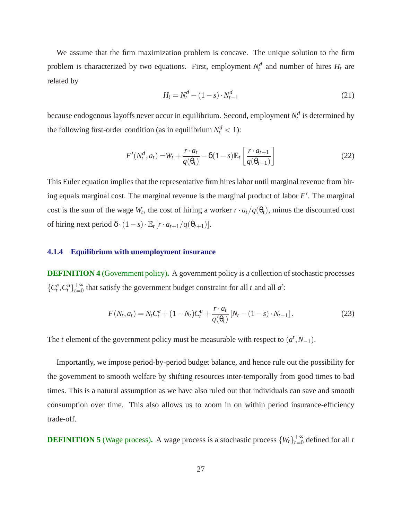<span id="page-28-0"></span>We assume that the firm maximization problem is concave. The unique solution to the firm problem is characterized by two equations. First, employment  $N_t^d$  and number of hires  $H_t$  are related by

$$
H_t = N_t^d - (1 - s) \cdot N_{t-1}^d \tag{21}
$$

because endogenous layoffs never occur in equilibrium. Second, employment  $N_t^d$  is determined by the following first-order condition (as in equilibrium  $N_t^d < 1$ ):

$$
F'(N_t^d, a_t) = W_t + \frac{r \cdot a_t}{q(\theta_t)} - \delta(1-s) \mathbb{E}_t \left[ \frac{r \cdot a_{t+1}}{q(\theta_{t+1})} \right]
$$
(22)

This Euler equation implies that the representative firm hires labor until marginal revenue from hiring equals marginal cost. The marginal revenue is the marginal product of labor *F* ′ . The marginal cost is the sum of the wage  $W_t$ , the cost of hiring a worker  $r \cdot a_t / q(\theta_t)$ , minus the discounted cost of hiring next period  $\delta \cdot (1-s) \cdot \mathbb{E}_t[r \cdot a_{t+1}/q(\theta_{t+1})].$ 

### **4.1.4 Equilibrium with unemployment insurance**

**DEFINITION 4** (Government policy). A government policy is a collection of stochastic processes  ${C_t^e, C_t^u}_{t=0}^{+\infty}$ <sup>+∞</sup> that satisfy the government budget constraint for all *t* and all  $a^t$ :

$$
F(N_t, a_t) = N_t C_t^e + (1 - N_t)C_t^u + \frac{r \cdot a_t}{q(\theta_t)} [N_t - (1 - s) \cdot N_{t-1}].
$$
\n(23)

The *t* element of the government policy must be measurable with respect to  $(a<sup>t</sup>, N<sub>-1</sub>)$ .

Importantly, we impose period-by-period budget balance, and hence rule out the possibility for the government to smooth welfare by shifting resources inter-temporally from good times to bad times. This is a natural assumption as we have also ruled out that individuals can save and smooth consumption over time. This also allows us to zoom in on within period insurance-efficiency trade-off.

**DEFINITION 5** (Wage process). A wage process is a stochastic process  ${W_t}_{t=0}^{+\infty}$  $t_{t=0}^{+\infty}$  defined for all *t*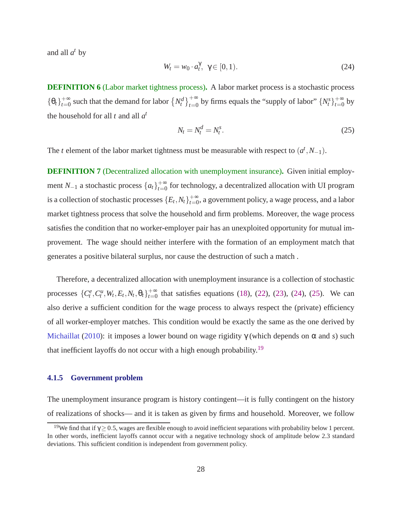and all  $a^t$  by

$$
W_t = w_0 \cdot a_t^{\gamma}, \ \gamma \in [0, 1). \tag{24}
$$

**DEFINITION 6** (Labor market tightness process). A labor market process is a stochastic process  ${\{\theta_t\}}_{t=0}^{+\infty}$ *t*<sup>=∞</sup> such that the demand for labor  $\{N_t^d\}_{t=0}^{+\infty}$  by firms equals the "supply of labor"  $\{N_t^s\}_{t=0}^{+\infty}$  $_{t=0}^{+\infty}$  by the household for all *t* and all *a t*

$$
N_t = N_t^d = N_t^s. \tag{25}
$$

The *t* element of the labor market tightness must be measurable with respect to  $(a<sup>t</sup>, N<sub>-1</sub>)$ .

**DEFINITION 7** (Decentralized allocation with unemployment insurance). Given initial employment *N*<sup>−1</sup> a stochastic process  $\{a_t\}_{t=0}^{+\infty}$  $_{t=0}^{+\infty}$  for technology, a decentralized allocation with UI program is a collection of stochastic processes  $\{E_t, N_t\}_{t=0}^{+\infty}$  $\sigma_{t=0}^{+\infty}$ , a government policy, a wage process, and a labor market tightness process that solve the household and firm problems. Moreover, the wage process satisfies the condition that no worker-employer pair has an unexploited opportunity for mutual improvement. The wage should neither interfere with the formation of an employment match that generates a positive bilateral surplus, nor cause the destruction of such a match .

Therefore, a decentralized allocation with unemployment insurance is a collection of stochastic processes  $\{C_t^e, C_t^u, W_t, E_t, N_t, \theta_t\}_{t=0}^{+\infty}$  $t_{t=0}^{+\infty}$  that satisfies equations [\(18\)](#page-27-0), [\(22\)](#page-28-0), [\(23\)](#page-28-0), (24), (25). We can also derive a sufficient condition for the wage process to always respect the (private) efficiency of all worker-employer matches. This condition would be exactly the same as the one derived by [Michaillat](#page-43-0) [\(2010\)](#page-43-0): it imposes a lower bound on wage rigidity  $\gamma$  (which depends on  $\alpha$  and *s*) such that inefficient layoffs do not occur with a high enough probability.<sup>19</sup>

## **4.1.5 Government problem**

The unemployment insurance program is history contingent—it is fully contingent on the history of realizations of shocks— and it is taken as given by firms and household. Moreover, we follow

<sup>&</sup>lt;sup>19</sup>We find that if  $\gamma \ge 0.5$ , wages are flexible enough to avoid inefficient separations with probability below 1 percent. In other words, inefficient layoffs cannot occur with a negative technology shock of amplitude below 2.3 standard deviations. This sufficient condition is independent from government policy.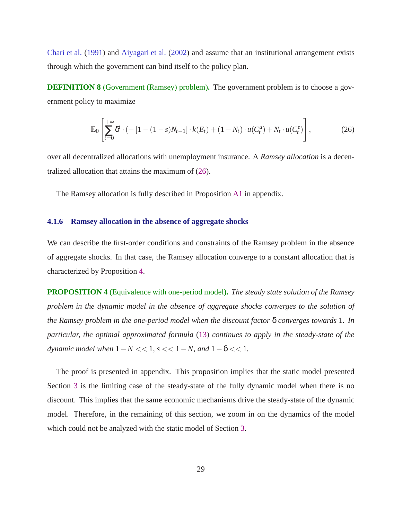[Chari et al.](#page-42-0) [\(1991](#page-42-0)) and [Aiyagari et al.](#page-42-0) [\(2002\)](#page-42-0) and assume that an institutional arrangement exists through which the government can bind itself to the policy plan.

**DEFINITION 8** (Government (Ramsey) problem). The government problem is to choose a government policy to maximize

$$
\mathbb{E}_0 \left[ \sum_{t=0}^{+\infty} \delta^t \cdot (-[1-(1-s)N_{t-1}] \cdot k(E_t) + (1-N_t) \cdot u(C_t^u) + N_t \cdot u(C_t^e) \right],\tag{26}
$$

over all decentralized allocations with unemployment insurance. A *Ramsey allocation* is a decentralized allocation that attains the maximum of (26).

The Ramsey allocation is fully described in Proposition [A1](#page-52-0) in appendix.

#### **4.1.6 Ramsey allocation in the absence of aggregate shocks**

We can describe the first-order conditions and constraints of the Ramsey problem in the absence of aggregate shocks. In that case, the Ramsey allocation converge to a constant allocation that is characterized by Proposition 4.

**PROPOSITION 4** (Equivalence with one-period model)**.** *The steady state solution of the Ramsey problem in the dynamic model in the absence of aggregate shocks converges to the solution of the Ramsey problem in the one-period model when the discount factor* δ *converges towards* 1*. In particular, the optimal approximated formula* [\(13\)](#page-18-0) *continues to apply in the steady-state of the dynamic model when*  $1 - N \lt \lt 1$ *, s*  $<< 1 - N$ *, and*  $1 - \delta \lt \lt 1$ *.* 

The proof is presented in appendix. This proposition implies that the static model presented Section [3](#page-6-0) is the limiting case of the steady-state of the fully dynamic model when there is no discount. This implies that the same economic mechanisms drive the steady-state of the dynamic model. Therefore, in the remaining of this section, we zoom in on the dynamics of the model which could not be analyzed with the static model of Section [3.](#page-6-0)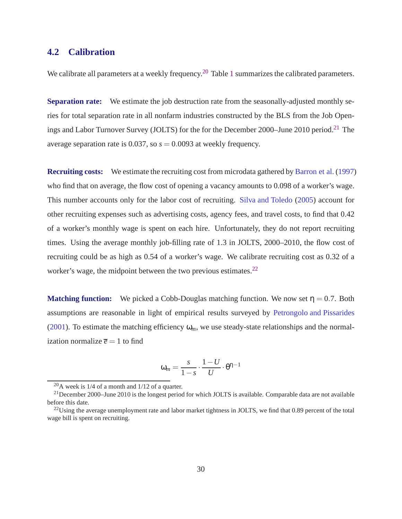## <span id="page-31-0"></span>**4.2 Calibration**

We calibrate all parameters at a weekly frequency.<sup>20</sup> Table [1](#page-59-0) summarizes the calibrated parameters.

**Separation rate:** We estimate the job destruction rate from the seasonally-adjusted monthly series for total separation rate in all nonfarm industries constructed by the BLS from the Job Openings and Labor Turnover Survey (JOLTS) for the for the December 2000–June 2010 period.<sup>21</sup> The average separation rate is 0.037, so  $s = 0.0093$  at weekly frequency.

**Recruiting costs:** We estimate the recruiting cost from microdata gathered by [Barron et al.](#page-42-0) [\(1997](#page-42-0)) who find that on average, the flow cost of opening a vacancy amounts to 0.098 of a worker's wage. This number accounts only for the labor cost of recruiting. [Silva and Toledo](#page-44-0) [\(2005](#page-44-0)) account for other recruiting expenses such as advertising costs, agency fees, and travel costs, to find that 0.42 of a worker's monthly wage is spent on each hire. Unfortunately, they do not report recruiting times. Using the average monthly job-filling rate of 1.3 in JOLTS, 2000–2010, the flow cost of recruiting could be as high as 0.54 of a worker's wage. We calibrate recruiting cost as 0.32 of a worker's wage, the midpoint between the two previous estimates.<sup>22</sup>

**Matching function:** We picked a Cobb-Douglas matching function. We now set  $\eta = 0.7$ . Both assumptions are reasonable in light of empirical results surveyed by [Petrongolo and Pissarides](#page-44-0) [\(2001\)](#page-44-0). To estimate the matching efficiency  $\omega_m$ , we use steady-state relationships and the normalization normalize  $\bar{e} = 1$  to find

$$
\omega_m = \frac{s}{1-s} \cdot \frac{1-U}{U} \cdot \theta^{n-1}
$$

 $^{20}$ A week is 1/4 of a month and 1/12 of a quarter.

 $^{21}$ December 2000–June 2010 is the longest period for which JOLTS is available. Comparable data are not available before this date.

 $^{22}$ Using the average unemployment rate and labor market tightness in JOLTS, we find that 0.89 percent of the total wage bill is spent on recruiting.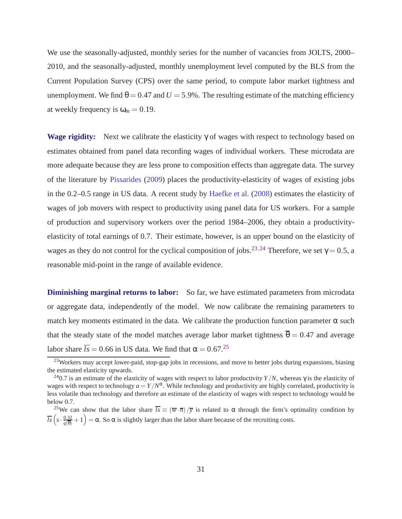We use the seasonally-adjusted, monthly series for the number of vacancies from JOLTS, 2000– 2010, and the seasonally-adjusted, monthly unemployment level computed by the BLS from the Current Population Survey (CPS) over the same period, to compute labor market tightness and unemployment. We find  $\theta = 0.47$  and  $U = 5.9\%$ . The resulting estimate of the matching efficiency at weekly frequency is  $\omega_m = 0.19$ .

**Wage rigidity:** Next we calibrate the elasticity  $\gamma$  of wages with respect to technology based on estimates obtained from panel data recording wages of individual workers. These microdata are more adequate because they are less prone to composition effects than aggregate data. The survey of the literature by [Pissarides](#page-44-0) [\(2009](#page-44-0)) places the productivity-elasticity of wages of existing jobs in the 0.2–0.5 range in US data. A recent study by [Haefke et al.](#page-42-0) [\(2008\)](#page-42-0) estimates the elasticity of wages of job movers with respect to productivity using panel data for US workers. For a sample of production and supervisory workers over the period 1984–2006, they obtain a productivityelasticity of total earnings of 0.7. Their estimate, however, is an upper bound on the elasticity of wages as they do not control for the cyclical composition of jobs.<sup>23,24</sup> Therefore, we set  $\gamma = 0.5$ , a reasonable mid-point in the range of available evidence.

**Diminishing marginal returns to labor:** So far, we have estimated parameters from microdata or aggregate data, independently of the model. We now calibrate the remaining parameters to match key moments estimated in the data. We calibrate the production function parameter  $\alpha$  such that the steady state of the model matches average labor market tightness  $\overline{\theta} = 0.47$  and average labor share  $\overline{l_s}$  = 0.66 in US data. We find that  $\alpha$  = 0.67.<sup>25</sup>

<sup>&</sup>lt;sup>23</sup>Workers may accept lower-paid, stop-gap jobs in recessions, and move to better jobs during expansions, biasing the estimated elasticity upwards.

<sup>&</sup>lt;sup>24</sup>0.7 is an estimate of the elasticity of wages with respect to labor productivity  $Y/N$ , whereas  $\gamma$  is the elasticity of wages with respect to technology  $a = Y/N^{\alpha}$ . While technology and productivity are highly correlated, productivity is less volatile than technology and therefore an estimate of the elasticity of wages with respect to technology would be below 0.7.

<sup>&</sup>lt;sup>25</sup>We can show that the labor share  $\overline{ls} \equiv (\overline{w} \cdot \overline{n})/\overline{y}$  is related to  $\alpha$  through the firm's optimality condition by  $\overline{ls}\left(s\cdot\frac{0.32}{a(\overline{9})}\right)$  $\left(\frac{0.32}{q(\bar{\theta})}+1\right) = \alpha$ . So  $\alpha$  is slightly larger than the labor share because of the recruiting costs.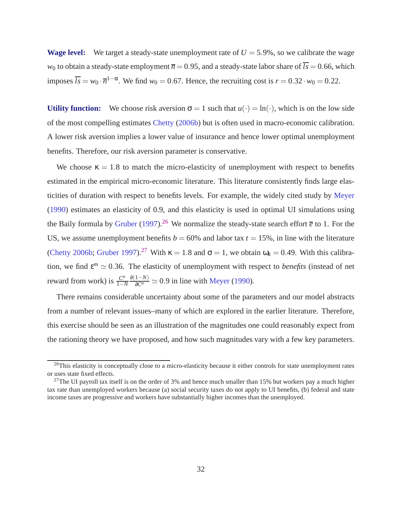<span id="page-33-0"></span>**Wage level:** We target a steady-state unemployment rate of  $U = 5.9\%$ , so we calibrate the wage *w*<sub>0</sub> to obtain a steady-state employment  $\overline{n} = 0.95$ , and a steady-state labor share of  $\overline{l_s} = 0.66$ , which imposes  $\overline{l_s} = w_0 \cdot \overline{n}^{1-\alpha}$ . We find  $w_0 = 0.67$ . Hence, the recruiting cost is  $r = 0.32 \cdot w_0 = 0.22$ .

**Utility function:** We choose risk aversion  $\sigma = 1$  such that  $u(\cdot) = \ln(\cdot)$ , which is on the low side of the most compelling estimates [Chetty](#page-42-0) [\(2006b\)](#page-42-0) but is often used in macro-economic calibration. A lower risk aversion implies a lower value of insurance and hence lower optimal unemployment benefits. Therefore, our risk aversion parameter is conservative.

We choose  $\kappa = 1.8$  to match the micro-elasticity of unemployment with respect to benefits estimated in the empirical micro-economic literature. This literature consistently finds large elasticities of duration with respect to benefits levels. For example, the widely cited study by [Meyer](#page-43-0) [\(1990\)](#page-43-0) estimates an elasticity of 0.9, and this elasticity is used in optimal UI simulations using the Baily formula by [Gruber](#page-42-0) [\(1997](#page-42-0)).<sup>26</sup> We normalize the steady-state search effort  $\bar{e}$  to 1. For the US, we assume unemployment benefits  $b = 60\%$  and labor tax  $t = 15\%$ , in line with the literature [\(Chetty 2006b;](#page-42-0) [Gruber 1997](#page-42-0)).<sup>27</sup> With  $\kappa = 1.8$  and  $\sigma = 1$ , we obtain  $\omega_k = 0.49$ . With this calibration, we find  $\varepsilon^m \simeq 0.36$ . The elasticity of unemployment with respect to *benefits* (instead of net reward from work) is  $\frac{C^u}{1-z}$ 1−*N*  $\frac{\partial (1-N)}{\partial C^u} \simeq 0.9$  in line with [Meyer](#page-43-0) [\(1990\)](#page-43-0).

There remains considerable uncertainty about some of the parameters and our model abstracts from a number of relevant issues–many of which are explored in the earlier literature. Therefore, this exercise should be seen as an illustration of the magnitudes one could reasonably expect from the rationing theory we have proposed, and how such magnitudes vary with a few key parameters.

 $^{26}$ This elasticity is conceptually close to a micro-elasticity because it either controls for state unemployment rates or uses state fixed effects.

<sup>&</sup>lt;sup>27</sup>The UI payroll tax itself is on the order of 3% and hence much smaller than 15% but workers pay a much higher tax rate than unemployed workers because (a) social security taxes do not apply to UI benefits, (b) federal and state income taxes are progressive and workers have substantially higher incomes than the unemployed.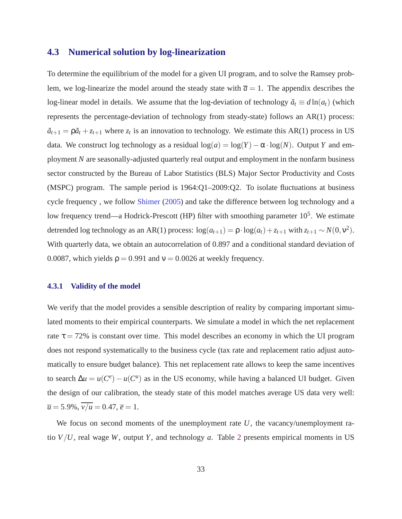## **4.3 Numerical solution by log-linearization**

To determine the equilibrium of the model for a given UI program, and to solve the Ramsey problem, we log-linearize the model around the steady state with  $\bar{a} = 1$ . The appendix describes the log-linear model in details. We assume that the log-deviation of technology  $\check{a}_t \equiv d \ln(a_t)$  (which represents the percentage-deviation of technology from steady-state) follows an AR(1) process:  $\check{a}_{t+1} = \rho \check{a}_t + z_{t+1}$  where  $z_t$  is an innovation to technology. We estimate this AR(1) process in US data. We construct log technology as a residual  $log(a) = log(Y) - \alpha \cdot log(N)$ . Output *Y* and employment *N* are seasonally-adjusted quarterly real output and employment in the nonfarm business sector constructed by the Bureau of Labor Statistics (BLS) Major Sector Productivity and Costs (MSPC) program. The sample period is 1964:Q1–2009:Q2. To isolate fluctuations at business cycle frequency , we follow [Shimer](#page-44-0) [\(2005](#page-44-0)) and take the difference between log technology and a low frequency trend—a Hodrick-Prescott (HP) filter with smoothing parameter  $10<sup>5</sup>$ . We estimate detrended log technology as an AR(1) process:  $log(a_{t+1}) = \rho \cdot log(a_t) + z_{t+1}$  with  $z_{t+1} \sim N(0, v^2)$ . With quarterly data, we obtain an autocorrelation of 0.897 and a conditional standard deviation of 0.0087, which yields  $\rho = 0.991$  and  $v = 0.0026$  at weekly frequency.

## **4.3.1 Validity of the model**

We verify that the model provides a sensible description of reality by comparing important simulated moments to their empirical counterparts. We simulate a model in which the net replacement rate  $\tau = 72\%$  is constant over time. This model describes an economy in which the UI program does not respond systematically to the business cycle (tax rate and replacement ratio adjust automatically to ensure budget balance). This net replacement rate allows to keep the same incentives to search  $\Delta u = u(C^e) - u(C^u)$  as in the US economy, while having a balanced UI budget. Given the design of our calibration, the steady state of this model matches average US data very well:  $\overline{u} = 5.9\%, \overline{v/u} = 0.47, \overline{e} = 1.$ 

We focus on second moments of the unemployment rate *U*, the vacancy/unemployment ratio *V*/*U*, real wage *W*, output *Y*, and technology *a*. Table [2](#page-59-0) presents empirical moments in US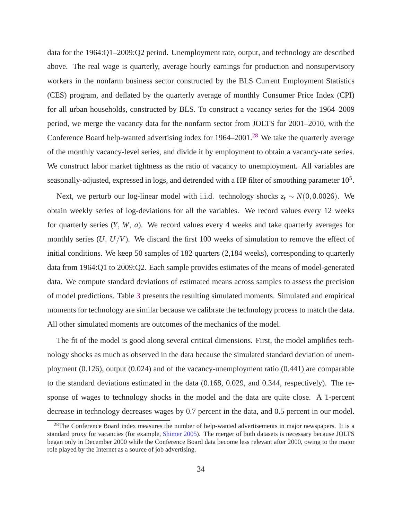data for the 1964:Q1–2009:Q2 period. Unemployment rate, output, and technology are described above. The real wage is quarterly, average hourly earnings for production and nonsupervisory workers in the nonfarm business sector constructed by the BLS Current Employment Statistics (CES) program, and deflated by the quarterly average of monthly Consumer Price Index (CPI) for all urban households, constructed by BLS. To construct a vacancy series for the 1964–2009 period, we merge the vacancy data for the nonfarm sector from JOLTS for 2001–2010, with the Conference Board help-wanted advertising index for  $1964-2001$ <sup>28</sup> We take the quarterly average of the monthly vacancy-level series, and divide it by employment to obtain a vacancy-rate series. We construct labor market tightness as the ratio of vacancy to unemployment. All variables are seasonally-adjusted, expressed in logs, and detrended with a HP filter of smoothing parameter  $10^5$ .

Next, we perturb our log-linear model with i.i.d. technology shocks  $z_t \sim N(0,0.0026)$ . We obtain weekly series of log-deviations for all the variables. We record values every 12 weeks for quarterly series (*Y*, *W*, *a*). We record values every 4 weeks and take quarterly averages for monthly series (*U*, *U*/*V*). We discard the first 100 weeks of simulation to remove the effect of initial conditions. We keep 50 samples of 182 quarters (2,184 weeks), corresponding to quarterly data from 1964:Q1 to 2009:Q2. Each sample provides estimates of the means of model-generated data. We compute standard deviations of estimated means across samples to assess the precision of model predictions. Table [3](#page-60-0) presents the resulting simulated moments. Simulated and empirical moments for technology are similar because we calibrate the technology process to match the data. All other simulated moments are outcomes of the mechanics of the model.

The fit of the model is good along several critical dimensions. First, the model amplifies technology shocks as much as observed in the data because the simulated standard deviation of unemployment (0.126), output (0.024) and of the vacancy-unemployment ratio (0.441) are comparable to the standard deviations estimated in the data (0.168, 0.029, and 0.344, respectively). The response of wages to technology shocks in the model and the data are quite close. A 1-percent decrease in technology decreases wages by 0.7 percent in the data, and 0.5 percent in our model.

 $^{28}$ The Conference Board index measures the number of help-wanted advertisements in major newspapers. It is a standard proxy for vacancies (for example, [Shimer 2005\)](#page-44-0). The merger of both datasets is necessary because JOLTS began only in December 2000 while the Conference Board data become less relevant after 2000, owing to the major role played by the Internet as a source of job advertising.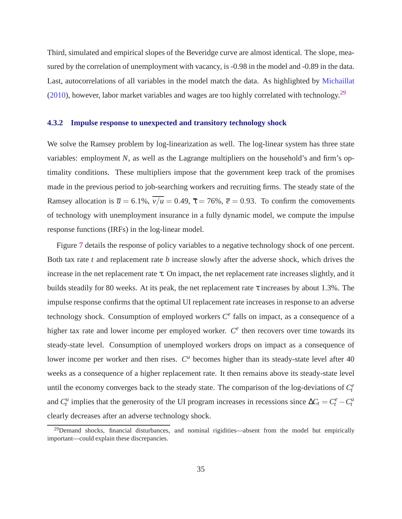Third, simulated and empirical slopes of the Beveridge curve are almost identical. The slope, measured by the correlation of unemployment with vacancy, is -0.98 in the model and -0.89 in the data. Last, autocorrelations of all variables in the model match the data. As highlighted by [Michaillat](#page-43-0)  $(2010)$ , however, labor market variables and wages are too highly correlated with technology.<sup>29</sup>

#### **4.3.2 Impulse response to unexpected and transitory technology shock**

We solve the Ramsey problem by log-linearization as well. The log-linear system has three state variables: employment *N*, as well as the Lagrange multipliers on the household's and firm's optimality conditions. These multipliers impose that the government keep track of the promises made in the previous period to job-searching workers and recruiting firms. The steady state of the Ramsey allocation is  $\overline{u} = 6.1\%$ ,  $\overline{v/u} = 0.49$ ,  $\overline{\tau} = 76\%$ ,  $\overline{e} = 0.93$ . To confirm the comovements of technology with unemployment insurance in a fully dynamic model, we compute the impulse response functions (IRFs) in the log-linear model.

Figure [7](#page-67-0) details the response of policy variables to a negative technology shock of one percent. Both tax rate *t* and replacement rate *b* increase slowly after the adverse shock, which drives the increase in the net replacement rate τ. On impact, the net replacement rate increases slightly, and it builds steadily for 80 weeks. At its peak, the net replacement rate τ increases by about 1.3%. The impulse response confirms that the optimal UI replacement rate increases in response to an adverse technology shock. Consumption of employed workers *C e* falls on impact, as a consequence of a higher tax rate and lower income per employed worker. C<sup>e</sup> then recovers over time towards its steady-state level. Consumption of unemployed workers drops on impact as a consequence of lower income per worker and then rises.  $C^u$  becomes higher than its steady-state level after 40 weeks as a consequence of a higher replacement rate. It then remains above its steady-state level until the economy converges back to the steady state. The comparison of the log-deviations of  $C_t^e$ and  $C_t^u$  implies that the generosity of the UI program increases in recessions since  $\Delta C_t = C_t^e - C_t^u$ clearly decreases after an adverse technology shock.

 $29$ Demand shocks, financial disturbances, and nominal rigidities—absent from the model but empirically important—could explain these discrepancies.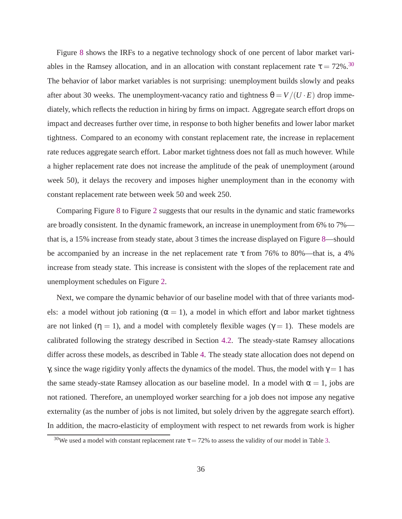Figure [8](#page-68-0) shows the IRFs to a negative technology shock of one percent of labor market variables in the Ramsey allocation, and in an allocation with constant replacement rate  $\tau = 72\%$ .<sup>30</sup> The behavior of labor market variables is not surprising: unemployment builds slowly and peaks after about 30 weeks. The unemployment-vacancy ratio and tightness  $\theta = V/(U \cdot E)$  drop immediately, which reflects the reduction in hiring by firms on impact. Aggregate search effort drops on impact and decreases further over time, in response to both higher benefits and lower labor market tightness. Compared to an economy with constant replacement rate, the increase in replacement rate reduces aggregate search effort. Labor market tightness does not fall as much however. While a higher replacement rate does not increase the amplitude of the peak of unemployment (around week 50), it delays the recovery and imposes higher unemployment than in the economy with constant replacement rate between week 50 and week 250.

Comparing Figure [8](#page-68-0) to Figure [2](#page-62-0) suggests that our results in the dynamic and static frameworks are broadly consistent. In the dynamic framework, an increase in unemployment from 6% to 7% that is, a 15% increase from steady state, about 3 times the increase displayed on Figure [8—](#page-68-0)should be accompanied by an increase in the net replacement rate  $\tau$  from 76% to 80%—that is, a 4% increase from steady state. This increase is consistent with the slopes of the replacement rate and unemployment schedules on Figure [2.](#page-62-0)

Next, we compare the dynamic behavior of our baseline model with that of three variants models: a model without job rationing ( $\alpha = 1$ ), a model in which effort and labor market tightness are not linked ( $\eta = 1$ ), and a model with completely flexible wages ( $\gamma = 1$ ). These models are calibrated following the strategy described in Section [4.2.](#page-31-0) The steady-state Ramsey allocations differ across these models, as described in Table [4.](#page-60-0) The steady state allocation does not depend on γ, since the wage rigidity γ only affects the dynamics of the model. Thus, the model with  $\gamma = 1$  has the same steady-state Ramsey allocation as our baseline model. In a model with  $\alpha = 1$ , jobs are not rationed. Therefore, an unemployed worker searching for a job does not impose any negative externality (as the number of jobs is not limited, but solely driven by the aggregate search effort). In addition, the macro-elasticity of employment with respect to net rewards from work is higher

<sup>&</sup>lt;sup>30</sup>We used a model with constant replacement rate  $\tau = 72\%$  to assess the validity of our model in Table [3.](#page-60-0)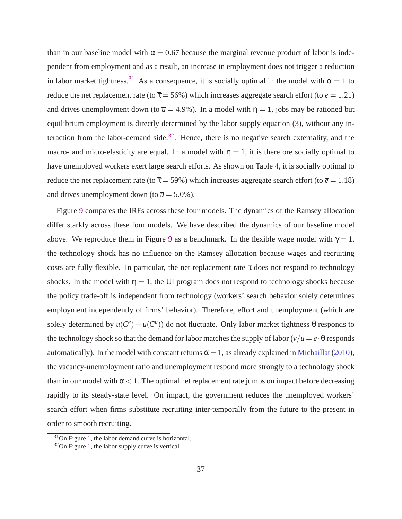than in our baseline model with  $\alpha = 0.67$  because the marginal revenue product of labor is independent from employment and as a result, an increase in employment does not trigger a reduction in labor market tightness.<sup>31</sup> As a consequence, it is socially optimal in the model with  $\alpha = 1$  to reduce the net replacement rate (to  $\bar{\tau} = 56\%$ ) which increases aggregate search effort (to  $\bar{e} = 1.21$ ) and drives unemployment down (to  $\overline{u} = 4.9\%$ ). In a model with  $\eta = 1$ , jobs may be rationed but equilibrium employment is directly determined by the labor supply equation [\(3\)](#page-9-0), without any interaction from the labor-demand side.<sup>32</sup>. Hence, there is no negative search externality, and the macro- and micro-elasticity are equal. In a model with  $\eta = 1$ , it is therefore socially optimal to have unemployed workers exert large search efforts. As shown on Table [4,](#page-60-0) it is socially optimal to reduce the net replacement rate (to  $\bar{\tau}$  = 59%) which increases aggregate search effort (to  $\bar{e}$  = 1.18) and drives unemployment down (to  $\overline{u} = 5.0\%$ ).

Figure [9](#page-69-0) compares the IRFs across these four models. The dynamics of the Ramsey allocation differ starkly across these four models. We have described the dynamics of our baseline model above. We reproduce them in Figure [9](#page-69-0) as a benchmark. In the flexible wage model with  $\gamma = 1$ , the technology shock has no influence on the Ramsey allocation because wages and recruiting costs are fully flexible. In particular, the net replacement rate  $\tau$  does not respond to technology shocks. In the model with  $\eta = 1$ , the UI program does not respond to technology shocks because the policy trade-off is independent from technology (workers' search behavior solely determines employment independently of firms' behavior). Therefore, effort and unemployment (which are solely determined by  $u(C^e) - u(C^u)$  do not fluctuate. Only labor market tightness  $\theta$  responds to the technology shock so that the demand for labor matches the supply of labor  $(v/u = e \cdot \theta$  responds automatically). In the model with constant returns  $\alpha = 1$ , as already explained in [Michaillat](#page-43-0) [\(2010](#page-43-0)), the vacancy-unemployment ratio and unemployment respond more strongly to a technology shock than in our model with  $\alpha < 1$ . The optimal net replacement rate jumps on impact before decreasing rapidly to its steady-state level. On impact, the government reduces the unemployed workers' search effort when firms substitute recruiting inter-temporally from the future to the present in order to smooth recruiting.

 $31$ On Figure [1,](#page-61-0) the labor demand curve is horizontal.

 $32$ On Figure [1,](#page-61-0) the labor supply curve is vertical.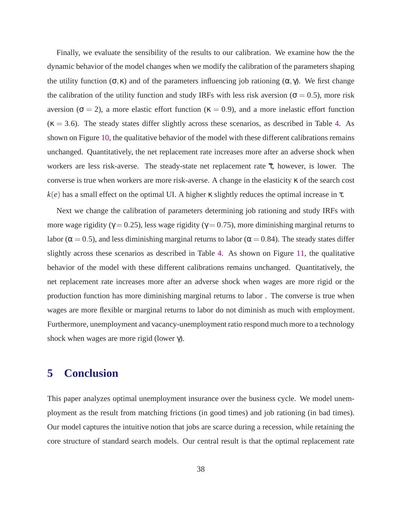Finally, we evaluate the sensibility of the results to our calibration. We examine how the the dynamic behavior of the model changes when we modify the calibration of the parameters shaping the utility function ( $\sigma$ , κ) and of the parameters influencing job rationing ( $\alpha$ ,  $\gamma$ ). We first change the calibration of the utility function and study IRFs with less risk aversion ( $\sigma = 0.5$ ), more risk aversion ( $\sigma = 2$ ), a more elastic effort function ( $\kappa = 0.9$ ), and a more inelastic effort function  $(k = 3.6)$ . The steady states differ slightly across these scenarios, as described in Table [4.](#page-60-0) As shown on Figure [10,](#page-70-0) the qualitative behavior of the model with these different calibrations remains unchanged. Quantitatively, the net replacement rate increases more after an adverse shock when workers are less risk-averse. The steady-state net replacement rate  $\bar{\tau}$ , however, is lower. The converse is true when workers are more risk-averse. A change in the elasticity κ of the search cost  $k(e)$  has a small effect on the optimal UI. A higher  $\kappa$  slightly reduces the optimal increase in  $\tau$ .

Next we change the calibration of parameters determining job rationing and study IRFs with more wage rigidity ( $\gamma$  = 0.25), less wage rigidity ( $\gamma$  = 0.75), more diminishing marginal returns to labor ( $\alpha = 0.5$ ), and less diminishing marginal returns to labor ( $\alpha = 0.84$ ). The steady states differ slightly across these scenarios as described in Table [4.](#page-60-0) As shown on Figure [11,](#page-71-0) the qualitative behavior of the model with these different calibrations remains unchanged. Quantitatively, the net replacement rate increases more after an adverse shock when wages are more rigid or the production function has more diminishing marginal returns to labor . The converse is true when wages are more flexible or marginal returns to labor do not diminish as much with employment. Furthermore, unemployment and vacancy-unemployment ratio respond much more to a technology shock when wages are more rigid (lower γ).

## **5 Conclusion**

This paper analyzes optimal unemployment insurance over the business cycle. We model unemployment as the result from matching frictions (in good times) and job rationing (in bad times). Our model captures the intuitive notion that jobs are scarce during a recession, while retaining the core structure of standard search models. Our central result is that the optimal replacement rate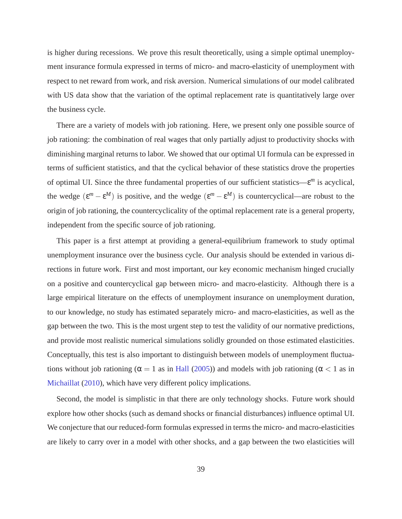is higher during recessions. We prove this result theoretically, using a simple optimal unemployment insurance formula expressed in terms of micro- and macro-elasticity of unemployment with respect to net reward from work, and risk aversion. Numerical simulations of our model calibrated with US data show that the variation of the optimal replacement rate is quantitatively large over the business cycle.

There are a variety of models with job rationing. Here, we present only one possible source of job rationing: the combination of real wages that only partially adjust to productivity shocks with diminishing marginal returns to labor. We showed that our optimal UI formula can be expressed in terms of sufficient statistics, and that the cyclical behavior of these statistics drove the properties of optimal UI. Since the three fundamental properties of our sufficient statistics—ε *<sup>m</sup>* is acyclical, the wedge  $(\varepsilon^m - \varepsilon^M)$  is positive, and the wedge  $(\varepsilon^m - \varepsilon^M)$  is countercyclical—are robust to the origin of job rationing, the countercyclicality of the optimal replacement rate is a general property, independent from the specific source of job rationing.

This paper is a first attempt at providing a general-equilibrium framework to study optimal unemployment insurance over the business cycle. Our analysis should be extended in various directions in future work. First and most important, our key economic mechanism hinged crucially on a positive and countercyclical gap between micro- and macro-elasticity. Although there is a large empirical literature on the effects of unemployment insurance on unemployment duration, to our knowledge, no study has estimated separately micro- and macro-elasticities, as well as the gap between the two. This is the most urgent step to test the validity of our normative predictions, and provide most realistic numerical simulations solidly grounded on those estimated elasticities. Conceptually, this test is also important to distinguish between models of unemployment fluctuations without job rationing ( $\alpha = 1$  as in [Hall](#page-43-0) [\(2005\)](#page-43-0)) and models with job rationing ( $\alpha < 1$  as in [Michaillat](#page-43-0) [\(2010](#page-43-0)), which have very different policy implications.

Second, the model is simplistic in that there are only technology shocks. Future work should explore how other shocks (such as demand shocks or financial disturbances) influence optimal UI. We conjecture that our reduced-form formulas expressed in terms the micro- and macro-elasticities are likely to carry over in a model with other shocks, and a gap between the two elasticities will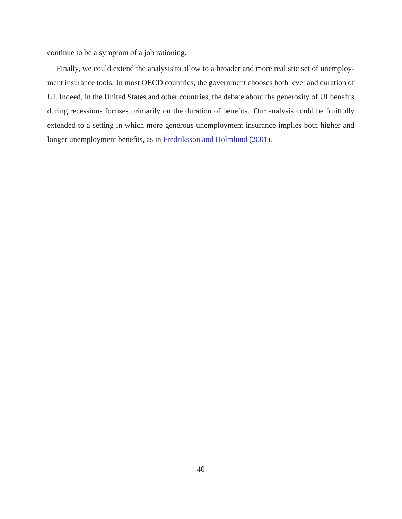continue to be a symptom of a job rationing.

Finally, we could extend the analysis to allow to a broader and more realistic set of unemployment insurance tools. In most OECD countries, the government chooses both level and duration of UI. Indeed, in the United States and other countries, the debate about the generosity of UI benefits during recessions focuses primarily on the duration of benefits. Our analysis could be fruitfully extended to a setting in which more generous unemployment insurance implies both higher and longer unemployment benefits, as in [Fredriksson and Holmlund](#page-42-0) [\(2001\)](#page-42-0).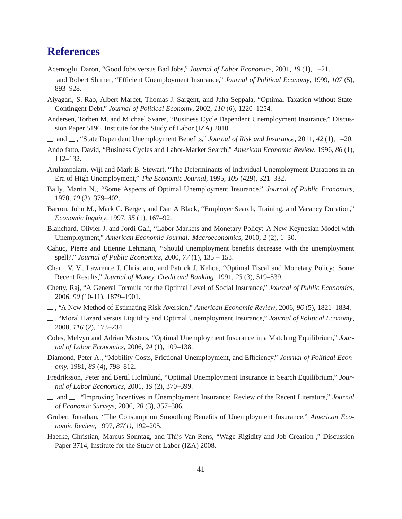# <span id="page-42-0"></span>**References**

Acemoglu, Daron, "Good Jobs versus Bad Jobs," *Journal of Labor Economics*, 2001, *19* (1), 1–21.

- and Robert Shimer, "Efficient Unemployment Insurance," *Journal of Political Economy*, 1999, *107* (5), 893–928.
- Aiyagari, S. Rao, Albert Marcet, Thomas J. Sargent, and Juha Seppala, "Optimal Taxation without State-Contingent Debt," *Journal of Political Economy*, 2002, *110* (6), 1220–1254.
- Andersen, Torben M. and Michael Svarer, "Business Cycle Dependent Unemployment Insurance," Discussion Paper 5196, Institute for the Study of Labor (IZA) 2010.
- and , "State Dependent Unemployment Benefits," *Journal of Risk and Insurance*, 2011, *42* (1), 1–20.
- Andolfatto, David, "Business Cycles and Labor-Market Search," *American Economic Review*, 1996, *86* (1), 112–132.
- Arulampalam, Wiji and Mark B. Stewart, "The Determinants of Individual Unemployment Durations in an Era of High Unemployment," *The Economic Journal*, 1995, *105* (429), 321–332.
- Baily, Martin N., "Some Aspects of Optimal Unemployment Insurance," *Journal of Public Economics*, 1978, *10* (3), 379–402.
- Barron, John M., Mark C. Berger, and Dan A Black, "Employer Search, Training, and Vacancy Duration," *Economic Inquiry*, 1997, *35* (1), 167–92.
- Blanchard, Olivier J. and Jordi Galí, "Labor Markets and Monetary Policy: A New-Keynesian Model with Unemployment," *American Economic Journal: Macroeconomics*, 2010, *2* (2), 1–30.
- Cahuc, Pierre and Etienne Lehmann, "Should unemployment benefits decrease with the unemployment spell?," *Journal of Public Economics*, 2000, *77* (1), 135 – 153.
- Chari, V. V., Lawrence J. Christiano, and Patrick J. Kehoe, "Optimal Fiscal and Monetary Policy: Some Recent Results," *Journal of Money, Credit and Banking*, 1991, *23* (3), 519–539.
- Chetty, Raj, "A General Formula for the Optimal Level of Social Insurance," *Journal of Public Economics*, 2006, *90* (10-11), 1879–1901.
- , "A New Method of Estimating Risk Aversion," *American Economic Review*, 2006, *96* (5), 1821–1834.
- , "Moral Hazard versus Liquidity and Optimal Unemployment Insurance," *Journal of Political Economy*, 2008, *116* (2), 173–234.
- Coles, Melvyn and Adrian Masters, "Optimal Unemployment Insurance in a Matching Equilibrium," *Journal of Labor Economics*, 2006, *24* (1), 109–138.
- Diamond, Peter A., "Mobility Costs, Frictional Unemployment, and Efficiency," *Journal of Political Economy*, 1981, *89* (4), 798–812.
- Fredriksson, Peter and Bertil Holmlund, "Optimal Unemployment Insurance in Search Equilibrium," *Journal of Labor Economics*, 2001, *19* (2), 370–399.
- and , "Improving Incentives in Unemployment Insurance: Review of the Recent Literature," *Journal of Economic Surveys*, 2006, *20* (3), 357–386.
- Gruber, Jonathan, "The Consumption Smoothing Benefits of Unemployment Insurance," *American Economic Review*, 1997, *87(1)*, 192–205.
- Haefke, Christian, Marcus Sonntag, and Thijs Van Rens, "Wage Rigidity and Job Creation ," Discussion Paper 3714, Institute for the Study of Labor (IZA) 2008.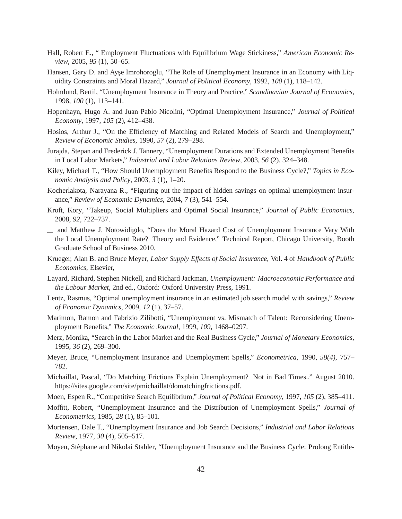- <span id="page-43-0"></span>Hall, Robert E., " Employment Fluctuations with Equilibrium Wage Stickiness," *American Economic Review*, 2005, *95* (1), 50–65.
- Hansen, Gary D. and Ayse Imrohoroglu, "The Role of Unemployment Insurance in an Economy with Liquidity Constraints and Moral Hazard," *Journal of Political Economy*, 1992, *100* (1), 118–142.
- Holmlund, Bertil, "Unemployment Insurance in Theory and Practice," *Scandinavian Journal of Economics*, 1998, *100* (1), 113–141.
- Hopenhayn, Hugo A. and Juan Pablo Nicolini, "Optimal Unemployment Insurance," *Journal of Political Economy*, 1997, *105* (2), 412–438.
- Hosios, Arthur J., "On the Efficiency of Matching and Related Models of Search and Unemployment," *Review of Economic Studies*, 1990, *57* (2), 279–298.
- Jurajda, Stepan and Frederick J. Tannery, "Unemployment Durations and Extended Unemployment Benefits in Local Labor Markets," *Industrial and Labor Relations Review*, 2003, *56* (2), 324–348.
- Kiley, Michael T., "How Should Unemployment Benefits Respond to the Business Cycle?," *Topics in Economic Analysis and Policy*, 2003, *3* (1), 1–20.
- Kocherlakota, Narayana R., "Figuring out the impact of hidden savings on optimal unemployment insurance," *Review of Economic Dynamics*, 2004, *7* (3), 541–554.
- Kroft, Kory, "Takeup, Social Multipliers and Optimal Social Insurance," *Journal of Public Economics*, 2008, *92*, 722–737.
- and Matthew J. Notowidigdo, "Does the Moral Hazard Cost of Unemployment Insurance Vary With the Local Unemployment Rate? Theory and Evidence," Technical Report, Chicago University, Booth Graduate School of Business 2010.
- Krueger, Alan B. and Bruce Meyer, *Labor Supply Effects of Social Insurance*, Vol. 4 of *Handbook of Public Economics*, Elsevier,
- Layard, Richard, Stephen Nickell, and Richard Jackman, *Unemployment: Macroeconomic Performance and the Labour Market*, 2nd ed., Oxford: Oxford University Press, 1991.
- Lentz, Rasmus, "Optimal unemployment insurance in an estimated job search model with savings," *Review of Economic Dynamics*, 2009, *12* (1), 37–57.
- Marimon, Ramon and Fabrizio Zilibotti, "Unemployment vs. Mismatch of Talent: Reconsidering Unemployment Benefits," *The Economic Journal*, 1999, *109*, 1468–0297.
- Merz, Monika, "Search in the Labor Market and the Real Business Cycle," *Journal of Monetary Economics*, 1995, *36* (2), 269–300.
- Meyer, Bruce, "Unemployment Insurance and Unemployment Spells," *Econometrica*, 1990, *58(4)*, 757– 782.
- Michaillat, Pascal, "Do Matching Frictions Explain Unemployment? Not in Bad Times.," August 2010. https://sites.google.com/site/pmichaillat/domatchingfrictions.pdf.
- Moen, Espen R., "Competitive Search Equilibrium," *Journal of Political Economy*, 1997, *105* (2), 385–411.
- Moffitt, Robert, "Unemployment Insurance and the Distribution of Unemployment Spells," *Journal of Econometrics*, 1985, *28* (1), 85–101.
- Mortensen, Dale T., "Unemployment Insurance and Job Search Decisions," *Industrial and Labor Relations Review*, 1977, *30* (4), 505–517.
- Moyen, Stéphane and Nikolai Stahler, "Unemployment Insurance and the Business Cycle: Prolong Entitle-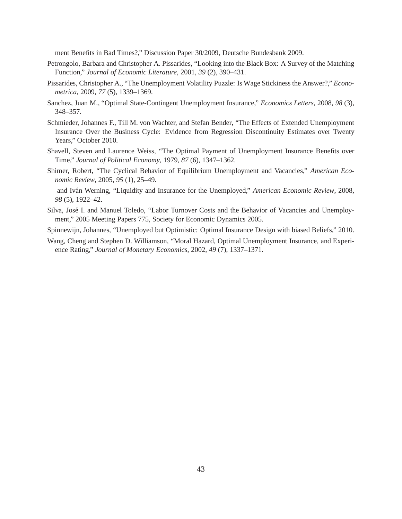<span id="page-44-0"></span>ment Benefits in Bad Times?," Discussion Paper 30/2009, Deutsche Bundesbank 2009.

- Petrongolo, Barbara and Christopher A. Pissarides, "Looking into the Black Box: A Survey of the Matching Function," *Journal of Economic Literature*, 2001, *39* (2), 390–431.
- Pissarides, Christopher A., "The Unemployment Volatility Puzzle: Is Wage Stickiness the Answer?," *Econometrica*, 2009, *77* (5), 1339–1369.
- Sanchez, Juan M., "Optimal State-Contingent Unemployment Insurance," *Economics Letters*, 2008, *98* (3), 348–357.
- Schmieder, Johannes F., Till M. von Wachter, and Stefan Bender, "The Effects of Extended Unemployment Insurance Over the Business Cycle: Evidence from Regression Discontinuity Estimates over Twenty Years," October 2010.
- Shavell, Steven and Laurence Weiss, "The Optimal Payment of Unemployment Insurance Benefits over Time," *Journal of Political Economy*, 1979, *87* (6), 1347–1362.
- Shimer, Robert, "The Cyclical Behavior of Equilibrium Unemployment and Vacancies," *American Economic Review*, 2005, *95* (1), 25–49.
- and Iv´an Werning, "Liquidity and Insurance for the Unemployed," *American Economic Review*, 2008, *98* (5), 1922–42.
- Silva, José I. and Manuel Toledo, "Labor Turnover Costs and the Behavior of Vacancies and Unemployment," 2005 Meeting Papers 775, Society for Economic Dynamics 2005.
- Spinnewijn, Johannes, "Unemployed but Optimistic: Optimal Insurance Design with biased Beliefs," 2010.
- Wang, Cheng and Stephen D. Williamson, "Moral Hazard, Optimal Unemployment Insurance, and Experience Rating," *Journal of Monetary Economics*, 2002, *49* (7), 1337–1371.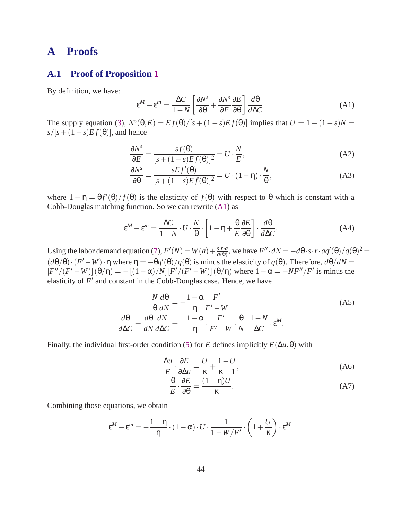# <span id="page-45-0"></span>**A Proofs**

### **A.1 Proof of Proposition [1](#page-52-0)**

By definition, we have:

$$
\varepsilon^{M} - \varepsilon^{m} = \frac{\Delta C}{1 - N} \left[ \frac{\partial N^{s}}{\partial \theta} + \frac{\partial N^{s}}{\partial E} \frac{\partial E}{\partial \theta} \right] \frac{d\theta}{d\Delta C}.
$$
 (A1)

The supply equation [\(3\)](#page-9-0),  $N^s(\theta, E) = Ef(\theta)/[s + (1 - s)Ef(\theta)]$  implies that  $U = 1 - (1 - s)N =$  $s/[s+(1-s)Ef(\theta)]$ , and hence

$$
\frac{\partial N^s}{\partial E} = \frac{sf(\theta)}{[s + (1 - s)Ef(\theta)]^2} = U \cdot \frac{N}{E},\tag{A2}
$$

$$
\frac{\partial N^s}{\partial \theta} = \frac{sE f'(\theta)}{[s + (1 - s)E f(\theta)]^2} = U \cdot (1 - \eta) \cdot \frac{N}{\theta},\tag{A3}
$$

where  $1 - \eta = \theta f'(\theta) / f(\theta)$  is the elasticity of  $f(\theta)$  with respect to  $\theta$  which is constant with a Cobb-Douglas matching function. So we can rewrite (A1) as

$$
\varepsilon^{M} - \varepsilon^{m} = \frac{\Delta C}{1 - N} \cdot U \cdot \frac{N}{\theta} \cdot \left[ 1 - \eta + \frac{\theta}{E} \frac{\partial E}{\partial \theta} \right] \cdot \frac{d\theta}{d\Delta C}.
$$
 (A4)

Using the labor demand equation [\(7\)](#page-12-0),  $F'(N) = W(a) + \frac{s \cdot r \cdot a}{q(\theta)}$ , we have  $F'' \cdot dN = -d\theta \cdot s \cdot r \cdot aq'(\theta)/q(\theta)^2 =$  $(d\theta/\theta) \cdot (F'-W) \cdot \eta$  where  $\eta = -\theta q'(\theta)/q(\theta)$  is minus the elasticity of  $q(\theta)$ . Therefore,  $d\theta/dN =$  $[F''/(F'-W)](\theta/\eta) = -[(1-\alpha)/N][F'/(F'-W)](\theta/\eta)$  where  $1-\alpha = -NF''/F'$  is minus the elasticity of  $F'$  and constant in the Cobb-Douglas case. Hence, we have

$$
\frac{N}{\theta} \frac{d\theta}{dN} = -\frac{1-\alpha}{\eta} \frac{F'}{F'-W}
$$
\n
$$
\frac{d\theta}{d\Delta C} = \frac{d\theta}{dN} \frac{dN}{d\Delta C} = -\frac{1-\alpha}{\eta} \cdot \frac{F'}{F'-W} \cdot \frac{\theta}{N} \cdot \frac{1-N}{\Delta C} \cdot \varepsilon^M.
$$
\n(A5)

Finally, the individual first-order condition [\(5\)](#page-10-0) for *E* defines implicitly  $E(\Delta u, \theta)$  with

$$
\frac{\Delta u}{E} \cdot \frac{\partial E}{\partial \Delta u} = \frac{U}{\kappa} + \frac{1 - U}{\kappa + 1},\tag{A6}
$$

$$
\frac{\theta}{E} \cdot \frac{\partial E}{\partial \theta} = \frac{(1 - \eta)U}{\kappa}.
$$
 (A7)

Combining those equations, we obtain

$$
\varepsilon^M - \varepsilon^m = -\frac{1-\eta}{\eta} \cdot (1-\alpha) \cdot U \cdot \frac{1}{1-W/F'} \cdot \left(1+\frac{U}{\kappa}\right) \cdot \varepsilon^M.
$$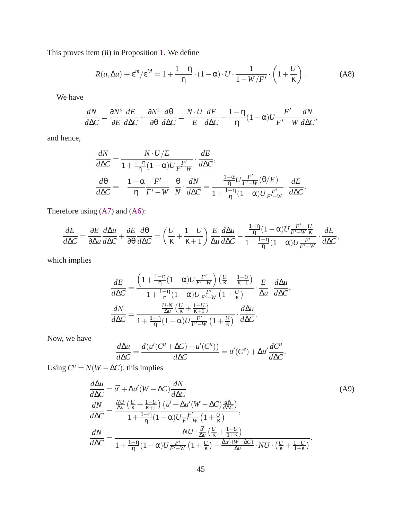This proves item (ii) in Proposition [1.](#page-52-0) We define

$$
R(a,\Delta u) \equiv \varepsilon^m/\varepsilon^M = 1 + \frac{1-\eta}{\eta} \cdot (1-\alpha) \cdot U \cdot \frac{1}{1-W/F'} \cdot \left(1 + \frac{U}{\kappa}\right). \tag{A8}
$$

We have

$$
\frac{dN}{d\Delta C} = \frac{\partial N^s}{\partial E} \frac{dE}{d\Delta C} + \frac{\partial N^s}{\partial \theta} \frac{d\theta}{d\Delta C} = \frac{N \cdot U}{E} \frac{dE}{d\Delta C} - \frac{1 - \eta}{\eta} (1 - \alpha) U \frac{F'}{F' - W} \frac{dN}{d\Delta C},
$$

and hence,

$$
\begin{split} \frac{dN}{d\Delta C}&=\frac{N\cdot U/E}{1+\frac{1-\eta}{\eta}(1-\alpha)U\frac{F'}{F'-W}}\cdot\frac{dE}{d\Delta C},\\ \frac{d\theta}{d\Delta C}&=-\frac{1-\alpha}{\eta}\frac{F'}{F'-W}\cdot\frac{\theta}{N}\cdot\frac{dN}{d\Delta C}=\frac{-\frac{1-\alpha}{\eta}U\frac{F'}{F'-W}(\theta/E)}{1+\frac{1-\eta}{\eta}(1-\alpha)U\frac{F'}{F'-W}}\cdot\frac{dE}{d\Delta C}. \end{split}
$$

Therefore using [\(A7\)](#page-45-0) and [\(A6\)](#page-45-0):

$$
\frac{dE}{d\Delta C} = \frac{\partial E}{\partial \Delta u} \frac{d\Delta u}{d\Delta C} + \frac{\partial E}{\partial \theta} \frac{d\theta}{d\Delta C} = \left(\frac{U}{\kappa} + \frac{1 - U}{\kappa + 1}\right) \frac{E}{\Delta u} \frac{d\Delta u}{d\Delta C} - \frac{\frac{1 - \eta}{\eta} (1 - \alpha) U \frac{F'}{F' - W} \frac{U}{\kappa}}{1 + \frac{1 - \eta}{\eta} (1 - \alpha) U \frac{F'}{F' - W}} \cdot \frac{dE}{d\Delta C},
$$

which implies

$$
\frac{dE}{d\Delta C} = \frac{\left(1 + \frac{1-\eta}{\eta}(1-\alpha)U\frac{F'}{F'-W}\right)\left(\frac{U}{\kappa} + \frac{1-U}{\kappa+1}\right)}{1 + \frac{1-\eta}{\eta}(1-\alpha)U\frac{F'}{F'-W}\left(1 + \frac{U}{\kappa}\right)} \cdot \frac{E}{\Delta u} \cdot \frac{d\Delta u}{d\Delta C},
$$

$$
\frac{dN}{d\Delta C} = \frac{\frac{U\cdot N}{\Delta u}\left(\frac{U}{\kappa} + \frac{1-U}{\kappa+1}\right)}{1 + \frac{1-\eta}{\eta}(1-\alpha)U\frac{F'}{F'-W}\left(1 + \frac{U}{\kappa}\right)} \cdot \frac{d\Delta u}{d\Delta C}.
$$

Now, we have

$$
\frac{d\Delta u}{d\Delta C} = \frac{d(u'(C^u + \Delta C) - u'(C^u))}{d\Delta C} = u'(C^e) + \Delta u' \frac{dC^u}{d\Delta C}.
$$

Using  $C^u = N(W - \Delta C)$ , this implies

$$
\frac{d\Delta u}{d\Delta C} = \vec{u}' + \Delta u'(W - \Delta C) \frac{dN}{d\Delta C}
$$
\n
$$
\frac{dN}{d\Delta C} = \frac{\frac{NU}{\Delta u} \left(\frac{U}{\kappa} + \frac{1-U}{\kappa + 1}\right) \left(\vec{u}' + \Delta u'(W - \Delta C)\frac{dN}{d\Delta C}\right)}{1 + \frac{1-\eta}{\eta} (1 - \alpha) U \frac{F'}{F' - W} \left(1 + \frac{U}{\kappa}\right)},
$$
\n
$$
\frac{dN}{d\Delta C} = \frac{NU \cdot \frac{\vec{u}'}{d\mu} \left(\frac{U}{\kappa} + \frac{1-U}{1+\kappa}\right)}{1 + \frac{1-\eta}{\eta} (1 - \alpha) U \frac{F'}{F' - W} \left(1 + \frac{U}{\kappa}\right) - \frac{\Delta u' \cdot (W - \Delta C)}{\Delta u} \cdot NU \cdot \left(\frac{U}{\kappa} + \frac{1-U}{1+\kappa}\right)}.
$$
\n(A9)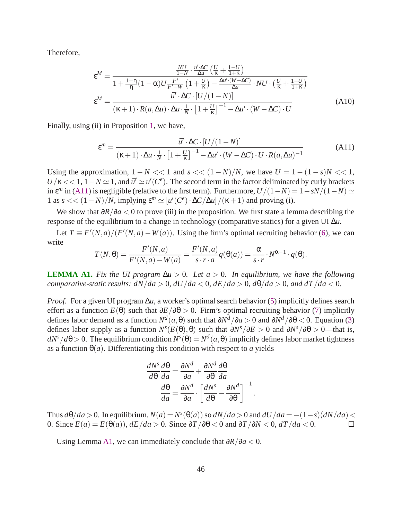Therefore,

$$
\epsilon^{M} = \frac{\frac{NU}{1-N} \cdot \frac{\vec{u}' \cdot \Delta C}{\Delta u} \left(\frac{U}{\kappa} + \frac{1-U}{1+\kappa}\right)}{1 + \frac{1-\eta}{\eta} (1-\alpha) U \frac{F'}{F'-W} \left(1 + \frac{U}{\kappa}\right) - \frac{\Delta u' \cdot (W-\Delta C)}{\Delta u} \cdot NU \cdot \left(\frac{U}{\kappa} + \frac{1-U}{1+\kappa}\right)}
$$

$$
\epsilon^{M} = \frac{\vec{u}' \cdot \Delta C \cdot [U/(1-N)]}{(\kappa+1) \cdot R(a, \Delta u) \cdot \Delta u \cdot \frac{1}{N} \cdot \left[1 + \frac{U}{\kappa}\right]^{-1} - \Delta u' \cdot (W-\Delta C) \cdot U}
$$
(A10)

Finally, using (ii) in Proposition [1,](#page-52-0) we have,

$$
\varepsilon^{m} = \frac{\bar{u}' \cdot \Delta C \cdot [U/(1-N)]}{(\kappa+1) \cdot \Delta u \cdot \frac{1}{N} \cdot \left[1 + \frac{U}{\kappa}\right]^{-1} - \Delta u' \cdot (W - \Delta C) \cdot U \cdot R(a, \Delta u)^{-1}} \tag{A11}
$$

Using the approximation,  $1 - N \ll 1$  and  $s \ll (1 - N)/N$ , we have  $U = 1 - (1 - s)N \ll 1$ ,  $U/\kappa \ll 1, 1-N \simeq 1$ , and  $\bar{u}' \simeq u'(C^e)$ . The second term in the factor deliminated by curly brackets in  $\varepsilon^m$  in (A11) is negligible (relative to the first term). Furthermore,  $U/(1-N) = 1 - sN/(1-N) \simeq$ 1 as  $s \ll (1 - N)/N$ , implying  $\varepsilon^m \simeq [u'(C^e) \cdot \Delta C/\Delta u]/(\kappa + 1)$  and proving (i).

We show that ∂*R*/∂*a* < 0 to prove (iii) in the proposition. We first state a lemma describing the response of the equilibrium to a change in technology (comparative statics) for a given UI ∆*u*.

Let  $T \equiv F'(N,a)/(F'(N,a) - W(a))$ . Using the firm's optimal recruiting behavior [\(6\)](#page-11-0), we can write

$$
T(N, \theta) = \frac{F'(N, a)}{F'(N, a) - W(a)} = \frac{F'(N, a)}{s \cdot r \cdot a} q(\theta(a)) = \frac{\alpha}{s \cdot r} \cdot N^{\alpha - 1} \cdot q(\theta).
$$

**LEMMA A1.** Fix the UI program  $\Delta u > 0$ . Let  $a > 0$ . In equilibrium, we have the following *comparative-static results:*  $dN/da > 0$ ,  $dU/da < 0$ ,  $dE/da > 0$ ,  $d\theta/da > 0$ , and  $dT/da < 0$ .

*Proof.* For a given UI program ∆*u*, a worker's optimal search behavior [\(5\)](#page-10-0) implicitly defines search effort as a function *E*(θ) such that ∂*E*/∂θ > 0. Firm's optimal recruiting behavior [\(7\)](#page-12-0) implicitly defines labor demand as a function  $N^d(a, \theta)$  such that  $\partial N^d/\partial a > 0$  and  $\partial N^d/\partial \theta < 0$ . Equation [\(3\)](#page-9-0) defines labor supply as a function  $N^s(E(\theta), \theta)$  such that  $\frac{\partial N^s}{\partial E} > 0$  and  $\frac{\partial N^s}{\partial \theta} > 0$ —that is,  $dN^s/d\theta > 0$ . The equilibrium condition  $N^s(\theta) = N^d(a, \theta)$  implicitly defines labor market tightness as a function  $\theta(a)$ . Differentiating this condition with respect to *a* yields

$$
\frac{dN^s}{d\theta}\frac{d\theta}{da} = \frac{\partial N^d}{\partial a} + \frac{\partial N^d}{\partial \theta}\frac{d\theta}{da}
$$

$$
\frac{d\theta}{da} = \frac{\partial N^d}{\partial a} \cdot \left[\frac{dN^s}{d\theta} - \frac{\partial N^d}{\partial \theta}\right]^{-1}.
$$

Thus  $d\theta/da > 0$ . In equilibrium,  $N(a) = N^{s}(\theta(a))$  so  $dN/da > 0$  and  $dU/da = -(1-s)(dN/da) <$ 0. Since  $E(a) = E(\theta(a))$ ,  $dE/da > 0$ . Since  $\frac{\partial T}{\partial \theta} < 0$  and  $\frac{\partial T}{\partial N} < 0$ ,  $dT/da < 0$ . П

Using Lemma A1, we can immediately conclude that ∂*R*/∂*a* < 0.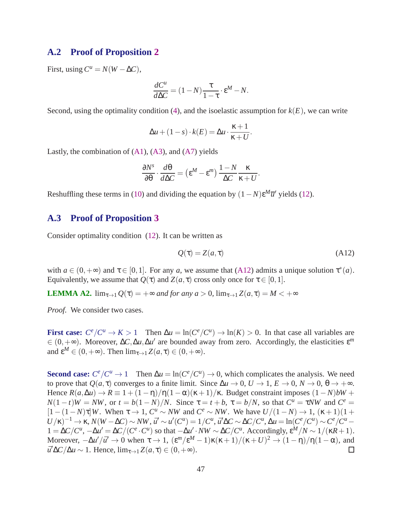#### <span id="page-48-0"></span>**A.2 Proof of Proposition [2](#page-18-0)**

First, using  $C^u = N(W - \Delta C)$ ,

$$
\frac{dC^u}{d\Delta C} = (1 - N)\frac{\tau}{1 - \tau} \cdot \varepsilon^M - N.
$$

Second, using the optimality condition [\(4\)](#page-10-0), and the isoelastic assumption for  $k(E)$ , we can write

$$
\Delta u + (1 - s) \cdot k(E) = \Delta u \cdot \frac{\kappa + 1}{\kappa + U}.
$$

Lastly, the combination of  $(A1)$ ,  $(A3)$ , and  $(A7)$  yields

$$
\frac{\partial N^s}{\partial \theta} \cdot \frac{d\theta}{d\Delta C} = (\varepsilon^M - \varepsilon^m) \frac{1 - N}{\Delta C} \frac{\kappa}{\kappa + U}
$$

Reshuffling these terms in [\(10\)](#page-14-0) and dividing the equation by  $(1 - N)\epsilon^M \overline{u}$  yields [\(12\)](#page-18-0).

#### **A.3 Proof of Proposition [3](#page-21-0)**

Consider optimality condition [\(12\)](#page-18-0). It can be written as

$$
Q(\tau) = Z(a, \tau) \tag{A12}
$$

.

with  $a \in (0, +\infty)$  and  $\tau \in [0, 1]$ . For any a, we assume that (A12) admits a unique solution  $\tau^*(a)$ . Equivalently, we assume that  $Q(\tau)$  and  $Z(a, \tau)$  cross only once for  $\tau \in [0, 1]$ .

**LEMMA A2.**  $\lim_{\tau \to 1} Q(\tau) = +\infty$  *and for any a* > 0,  $\lim_{\tau \to 1} Z(a, \tau) = M < +\infty$ 

*Proof.* We consider two cases.

**First case:**  $C^e/C^u \to K > 1$  Then  $\Delta u = \ln(C^e/C^u) \to \ln(K) > 0$ . In that case all variables are  $\in (0, +\infty)$ . Moreover,  $\Delta C$ ,  $\Delta u$ ,  $\Delta u'$  are bounded away from zero. Accordingly, the elasticities  $\varepsilon^m$ and  $\epsilon^M \in (0, +\infty)$ . Then  $\lim_{\tau \to 1} Z(a, \tau) \in (0, +\infty)$ .

**Second case:**  $C^e/C^u \to 1$  Then  $\Delta u = \ln(C^e/C^u) \to 0$ , which complicates the analysis. We need to prove that  $O(a, \tau)$  converges to a finite limit. Since  $\Delta u \to 0$ ,  $U \to 1$ ,  $E \to 0$ ,  $N \to 0$ ,  $\theta \to +\infty$ . Hence  $R(a, \Delta u) \rightarrow R \equiv 1 + (1 - \eta)/\eta(1 - \alpha)(\kappa + 1)/\kappa$ . Budget constraint imposes  $(1 - N)bW$  +  $N(1-t)W = NW$ , or  $t = b(1-N)/N$ . Since  $\tau = t + b$ ,  $\tau = b/N$ , so that  $C^u = \tau N W$  and  $C^e =$  $[1-(1-N)\tau]W$ . When  $\tau \to 1$ ,  $C^u \sim NW$  and  $C^e \sim NW$ . We have  $U/(1-N) \to 1$ ,  $(\kappa+1)(1+N)$  $U/\kappa)^{-1} \to \kappa$ ,  $N(W-\Delta C) \sim NW$ ,  $\bar{u}' \sim u'(C^u) = 1/C^u$ ,  $\bar{u}'\Delta C \sim \Delta C/C^u$ ,  $\Delta u = \ln(C^e/C^u) \sim C^e/C^u$  $1 = \Delta C/C^u$ ,  $-\Delta u' = \Delta C/(C^e \cdot C^u)$  so that  $-\Delta u' \cdot NW \sim \Delta C/C^u$ . Accordingly,  $\varepsilon^M/N \sim 1/(\kappa R + 1)$ . Moreover,  $-\Delta u'/\bar{u}' \to 0$  when  $\tau \to 1$ ,  $(\varepsilon^m/\varepsilon^M - 1)\kappa(\kappa + 1)/(\kappa + U)^2 \to (1 - \eta)/\eta(1 - \alpha)$ , and  $\bar{u}'\Delta C/\Delta u \sim 1$ . Hence,  $\lim_{\tau \to 1} Z(a,\tau) \in (0,+\infty)$ .  $\Box$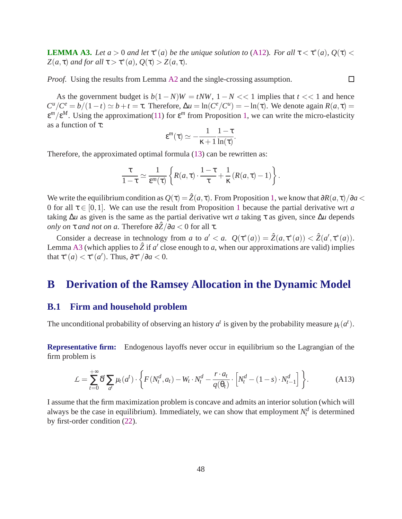**LEMMA A3.** Let  $a > 0$  and let  $\tau^*(a)$  be the unique solution to [\(A12\)](#page-48-0). For all  $\tau < \tau^*(a)$ ,  $Q(\tau) <$ *Z*(*a*,  $\tau$ ) *and for all*  $\tau > \tau^*(a)$ ,  $Q(\tau) > Z(a, \tau)$ *.* 

*Proof.* Using the results from Lemma [A2](#page-48-0) and the single-crossing assumption.

As the government budget is  $b(1 - N)W = tNW$ ,  $1 - N \ll 1$  implies that  $t \ll 1$  and hence  $C^u/C^e = b/(1-t) \simeq b+t = \tau$ . Therefore,  $\Delta u = \ln(C^e/C^u) = -\ln(\tau)$ . We denote again  $R(a, \tau) =$  $\epsilon^{m}/\epsilon^{M}$ . Using the approximation[\(11\)](#page-15-0) for  $\epsilon^{m}$  from Proposition [1,](#page-52-0) we can write the micro-elasticity as a function of τ:

$$
\epsilon^m(\tau)\simeq -\frac{1}{\kappa+1}\frac{1-\tau}{\ln(\tau)}.
$$

Therefore, the approximated optimal formula [\(13\)](#page-18-0) can be rewritten as:

$$
\frac{\tau}{1-\tau} \simeq \frac{1}{\varepsilon^m(\tau)} \left\{ R(a,\tau) \cdot \frac{1-\tau}{\tau} + \frac{1}{\kappa} \left( R(a,\tau) - 1 \right) \right\}.
$$

We write the equilibrium condition as  $Q(\tau) = \hat{Z}(a, \tau)$ . From Proposition [1,](#page-52-0) we know that  $\partial R(a, \tau)/\partial a$ 0 for all  $\tau \in [0,1]$  $\tau \in [0,1]$  $\tau \in [0,1]$ . We can use the result from Proposition 1 because the partial derivative wrt *a* taking  $\Delta u$  as given is the same as the partial derivative wrt *a* taking  $\tau$  as given, since  $\Delta u$  depends *only on*  $\tau$  *and not on a*. Therefore  $\frac{\partial \hat{Z}}{\partial a} < 0$  for all  $\tau$ .

Consider a decrease in technology from *a* to  $a' < a$ .  $Q(\tau^*(a)) = \hat{Z}(a, \tau^*(a)) < \hat{Z}(a', \tau^*(a))$ . Lemma A3 (which applies to  $\hat{Z}$  if  $a'$  close enough to  $a$ , when our approximations are valid) implies that  $\tau^*(a) < \tau^*(a')$ . Thus,  $\frac{\partial \tau^*}{\partial a} < 0$ .

## **B Derivation of the Ramsey Allocation in the Dynamic Model**

#### **B.1 Firm and household problem**

The unconditional probability of observing an history  $a^t$  is given by the probability measure  $\mu_t(a^t)$ .

**Representative firm:** Endogenous layoffs never occur in equilibrium so the Lagrangian of the firm problem is

$$
\mathcal{L} = \sum_{t=0}^{+\infty} \delta^t \sum_{a^t} \mu_t(a^t) \cdot \left\{ F(N_t^d, a_t) - W_t \cdot N_t^d - \frac{r \cdot a_t}{q(\theta_t)} \cdot \left[ N_t^d - (1 - s) \cdot N_{t-1}^d \right] \right\}.
$$
 (A13)

I assume that the firm maximization problem is concave and admits an interior solution (which will always be the case in equilibrium). Immediately, we can show that employment  $N_t^d$  is determined by first-order condition [\(22\)](#page-28-0).

 $\Box$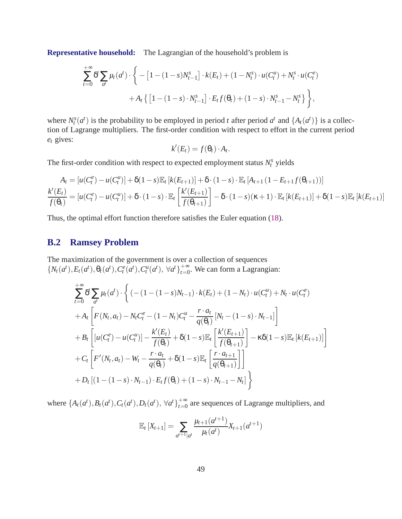**Representative household:** The Lagrangian of the household's problem is

$$
\sum_{t=0}^{+\infty} \delta^t \sum_{a^t} \mu_t(a^t) \cdot \left\{ - \left[ 1 - (1 - s)N_{t-1}^s \right] \cdot k(E_t) + (1 - N_t^s) \cdot u(C_t^u) + N_t^s \cdot u(C_t^e) + A_t \left\{ \left[ 1 - (1 - s) \cdot N_{t-1}^s \right] \cdot E_t f(\theta_t) + (1 - s) \cdot N_{t-1}^s - N_t^s \right\} \right\},
$$

where  $N_t^s(a^t)$  is the probability to be employed in period *t* after period  $a^t$  and  $\{A_t(a^t)\}\$  is a collection of Lagrange multipliers. The first-order condition with respect to effort in the current period *e<sup>t</sup>* gives:

$$
k'(E_t) = f(\theta_t) \cdot A_t.
$$

The first-order condition with respect to expected employment status  $N_t^s$  yields

$$
A_{t} = [u(C_{t}^{e}) - u(C_{t}^{u})] + \delta(1 - s) \mathbb{E}_{t} [k(E_{t+1})] + \delta \cdot (1 - s) \cdot \mathbb{E}_{t} [A_{t+1} (1 - E_{t+1} f(\theta_{t+1}))]
$$
  

$$
\frac{k'(E_{t})}{f(\theta_{t})} = [u(C_{t}^{e}) - u(C_{t}^{u})] + \delta \cdot (1 - s) \cdot \mathbb{E}_{t} \left[ \frac{k'(E_{t+1})}{f(\theta_{t+1})} \right] - \delta \cdot (1 - s)(\kappa + 1) \cdot \mathbb{E}_{t} [k(E_{t+1})] + \delta(1 - s) \mathbb{E}_{t} [k(E_{t+1})]
$$

Thus, the optimal effort function therefore satisfies the Euler equation [\(18\)](#page-27-0).

### **B.2 Ramsey Problem**

The maximization of the government is over a collection of sequences  $\{N_t(a^t), E_t(a^t), \theta_t(a^t), C_t^e(a^t), C_t^u(a^t), \forall a^t\}_{t=0}^{+\infty}$  $t_{t=0}^{+\infty}$ . We can form a Lagrangian:

$$
\sum_{t=0}^{+\infty} \delta^{t} \sum_{a^{t}} \mu_{t}(a^{t}) \cdot \left\{ \left( -(1 - (1 - s)N_{t-1}) \cdot k(E_{t}) + (1 - N_{t}) \cdot u(C_{t}^{u}) + N_{t} \cdot u(C_{t}^{e}) \right. \\ \left. + A_{t} \left[ F(N_{t}, a_{t}) - N_{t}C_{t}^{e} - (1 - N_{t})C_{t}^{u} - \frac{r \cdot a_{t}}{q(\theta_{t})} \left[ N_{t} - (1 - s) \cdot N_{t-1} \right] \right] \right. \\ \left. + B_{t} \left[ \left[ u(C_{t}^{e}) - u(C_{t}^{u}) \right] - \frac{k'(E_{t})}{f(\theta_{t})} + \delta(1 - s) \mathbb{E}_{t} \left[ \frac{k'(E_{t+1})}{f(\theta_{t+1})} \right] - \kappa \delta(1 - s) \mathbb{E}_{t} \left[ k(E_{t+1}) \right] \right] \right. \\ \left. + C_{t} \left[ F'(N_{t}, a_{t}) - W_{t} - \frac{r \cdot a_{t}}{q(\theta_{t})} + \delta(1 - s) \mathbb{E}_{t} \left[ \frac{r \cdot a_{t+1}}{q(\theta_{t+1})} \right] \right] \right. \\ \left. + D_{t} \left[ (1 - (1 - s) \cdot N_{t-1}) \cdot E_{t} f(\theta_{t}) + (1 - s) \cdot N_{t-1} - N_{t} \right] \right\}
$$

where  $\{A_t(a^t), B_t(a^t), C_t(a^t), D_t(a^t), \forall a^t\}_{t=0}^{+\infty}$  $_{t=0}^{+\infty}$  are sequences of Lagrange multipliers, and

$$
\mathbb{E}_t \left[ X_{t+1} \right] = \sum_{a^{t+1} \mid a^t} \frac{\mu_{t+1}(a^{t+1})}{\mu_t(a^t)} X_{t+1}(a^{t+1})
$$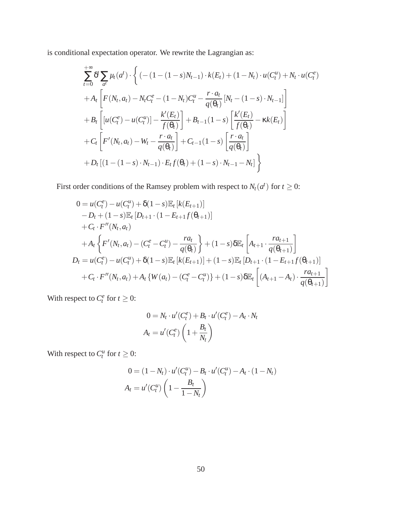is conditional expectation operator. We rewrite the Lagrangian as:

$$
\sum_{t=0}^{+\infty} \delta^{t} \sum_{a^{t}} \mu_{t}(a^{t}) \cdot \left\{ \left( -(1 - (1 - s)N_{t-1}) \cdot k(E_{t}) + (1 - N_{t}) \cdot u(C_{t}^{u}) + N_{t} \cdot u(C_{t}^{e}) \right) \right. \\ \left. + A_{t} \left[ F(N_{t}, a_{t}) - N_{t}C_{t}^{e} - (1 - N_{t})C_{t}^{u} - \frac{r \cdot a_{t}}{q(\theta_{t})} [N_{t} - (1 - s) \cdot N_{t-1}] \right] \right. \\ \left. + B_{t} \left[ [u(C_{t}^{e}) - u(C_{t}^{u})] - \frac{k'(E_{t})}{f(\theta_{t})} \right] + B_{t-1}(1 - s) \left[ \frac{k'(E_{t})}{f(\theta_{t})} - \kappa k(E_{t}) \right] \right. \\ \left. + C_{t} \left[ F'(N_{t}, a_{t}) - W_{t} - \frac{r \cdot a_{t}}{q(\theta_{t})} \right] + C_{t-1}(1 - s) \left[ \frac{r \cdot a_{t}}{q(\theta_{t})} \right] \right. \\ \left. + D_{t} \left[ (1 - (1 - s) \cdot N_{t-1}) \cdot E_{t} f(\theta_{t}) + (1 - s) \cdot N_{t-1} - N_{t} \right] \right\}
$$

First order conditions of the Ramsey problem with respect to  $N_t(a^t)$  for  $t \geq 0$ :

$$
0 = u(C_t^e) - u(C_t^u) + \delta(1-s) \mathbb{E}_t [k(E_{t+1})]
$$
  
\n
$$
-D_t + (1-s) \mathbb{E}_t [D_{t+1} \cdot (1 - E_{t+1} f(\theta_{t+1}))]
$$
  
\n
$$
+ C_t \cdot F''(N_t, a_t)
$$
  
\n
$$
+ A_t \left\{ F'(N_t, a_t) - (C_t^e - C_t^u) - \frac{ra_t}{q(\theta_t)} \right\} + (1-s) \delta \mathbb{E}_t \left[ A_{t+1} \cdot \frac{ra_{t+1}}{q(\theta_{t+1})} \right]
$$
  
\n
$$
D_t = u(C_t^e) - u(C_t^u) + \delta(1-s) \mathbb{E}_t [k(E_{t+1})] + (1-s) \mathbb{E}_t [D_{t+1} \cdot (1 - E_{t+1} f(\theta_{t+1}))]
$$
  
\n
$$
+ C_t \cdot F''(N_t, a_t) + A_t \left\{ W(a_t) - (C_t^e - C_t^u) \right\} + (1-s) \delta \mathbb{E}_t \left[ (A_{t+1} - A_t) \cdot \frac{ra_{t+1}}{q(\theta_{t+1})} \right]
$$

With respect to  $C_t^e$  for  $t \geq 0$ :

$$
0 = N_t \cdot u'(C_t^e) + B_t \cdot u'(C_t^e) - A_t \cdot N_t
$$

$$
A_t = u'(C_t^e) \left(1 + \frac{B_t}{N_t}\right)
$$

With respect to  $C_t^u$  for  $t \geq 0$ :

$$
0 = (1 - N_t) \cdot u'(C_t^u) - B_t \cdot u'(C_t^u) - A_t \cdot (1 - N_t)
$$
  

$$
A_t = u'(C_t^u) \left(1 - \frac{B_t}{1 - N_t}\right)
$$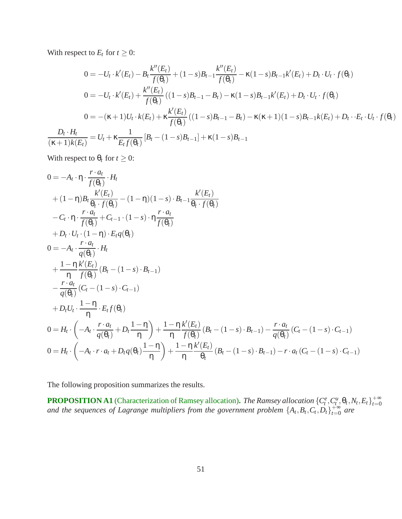<span id="page-52-0"></span>With respect to  $E_t$  for  $t \geq 0$ :

$$
0 = -U_t \cdot k'(E_t) - B_t \frac{k''(E_t)}{f(\theta_t)} + (1 - s)B_{t-1} \frac{k''(E_t)}{f(\theta_t)} - \kappa (1 - s)B_{t-1}k'(E_t) + D_t \cdot U_t \cdot f(\theta_t)
$$
  
\n
$$
0 = -U_t \cdot k'(E_t) + \frac{k''(E_t)}{f(\theta_t)}((1 - s)B_{t-1} - B_t) - \kappa (1 - s)B_{t-1}k'(E_t) + D_t \cdot U_t \cdot f(\theta_t)
$$
  
\n
$$
0 = -(\kappa + 1)U_t \cdot k(E_t) + \kappa \frac{k'(E_t)}{f(\theta_t)}((1 - s)B_{t-1} - B_t) - \kappa(\kappa + 1)(1 - s)B_{t-1}k(E_t) + D_t \cdot E_t \cdot U_t \cdot f(\theta_t)
$$
  
\n
$$
\frac{D_t \cdot H_t}{(\kappa + 1)k(E_t)} = U_t + \kappa \frac{1}{E_t f(\theta_t)} [B_t - (1 - s)B_{t-1}] + \kappa (1 - s)B_{t-1}
$$

With respect to  $\theta_t$  for  $t \geq 0$ :

$$
0 = -A_{t} \cdot \eta \cdot \frac{r \cdot a_{t}}{f(\theta_{t})} \cdot H_{t}
$$
  
+  $(1 - \eta)B_{t} \frac{k'(E_{t})}{\theta_{t} \cdot f(\theta_{t})} - (1 - \eta)(1 - s) \cdot B_{t-1} \frac{k'(E_{t})}{\theta_{t} \cdot f(\theta_{t})}$   
-  $C_{t} \cdot \eta \cdot \frac{r \cdot a_{t}}{f(\theta_{t})} + C_{t-1} \cdot (1 - s) \cdot \eta \frac{r \cdot a_{t}}{f(\theta_{t})}$   
+  $D_{t} \cdot U_{t} \cdot (1 - \eta) \cdot E_{t}q(\theta_{t})$   
 $0 = -A_{t} \cdot \frac{r \cdot a_{t}}{q(\theta_{t})} \cdot H_{t}$   
+  $\frac{1 - \eta k'(E_{t})}{\eta} (B_{t} - (1 - s) \cdot B_{t-1})$   
-  $\frac{r \cdot a_{t}}{q(\theta_{t})} (C_{t} - (1 - s) \cdot C_{t-1})$   
+  $D_{t}U_{t} \cdot \frac{1 - \eta}{\eta} \cdot E_{t}f(\theta_{t})$   
 $0 = H_{t} \cdot \left(-A_{t} \cdot \frac{r \cdot a_{t}}{q(\theta_{t})} + D_{t} \frac{1 - \eta}{\eta}\right) + \frac{1 - \eta k'(E_{t})}{\eta} (B_{t} - (1 - s) \cdot B_{t-1}) - \frac{r \cdot a_{t}}{q(\theta_{t})} (C_{t} - (1 - s) \cdot C_{t-1})$   
 $0 = H_{t} \cdot \left(-A_{t} \cdot r \cdot a_{t} + D_{t}q(\theta_{t}) \frac{1 - \eta}{\eta}\right) + \frac{1 - \eta k'(E_{t})}{\eta} (B_{t} - (1 - s) \cdot B_{t-1}) - r \cdot a_{t} (C_{t} - (1 - s) \cdot C_{t-1})$ 

The following proposition summarizes the results.

**PROPOSITION A1** (Characterization of Ramsey allocation). *The Ramsey allocation*  $\{C_t^e, C_t^u, \theta_t, N_t, E_t\}_{t=0}^{+\infty}$ *t*=0 and the sequences of Lagrange multipliers from the government problem  $\{A_t, B_t, C_t, D_t\}_{t=0}^{+\infty}$  $t=0$  are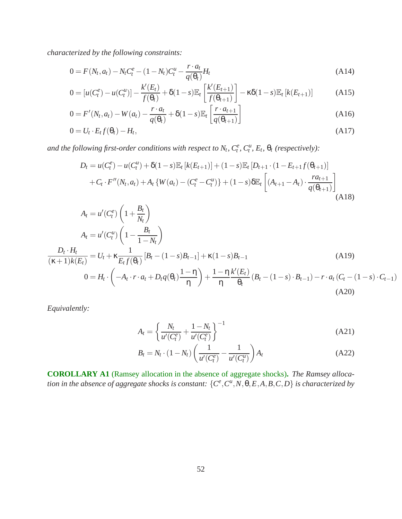<span id="page-53-0"></span>*characterized by the following constraints:*

$$
0 = F(N_t, a_t) - N_t C_t^e - (1 - N_t) C_t^u - \frac{r \cdot a_t}{q(\theta_t)} H_t
$$
\n(A14)

$$
0 = [u(C_t^e) - u(C_t^u)] - \frac{k'(E_t)}{f(\theta_t)} + \delta(1-s)\mathbb{E}_t \left[ \frac{k'(E_{t+1})}{f(\theta_{t+1})} \right] - \kappa \delta(1-s) \mathbb{E}_t [k(E_{t+1})]
$$
(A15)

$$
0 = F'(N_t, a_t) - W(a_t) - \frac{r \cdot a_t}{q(\theta_t)} + \delta(1-s) \mathbb{E}_t \left[ \frac{r \cdot a_{t+1}}{q(\theta_{t+1})} \right]
$$
(A16)

$$
0 = U_t \cdot E_t f(\theta_t) - H_t, \tag{A17}
$$

*and the following first-order conditions with respect to*  $N_t$ *,*  $C_t^e$ *,*  $C_t^u$ *,*  $E_t$ *,*  $\theta_t$  *(respectively):* 

$$
D_{t} = u(C_{t}^{e}) - u(C_{t}^{u}) + \delta(1 - s)\mathbb{E}_{t}[k(E_{t+1})] + (1 - s)\mathbb{E}_{t}[D_{t+1} \cdot (1 - E_{t+1}f(\theta_{t+1}))]
$$
  
+  $C_{t} \cdot F''(N_{t}, a_{t}) + A_{t} \{W(a_{t}) - (C_{t}^{e} - C_{t}^{u})\} + (1 - s)\delta \mathbb{E}_{t}\left[(A_{t+1} - A_{t}) \cdot \frac{ra_{t+1}}{q(\theta_{t+1})}\right]$  (A18)

$$
A_{t} = u'(C_{t}^{e}) \left( 1 + \frac{B_{t}}{N_{t}} \right)
$$
  
\n
$$
A_{t} = u'(C_{t}^{u}) \left( 1 - \frac{B_{t}}{1 - N_{t}} \right)
$$
  
\n
$$
\frac{D_{t} \cdot H_{t}}{(\kappa + 1)k(E_{t})} = U_{t} + \kappa \frac{1}{E_{t}f(\theta_{t})} [B_{t} - (1 - s)B_{t-1}] + \kappa (1 - s)B_{t-1}
$$
  
\n
$$
0 = H_{t} \cdot \left( -A_{t} \cdot r \cdot a_{t} + D_{t}q(\theta_{t}) \frac{1 - \eta}{\eta} \right) + \frac{1 - \eta}{\eta} \frac{k'(E_{t})}{\theta_{t}} (B_{t} - (1 - s) \cdot B_{t-1}) - r \cdot a_{t} (C_{t} - (1 - s) \cdot C_{t-1})
$$
  
\n(A20)

*Equivalently:*

$$
A_t = \left\{ \frac{N_t}{u'(C_t^e)} + \frac{1 - N_t}{u'(C_t^e)} \right\}^{-1}
$$
 (A21)

$$
B_t = N_t \cdot (1 - N_t) \left( \frac{1}{u'(C_t^e)} - \frac{1}{u'(C_t^u)} \right) A_t
$$
 (A22)

**COROLLARY A1** (Ramsey allocation in the absence of aggregate shocks)**.** *The Ramsey allocation in the absence of aggregate shocks is constant:*  $\{C^e, C^u, N, \theta, E, A, B, C, D\}$  *is characterized by*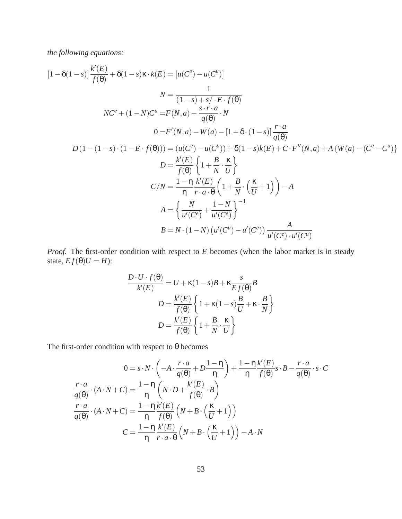*the following equations:*

$$
[1 - \delta(1 - s)] \frac{k'(E)}{f(\theta)} + \delta(1 - s) \kappa \cdot k(E) = [u(C^e) - u(C^u)]
$$
  
\n
$$
N = \frac{1}{(1 - s) + s / \cdot E \cdot f(\theta)}
$$
  
\n
$$
NC^e + (1 - N)C^u = F(N, a) - \frac{s \cdot r \cdot a}{q(\theta)} \cdot N
$$
  
\n
$$
0 = F'(N, a) - W(a) - [1 - \delta \cdot (1 - s)] \frac{r \cdot a}{q(\theta)}
$$
  
\n
$$
D(1 - (1 - s) \cdot (1 - E \cdot f(\theta))) = (u(C^e) - u(C^u)) + \delta(1 - s)k(E) + C \cdot F''(N, a) + A \{W(a) - (C^e - C^u)\}
$$
  
\n
$$
D = \frac{k'(E)}{f(\theta)} \left\{1 + \frac{B}{N} \cdot \frac{\kappa}{U}\right\}
$$
  
\n
$$
C/N = \frac{1 - \eta}{\eta} \frac{k'(E)}{r \cdot a \cdot \theta} \left(1 + \frac{B}{N} \cdot \left(\frac{\kappa}{U} + 1\right)\right) - A
$$
  
\n
$$
A = \left\{\frac{N}{u'(C^e)} + \frac{1 - N}{u'(C^e)}\right\}^{-1}
$$
  
\n
$$
B = N \cdot (1 - N) \left(u'(C^u) - u'(C^e)\right) \frac{A}{u'(C^e) \cdot u'(C^u)}
$$

*Proof.* The first-order condition with respect to *E* becomes (when the labor market is in steady state,  $Ef(\theta)U = H$ :

$$
\frac{D \cdot U \cdot f(\theta)}{k'(E)} = U + \kappa (1 - s)B + \kappa \frac{s}{Ef(\theta)}B
$$

$$
D = \frac{k'(E)}{f(\theta)} \left\{ 1 + \kappa (1 - s) \frac{B}{U} + \kappa \cdot \frac{B}{N} \right\}
$$

$$
D = \frac{k'(E)}{f(\theta)} \left\{ 1 + \frac{B}{N} \cdot \frac{\kappa}{U} \right\}
$$

The first-order condition with respect to  $\theta$  becomes

$$
0 = s \cdot N \cdot \left( -A \cdot \frac{r \cdot a}{q(\theta)} + D \frac{1 - \eta}{\eta} \right) + \frac{1 - \eta}{\eta} \frac{k'(E)}{f(\theta)} s \cdot B - \frac{r \cdot a}{q(\theta)} \cdot s \cdot C
$$
  

$$
\frac{r \cdot a}{q(\theta)} \cdot (A \cdot N + C) = \frac{1 - \eta}{\eta} \left( N \cdot D + \frac{k'(E)}{f(\theta)} \cdot B \right)
$$
  

$$
\frac{r \cdot a}{q(\theta)} \cdot (A \cdot N + C) = \frac{1 - \eta}{\eta} \frac{k'(E)}{f(\theta)} \left( N + B \cdot \left( \frac{\kappa}{U} + 1 \right) \right)
$$
  

$$
C = \frac{1 - \eta}{\eta} \frac{k'(E)}{r \cdot a \cdot \theta} \left( N + B \cdot \left( \frac{\kappa}{U} + 1 \right) \right) - A \cdot N
$$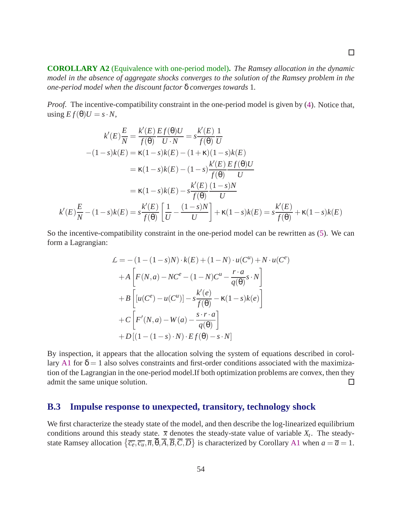**COROLLARY A2** (Equivalence with one-period model)**.** *The Ramsey allocation in the dynamic model in the absence of aggregate shocks converges to the solution of the Ramsey problem in the one-period model when the discount factor* δ *converges towards* 1*.*

*Proof.* The incentive-compatibility constraint in the one-period model is given by [\(4\)](#page-10-0). Notice that,  $using E f(\theta)U = s \cdot N$ ,

$$
k'(E)\frac{E}{N} = \frac{k'(E)}{f(\theta)} \frac{Ef(\theta)U}{U \cdot N} = s\frac{k'(E)}{f(\theta)} \frac{1}{U}
$$
  
-(1-s)k(E) =  $\kappa$ (1-s)k(E) - (1 +  $\kappa$ )(1-s)k(E)  
=  $\kappa$ (1-s)k(E) - (1-s)  $\frac{k'(E)}{f(\theta)} \frac{Ef(\theta)U}{U}$   
=  $\kappa$ (1-s)k(E) -  $s\frac{k'(E)}{f(\theta)} \frac{(1-s)N}{U}$   
 $k'(E)\frac{E}{N} - (1-s)k(E) = s\frac{k'(E)}{f(\theta)} \left[ \frac{1}{U} - \frac{(1-s)N}{U} \right] + \kappa$ (1-s)k(E) =  $s\frac{k'(E)}{f(\theta)} + \kappa$ (1-s)k(E)

So the incentive-compatibility constraint in the one-period model can be rewritten as [\(5\)](#page-10-0). We can form a Lagrangian:

$$
\mathcal{L} = -(1 - (1 - s)N) \cdot k(E) + (1 - N) \cdot u(C^{u}) + N \cdot u(C^{e})
$$
  
+ 
$$
A \left[ F(N, a) - NC^{e} - (1 - N)C^{u} - \frac{r \cdot a}{q(\theta)} s \cdot N \right]
$$
  
+ 
$$
B \left[ [u(C^{e}) - u(C^{u})] - s \frac{k'(e)}{f(\theta)} - \kappa (1 - s)k(e) \right]
$$
  
+ 
$$
C \left[ F'(N, a) - W(a) - \frac{s \cdot r \cdot a}{q(\theta)} \right]
$$
  
+ 
$$
D \left[ (1 - (1 - s) \cdot N) \cdot Ef(\theta) - s \cdot N \right]
$$

By inspection, it appears that the allocation solving the system of equations described in corol-lary [A1](#page-53-0) for  $\delta = 1$  also solves constraints and first-order conditions associated with the maximization of the Lagrangian in the one-period model.If both optimization problems are convex, then they admit the same unique solution.  $\Box$ 

### **B.3 Impulse response to unexpected, transitory, technology shock**

We first characterize the steady state of the model, and then describe the log-linearized equilibrium conditions around this steady state.  $\bar{x}$  denotes the steady-state value of variable  $X_t$ . The steadystate Ramsey allocation  $\{\overline{c_e}, \overline{c_u}, \overline{n}, \overline{\theta}, \overline{A}, \overline{B}, \overline{C}, \overline{D}\}$  is characterized by Corollary [A1](#page-53-0) when  $a = \overline{a} = 1$ .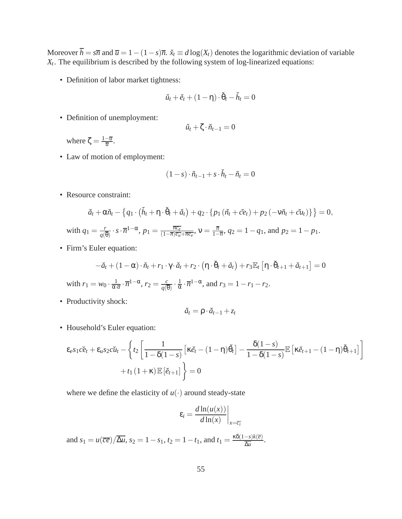Moreover  $\overline{h} = s\overline{n}$  and  $\overline{u} = 1 - (1 - s)\overline{n}$ .  $\check{x}_t \equiv d \log(X_t)$  denotes the logarithmic deviation of variable *Xt* . The equilibrium is described by the following system of log-linearized equations:

• Definition of labor market tightness:

$$
\check{u}_t + \check{e}_t + (1 - \eta) \cdot \check{\theta}_t - \check{h}_t = 0
$$

• Definition of unemployment:

$$
\check{u}_t + \zeta \cdot \check{n}_{t-1} = 0
$$

where  $\zeta = \frac{1 - \overline{u}}{\overline{u}}$  $\frac{-u}{\overline{u}}$ .

• Law of motion of employment:

$$
(1-s)\cdot\check{n}_{t-1}+s\cdot\check{h}_t-\check{n}_t=0
$$

• Resource constraint:

$$
\check{a}_t + \alpha \check{n}_t - \left\{ q_1 \cdot (\check{h}_t + \eta \cdot \check{\theta}_t + \check{a}_t) + q_2 \cdot \left\{ p_1 \left( \check{n}_t + \check{c} e_t \right) + p_2 \left( -\nu \check{n}_t + \check{c} u_t \right) \right\} \right\} = 0,
$$
\n
$$
\text{with } q_1 = \frac{r}{q(\theta)} \cdot s \cdot \overline{n}^{1-\alpha}, \ p_1 = \frac{\overline{n c_e}}{(1-\overline{n})\overline{c_u} + \overline{n c_e}}, \ \nu = \frac{\overline{n}}{1-\overline{n}}, \ q_2 = 1 - q_1, \text{ and } p_2 = 1 - p_1.
$$

• Firm's Euler equation:

$$
-\check{a}_t + (1 - \alpha) \cdot \check{n}_t + r_1 \cdot \gamma \cdot \check{a}_t + r_2 \cdot (\eta \cdot \check{\theta}_t + \check{a}_t) + r_3 \mathbb{E}_t [\eta \cdot \check{\theta}_{t+1} + \check{a}_{t+1}] = 0
$$
  
with  $r_1 = w_0 \cdot \frac{1}{\alpha \cdot \overline{a}} \cdot \overline{n}^{1-\alpha}$ ,  $r_2 = \frac{c}{q(\overline{\theta})} \cdot \frac{1}{\alpha} \cdot \overline{n}^{1-\alpha}$ , and  $r_3 = 1 - r_1 - r_2$ .

• Productivity shock:

$$
\check{a}_t = \rho \cdot \check{a}_{t-1} + z_t
$$

• Household's Euler equation:

$$
\varepsilon_{e} s_1 c \check{e}_t + \varepsilon_{u} s_2 c \check{u}_t - \left\{ t_2 \left[ \frac{1}{1 - \delta(1 - s)} \left[ \kappa \check{e}_t - (1 - \eta) \check{\theta}_t \right] - \frac{\delta(1 - s)}{1 - \delta(1 - s)} \mathbb{E} \left[ \kappa \check{e}_{t+1} - (1 - \eta) \check{\theta}_{t+1} \right] \right] + t_1 (1 + \kappa) \mathbb{E} \left[ \check{e}_{t+1} \right] \right\} = 0
$$

where we define the elasticity of  $u(\cdot)$  around steady-state

$$
\varepsilon_i = \frac{d \ln(u(x))}{d \ln(x)}\bigg|_{x=\overline{c_i}}
$$

and  $s_1 = u(\overline{ce})/\overline{\Delta u}$ ,  $s_2 = 1 - s_1$ ,  $t_2 = 1 - t_1$ , and  $t_1 = \frac{\kappa \delta (1-s)k(\overline{e})}{\overline{\Delta u}}$  $\frac{-s}{\Delta u}$ .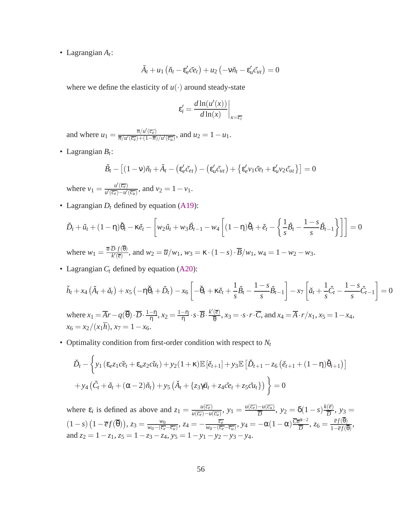• Lagrangian *A<sup>t</sup>* :

$$
\check{A}_t + u_1 \left( \check{n}_t - \varepsilon'_e \check{c} e_t \right) + u_2 \left( -v \check{n}_t - \varepsilon'_u \check{c}_{ut} \right) = 0
$$

where we define the elasticity of  $u(\cdot)$  around steady-state

$$
\varepsilon_i' = \frac{d \ln(u'(x))}{d \ln(x)} \bigg|_{x = \overline{c_i}}
$$

and where  $u_1 = \frac{\overline{n}/u'(\overline{c_e})}{\overline{n}/u'(\overline{c_e})+(1-\overline{n})}$  $\frac{n/u}{(\overline{c}_e)+(1-\overline{n})/u'(\overline{c_u})}$ , and  $u_2=1-u_1$ .

• Lagrangian *B<sup>t</sup>* :

$$
\check{B}_t - \left[ (1 - v)\check{n}_t + \check{A}_t - (\varepsilon'_e \check{c}_{et}) - (\varepsilon'_u \check{c}_{ut}) + \left\{ \varepsilon'_e v_1 \check{c}_{et} + \varepsilon'_u v_2 \check{c}_{ut} \right\} \right] = 0
$$

where  $v_1 = \frac{u'(\overline{c_e})}{u'(\overline{c_e}) - u'}$  $\frac{u(c_e)}{u'(\overline{c_e})-u'(\overline{c_u})}$ , and  $v_2 = 1 - v_1$ .

• Lagrangian *D<sup>t</sup>* defined by equation [\(A19\)](#page-53-0):

$$
\check{D}_t + \check{u}_t + (1 - \eta)\check{\theta}_t - \kappa \check{e}_t - \left[w_2 \check{u}_t + w_3 \check{B}_{t-1} - w_4\left[ (1 - \eta)\check{\theta}_t + \check{e}_t - \left\{\frac{1}{s}\check{B}_t - \frac{1 - s}{s}\check{B}_{t-1}\right\}\right]\right] = 0
$$
\n
$$
\text{where } w_1 = \frac{\overline{u}\cdot\overline{D}\cdot f(\overline{\theta})}{k'(\overline{e})}, \text{ and } w_2 = \overline{u}/w_1, w_3 = \kappa \cdot (1 - s) \cdot \overline{B}/w_1, w_4 = 1 - w_2 - w_3.
$$

• Lagrangian *C<sup>t</sup>* defined by equation [\(A20\)](#page-53-0):

$$
\check{h}_t + x_4 \left( \check{A}_t + \check{a}_t \right) + x_5 \left( -\eta \check{\theta}_t + \check{D}_t \right) - x_6 \left[ -\check{\theta}_t + \kappa \check{e}_t + \frac{1}{s} \check{B}_t - \frac{1-s}{s} \check{B}_{t-1} \right] - x_7 \left[ \check{a}_t + \frac{1}{s} \check{C}_t - \frac{1-s}{s} \check{C}_{t-1} \right] = 0
$$
\n
$$
\text{where } x_1 = \overline{A}r - q(\overline{\theta}) \cdot \overline{D} \cdot \frac{1-\eta}{\eta}, x_2 = \frac{1-\eta}{\eta} \cdot s \cdot \overline{B} \cdot \frac{k'(\overline{e})}{\overline{\theta}}, x_3 = \cdot s \cdot r \cdot \overline{C}, \text{ and } x_4 = \overline{A} \cdot r/x_1, x_5 = 1 - x_4,
$$
\n
$$
x_6 = x_2/(x_1 \overline{h}), x_7 = 1 - x_6.
$$

• Optimality condition from first-order condition with respect to *N<sup>t</sup>*

$$
\check{D}_t - \left\{ y_1 \left( \varepsilon_{e} z_1 c \check{e}_t + \varepsilon_{u} z_2 c \check{u}_t \right) + y_2 (1 + \kappa) \mathbb{E} \left[ \check{e}_{t+1} \right] + y_3 \mathbb{E} \left[ \check{D}_{t+1} - z_6 \left( \check{e}_{t+1} + (1 - \eta) \check{\theta}_{t+1} \right) \right] \right\}
$$
\n
$$
+ y_4 \left( \check{C}_t + \check{a}_t + (\alpha - 2) \check{n}_t \right) + y_5 \left( \check{A}_t + \{ z_3 \check{\gamma} \check{a}_t + z_4 \check{c} \check{e}_t + z_5 \check{c} \check{u}_t \} \right) \right\} = 0
$$

where  $\varepsilon_i$  is defined as above and  $z_1 = \frac{u(\overline{c_\varepsilon})}{u(\overline{c_\varepsilon}) - u}$  $\frac{u(\overline{c_e})}{u(\overline{c_e})-u(\overline{c_u})}, \ y_1 = \frac{u(\overline{c_e})-u(\overline{c_u})}{\overline{D}}$  $\frac{-u(\overline{c_u})}{\overline{D}}, y_2 = \delta(1-s)\frac{k(\overline{e})}{\overline{D}}$  $\frac{(e)}{D}$ ,  $y_3 =$  $(1-s)\left(1-\overline{e}f(\overline{\theta})\right), z_3 = \frac{w_0}{w_0-\overline{C_0}}$  $\frac{w_0}{w_0-(\overline{c_e}-\overline{c_u})}, z_4=-\frac{\overline{c_e}}{w_0-(\overline{c_e})}$  $\frac{\overline{c_{e}}}{w_{0}-(\overline{c_{e}}-\overline{c_{u}})}, y_{4}=-\alpha(1-\alpha)\frac{\overline{C}\overline{n}^{\alpha-2}}{\overline{D}}$  $\frac{\overline{e}^{a-2}}{\overline{D}}, z_6 = \frac{\overline{e}f(\theta)}{1-\overline{e}f(\overline{e})}$  $\frac{ef(\theta)}{1-\overline{ef}(\overline{\theta})},$ and  $z_2 = 1 - z_1$ ,  $z_5 = 1 - z_3 - z_4$ ,  $y_5 = 1 - y_1 - y_2 - y_3 - y_4$ .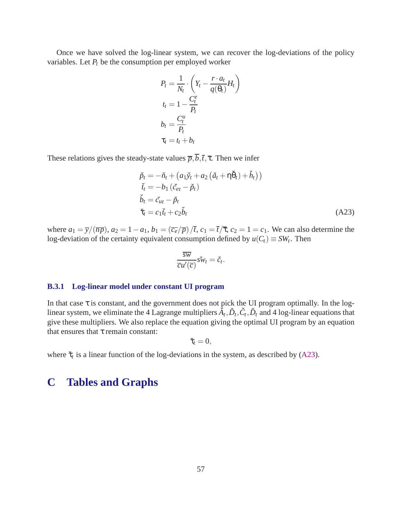Once we have solved the log-linear system, we can recover the log-deviations of the policy variables. Let  $P_t$  be the consumption per employed worker

$$
P_t = \frac{1}{N_t} \cdot \left( Y_t - \frac{r \cdot a_t}{q(\theta_t)} H_t \right)
$$
  

$$
t_t = 1 - \frac{C_t^e}{P_t}
$$
  

$$
b_t = \frac{C_t^u}{P_t}
$$
  

$$
\tau_t = t_t + b_t
$$

These relations gives the steady-state values  $\overline{p}, \overline{b}, \overline{t}, \overline{\tau}$ . Then we infer

$$
\check{p}_t = -\check{n}_t + (a_1 \check{y}_t + a_2 (\check{a}_t + \eta \check{\theta}_t) + \check{h}_t))
$$
\n
$$
\check{t}_t = -b_1 (\check{c}_{et} - \check{p}_t)
$$
\n
$$
\check{b}_t = \check{c}_{ut} - \check{p}_t
$$
\n
$$
\check{\tau}_t = c_1 \check{t}_t + c_2 \check{b}_t
$$
\n(A23)

where  $a_1 = \overline{y}/(\overline{np})$ ,  $a_2 = 1 - a_1$ ,  $b_1 = (\overline{c_e}/\overline{p})/\overline{t}$ ,  $c_1 = \overline{t}/\overline{\tau}$ ,  $c_2 = 1 = c_1$ . We can also determine the log-deviation of the certainty equivalent consumption defined by  $u(C_t) \equiv SW_t$ . Then

$$
\frac{\overline{sw}}{\overline{cu}'(\overline{c})}s\check{w}_t=\check{c}_t.
$$

#### **B.3.1 Log-linear model under constant UI program**

In that case  $\tau$  is constant, and the government does not pick the UI program optimally. In the loglinear system, we eliminate the 4 Lagrange multipliers  $\check{A}_t$ ,  $\check{D}_t$ ,  $\check{C}_t$ ,  $\check{D}_t$  and 4 log-linear equations that give these multipliers. We also replace the equation giving the optimal UI program by an equation that ensures that  $\tau$  remain constant:

$$
\check{\tau}_t=0,
$$

where  $\check{\tau}_t$  is a linear function of the log-deviations in the system, as described by (A23).

# **C Tables and Graphs**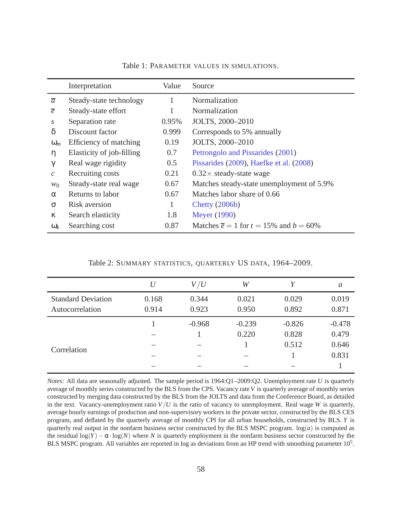<span id="page-59-0"></span>

|                | Interpretation            | Value | Source                                                   |
|----------------|---------------------------|-------|----------------------------------------------------------|
| $\overline{a}$ | Steady-state technology   | 1     | Normalization                                            |
| $\overline{e}$ | Steady-state effort       | 1     | Normalization                                            |
| S              | Separation rate           | 0.95% | JOLTS, 2000-2010                                         |
| $\delta$       | Discount factor           | 0.999 | Corresponds to 5% annually                               |
| $\omega_m$     | Efficiency of matching    | 0.19  | JOLTS, 2000-2010                                         |
| η              | Elasticity of job-filling | 0.7   | Petrongolo and Pissarides (2001)                         |
| $\gamma$       | Real wage rigidity        | 0.5   | Pissarides (2009), Haefke et al. (2008)                  |
| $\mathcal{C}$  | Recruiting costs          | 0.21  | $0.32 \times$ steady-state wage                          |
| $w_0$          | Steady-state real wage    | 0.67  | Matches steady-state unemployment of 5.9%                |
| $\alpha$       | Returns to labor          | 0.67  | Matches labor share of 0.66                              |
| $\sigma$       | Risk aversion             | 1     | Chetty $(2006b)$                                         |
| $\kappa$       | Search elasticity         | 1.8   | <b>Meyer</b> (1990)                                      |
| $\omega_k$     | Searching cost            | 0.87  | Matches $\overline{e} = 1$ for $t = 15\%$ and $b = 60\%$ |

Table 1: PARAMETER VALUES IN SIMULATIONS.

Table 2: SUMMARY STATISTICS, QUARTERLY US DATA, 1964–2009.

|                                              | U              | V/U            | W              | V              | $\mathfrak a$  |
|----------------------------------------------|----------------|----------------|----------------|----------------|----------------|
| <b>Standard Deviation</b><br>Autocorrelation | 0.168<br>0.914 | 0.344<br>0.923 | 0.021<br>0.950 | 0.029<br>0.892 | 0.019<br>0.871 |
|                                              |                | $-0.968$       | $-0.239$       | $-0.826$       | $-0.478$       |
|                                              |                |                | 0.220          | 0.828          | 0.479          |
| Correlation                                  |                |                |                | 0.512          | 0.646          |
|                                              |                |                |                |                | 0.831          |
|                                              |                |                |                |                |                |

*Notes:* All data are seasonally adjusted. The sample period is 1964:Q1–2009:Q2. Unemployment rate *U* is quarterly average of monthly series constructed by the BLS from the CPS. Vacancy rate *V* is quarterly average of monthly series constructed by merging data constructed by the BLS from the JOLTS and data from the Conference Board, as detailed in the text. Vacancy-unemployment ratio  $V/U$  is the ratio of vacancy to unemployment. Real wage *W* is quarterly, average hourly earnings of production and non-supervisory workers in the private sector, constructed by the BLS CES program, and deflated by the quarterly average of monthly CPI for all urban households, constructed by BLS. *Y* is quarterly real output in the nonfarm business sector constructed by the BLS MSPC program.  $log(a)$  is computed as the residual log(*Y*)− α· log(*N*) where *N* is quarterly employment in the nonfarm business sector constructed by the BLS MSPC program. All variables are reported in log as deviations from an HP trend with smoothing parameter  $10<sup>5</sup>$ .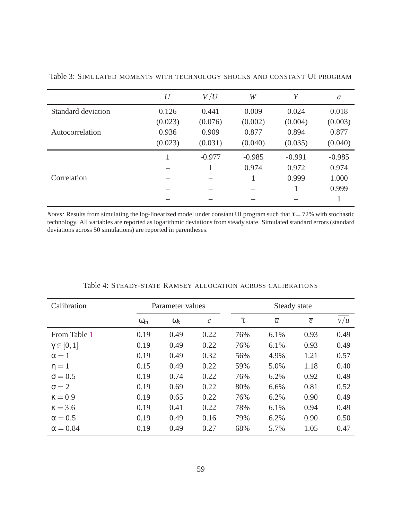|                    | U       | V/U      | W        | Y        | $\mathfrak{a}$ |
|--------------------|---------|----------|----------|----------|----------------|
| Standard deviation | 0.126   | 0.441    | 0.009    | 0.024    | 0.018          |
|                    | (0.023) | (0.076)  | (0.002)  | (0.004)  | (0.003)        |
| Autocorrelation    | 0.936   | 0.909    | 0.877    | 0.894    | 0.877          |
|                    | (0.023) | (0.031)  | (0.040)  | (0.035)  | (0.040)        |
|                    |         | $-0.977$ | $-0.985$ | $-0.991$ | $-0.985$       |
|                    |         |          | 0.974    | 0.972    | 0.974          |
| Correlation        |         |          |          | 0.999    | 1.000          |
|                    |         |          |          |          | 0.999          |
|                    |         |          |          |          |                |

<span id="page-60-0"></span>Table 3: SIMULATED MOMENTS WITH TECHNOLOGY SHOCKS AND CONSTANT UI PROGRAM

*Notes:* Results from simulating the log-linearized model under constant UI program such that  $\tau = 72\%$  with stochastic technology. All variables are reported as logarithmic deviations from steady state. Simulated standard errors (standard deviations across 50 simulations) are reported in parentheses.

| Calibration        | Parameter values |            |                       | Steady state      |                |                |                  |
|--------------------|------------------|------------|-----------------------|-------------------|----------------|----------------|------------------|
|                    | $\omega_m$       | $\omega_k$ | $\mathcal{C}_{0}^{0}$ | $\overline{\tau}$ | $\overline{u}$ | $\overline{e}$ | $\overline{v/u}$ |
| From Table 1       | 0.19             | 0.49       | 0.22                  | 76%               | 6.1%           | 0.93           | 0.49             |
| $\gamma \in [0,1]$ | 0.19             | 0.49       | 0.22                  | 76%               | 6.1%           | 0.93           | 0.49             |
| $\alpha = 1$       | 0.19             | 0.49       | 0.32                  | 56%               | 4.9%           | 1.21           | 0.57             |
| $\eta = 1$         | 0.15             | 0.49       | 0.22                  | 59%               | 5.0%           | 1.18           | 0.40             |
| $\sigma = 0.5$     | 0.19             | 0.74       | 0.22                  | 76%               | 6.2%           | 0.92           | 0.49             |
| $\sigma = 2$       | 0.19             | 0.69       | 0.22                  | 80%               | 6.6%           | 0.81           | 0.52             |
| $\kappa = 0.9$     | 0.19             | 0.65       | 0.22                  | 76%               | 6.2%           | 0.90           | 0.49             |
| $\kappa = 3.6$     | 0.19             | 0.41       | 0.22                  | 78%               | 6.1%           | 0.94           | 0.49             |
| $\alpha = 0.5$     | 0.19             | 0.49       | 0.16                  | 79%               | 6.2%           | 0.90           | 0.50             |
| $\alpha = 0.84$    | 0.19             | 0.49       | 0.27                  | 68%               | 5.7%           | 1.05           | 0.47             |

Table 4: STEADY-STATE RAMSEY ALLOCATION ACROSS CALIBRATIONS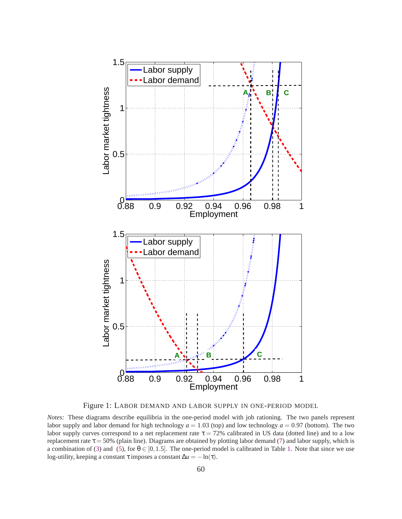<span id="page-61-0"></span>

Figure 1: LABOR DEMAND AND LABOR SUPPLY IN ONE-PERIOD MODEL

*Notes:* These diagrams describe equilibria in the one-period model with job rationing. The two panels represent labor supply and labor demand for high technology  $a = 1.03$  (top) and low technology  $a = 0.97$  (bottom). The two labor supply curves correspond to a net replacement rate  $\tau = 72\%$  calibrated in US data (dotted line) and to a low replacement rate  $\tau = 50\%$  (plain line). Diagrams are obtained by plotting labor demand [\(7\)](#page-12-0) and labor supply, which is a combination of [\(3\)](#page-9-0) and [\(5\)](#page-10-0), for  $\theta \in [0, 1.5]$  $\theta \in [0, 1.5]$  $\theta \in [0, 1.5]$ . The one-period model is calibrated in Table 1. Note that since we use log-utility, keeping a constant  $\tau$  imposes a constant  $\Delta u = -\ln(\tau)$ .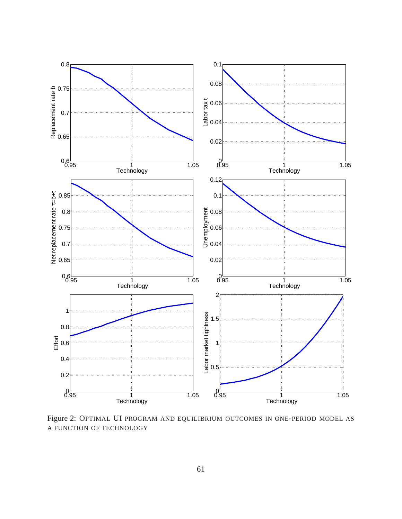<span id="page-62-0"></span>

Figure 2: OPTIMAL UI PROGRAM AND EQUILIBRIUM OUTCOMES IN ONE-PERIOD MODEL AS A FUNCTION OF TECHNOLOGY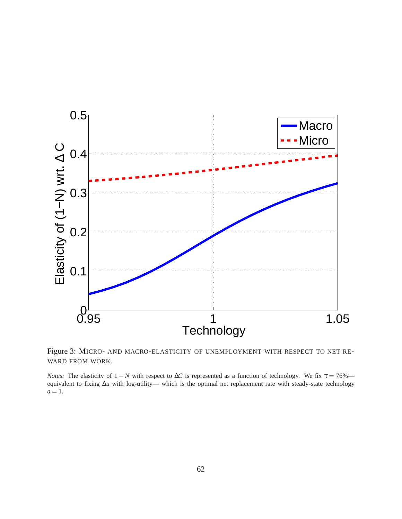

Figure 3: MICRO- AND MACRO-ELASTICITY OF UNEMPLOYMENT WITH RESPECT TO NET RE-WARD FROM WORK.

*Notes:* The elasticity of  $1 - N$  with respect to  $\Delta C$  is represented as a function of technology. We fix  $\tau = 76\%$  equivalent to fixing ∆*u* with log-utility— which is the optimal net replacement rate with steady-state technology  $a=1$ .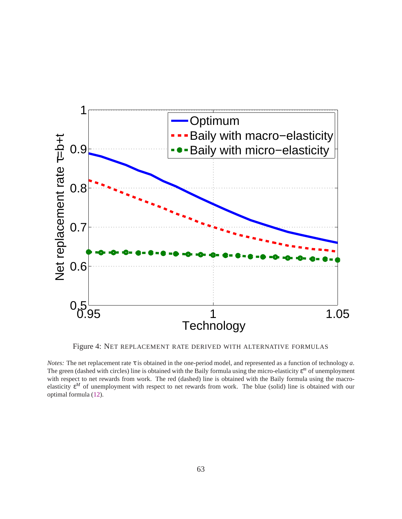

Figure 4: NET REPLACEMENT RATE DERIVED WITH ALTERNATIVE FORMULAS

*Notes:* The net replacement rate τ is obtained in the one-period model, and represented as a function of technology *a*. The green (dashed with circles) line is obtained with the Baily formula using the micro-elasticity ε *<sup>m</sup>* of unemployment with respect to net rewards from work. The red (dashed) line is obtained with the Baily formula using the macroelasticity ε *<sup>M</sup>* of unemployment with respect to net rewards from work. The blue (solid) line is obtained with our optimal formula [\(12\)](#page-18-0).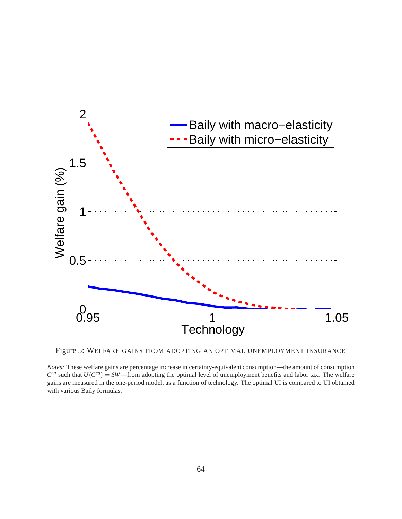

Figure 5: WELFARE GAINS FROM ADOPTING AN OPTIMAL UNEMPLOYMENT INSURANCE

*Notes:* These welfare gains are percentage increase in certainty-equivalent consumption—the amount of consumption  $C^{eq}$  such that  $U(C^{eq}) = SW$ —from adopting the optimal level of unemployment benefits and labor tax. The welfare gains are measured in the one-period model, as a function of technology. The optimal UI is compared to UI obtained with various Baily formulas.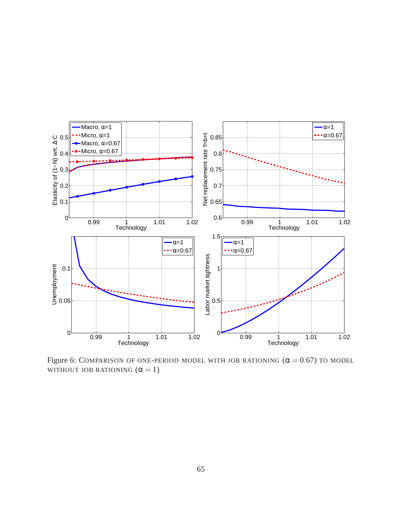

Figure 6: COMPARISON OF ONE-PERIOD MODEL WITH JOB RATIONING  $(\alpha = 0.67)$  TO MODEL WITHOUT JOB RATIONING  $(\alpha = 1)$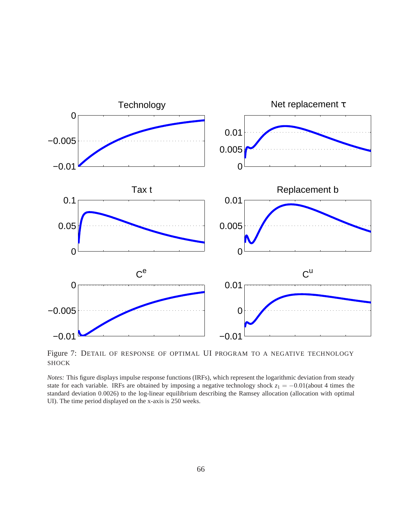<span id="page-67-0"></span>

Figure 7: DETAIL OF RESPONSE OF OPTIMAL UI PROGRAM TO A NEGATIVE TECHNOLOGY SHOCK

*Notes:* This figure displays impulse response functions (IRFs), which represent the logarithmic deviation from steady state for each variable. IRFs are obtained by imposing a negative technology shock *z*<sup>1</sup> = −0.01(about 4 times the standard deviation 0.0026) to the log-linear equilibrium describing the Ramsey allocation (allocation with optimal UI). The time period displayed on the x-axis is 250 weeks.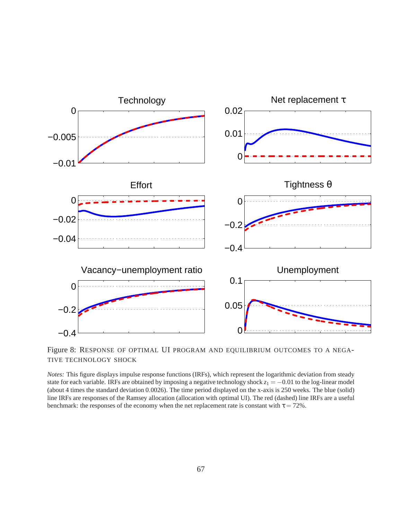<span id="page-68-0"></span>

Figure 8: RESPONSE OF OPTIMAL UI PROGRAM AND EQUILIBRIUM OUTCOMES TO A NEGA-TIVE TECHNOLOGY SHOCK

*Notes:* This figure displays impulse response functions (IRFs), which represent the logarithmic deviation from steady state for each variable. IRFs are obtained by imposing a negative technology shock  $z_1 = -0.01$  to the log-linear model (about 4 times the standard deviation 0.0026). The time period displayed on the x-axis is 250 weeks. The blue (solid) line IRFs are responses of the Ramsey allocation (allocation with optimal UI). The red (dashed) line IRFs are a useful benchmark: the responses of the economy when the net replacement rate is constant with  $\tau = 72\%$ .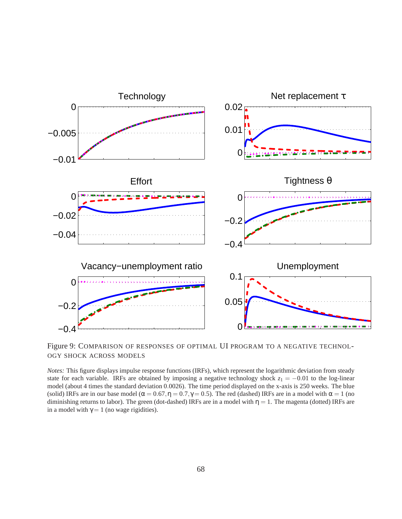<span id="page-69-0"></span>

Figure 9: COMPARISON OF RESPONSES OF OPTIMAL UI PROGRAM TO A NEGATIVE TECHNOL-OGY SHOCK ACROSS MODELS

*Notes:* This figure displays impulse response functions (IRFs), which represent the logarithmic deviation from steady state for each variable. IRFs are obtained by imposing a negative technology shock  $z_1 = -0.01$  to the log-linear model (about 4 times the standard deviation 0.0026). The time period displayed on the x-axis is 250 weeks. The blue (solid) IRFs are in our base model ( $\alpha = 0.67$ ,  $\eta = 0.7$ ,  $\gamma = 0.5$ ). The red (dashed) IRFs are in a model with  $\alpha = 1$  (no diminishing returns to labor). The green (dot-dashed) IRFs are in a model with  $\eta = 1$ . The magenta (dotted) IRFs are in a model with  $\gamma = 1$  (no wage rigidities).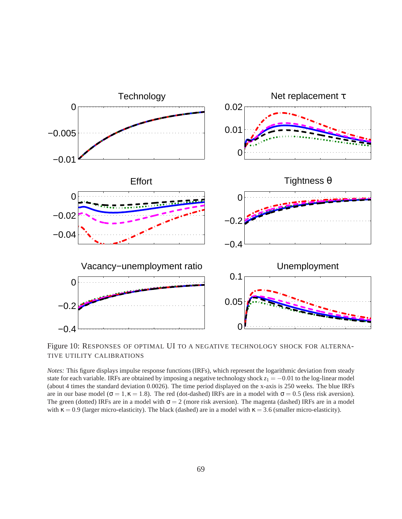<span id="page-70-0"></span>

Figure 10: RESPONSES OF OPTIMAL UI TO A NEGATIVE TECHNOLOGY SHOCK FOR ALTERNA-TIVE UTILITY CALIBRATIONS

*Notes:* This figure displays impulse response functions (IRFs), which represent the logarithmic deviation from steady state for each variable. IRFs are obtained by imposing a negative technology shock  $z_1 = -0.01$  to the log-linear model (about 4 times the standard deviation 0.0026). The time period displayed on the x-axis is 250 weeks. The blue IRFs are in our base model ( $\sigma = 1$ ,  $\kappa = 1.8$ ). The red (dot-dashed) IRFs are in a model with  $\sigma = 0.5$  (less risk aversion). The green (dotted) IRFs are in a model with  $\sigma = 2$  (more risk aversion). The magenta (dashed) IRFs are in a model with  $\kappa = 0.9$  (larger micro-elasticity). The black (dashed) are in a model with  $\kappa = 3.6$  (smaller micro-elasticity).